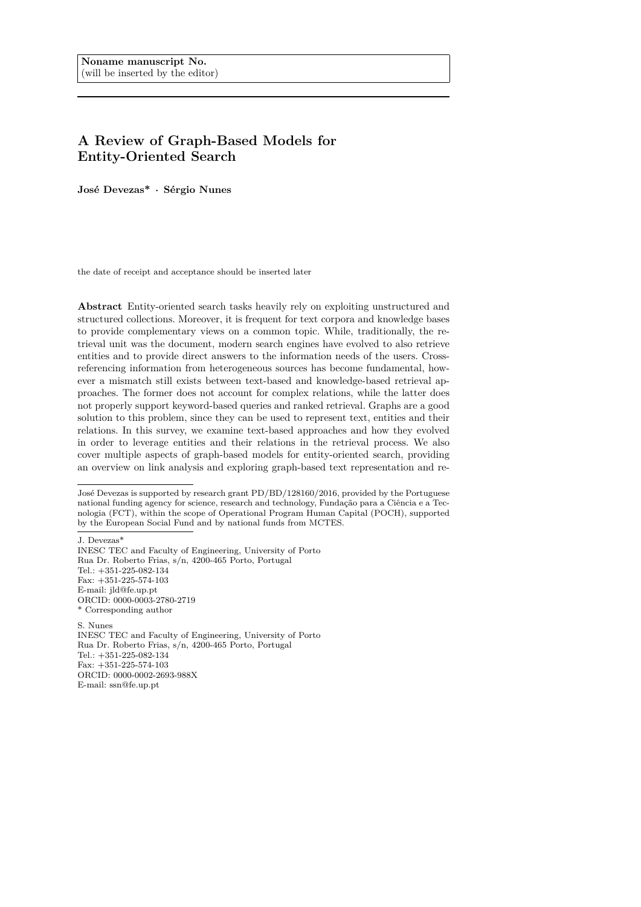# **A Review of Graph-Based Models for Entity-Oriented Search**

**José Devezas\*** *·* **Sérgio Nunes**

the date of receipt and acceptance should be inserted later

**Abstract** Entity-oriented search tasks heavily rely on exploiting unstructured and structured collections. Moreover, it is frequent for text corpora and knowledge bases to provide complementary views on a common topic. While, traditionally, the retrieval unit was the document, modern search engines have evolved to also retrieve entities and to provide direct answers to the information needs of the users. Crossreferencing information from heterogeneous sources has become fundamental, however a mismatch still exists between text-based and knowledge-based retrieval approaches. The former does not account for complex relations, while the latter does not properly support keyword-based queries and ranked retrieval. Graphs are a good solution to this problem, since they can be used to represent text, entities and their relations. In this survey, we examine text-based approaches and how they evolved in order to leverage entities and their relations in the retrieval process. We also cover multiple aspects of graph-based models for entity-oriented search, providing an overview on link analysis and exploring graph-based text representation and re-

J. Devezas\*

S. Nunes INESC TEC and Faculty of Engineering, University of Porto Rua Dr. Roberto Frias, s/n, 4200-465 Porto, Portugal Tel.: +351-225-082-134 Fax: +351-225-574-103 ORCID: 0000-0002-2693-988X E-mail: ssn@fe.up.pt

José Devezas is supported by research grant PD/BD/128160/2016, provided by the Portuguese national funding agency for science, research and technology, Fundação para a Ciência e a Tecnologia (FCT), within the scope of Operational Program Human Capital (POCH), supported by the European Social Fund and by national funds from MCTES.

INESC TEC and Faculty of Engineering, University of Porto Rua Dr. Roberto Frias, s/n, 4200-465 Porto, Portugal Tel.: +351-225-082-134 Fax: +351-225-574-103 E-mail: jld@fe.up.pt ORCID: 0000-0003-2780-2719 \* Corresponding author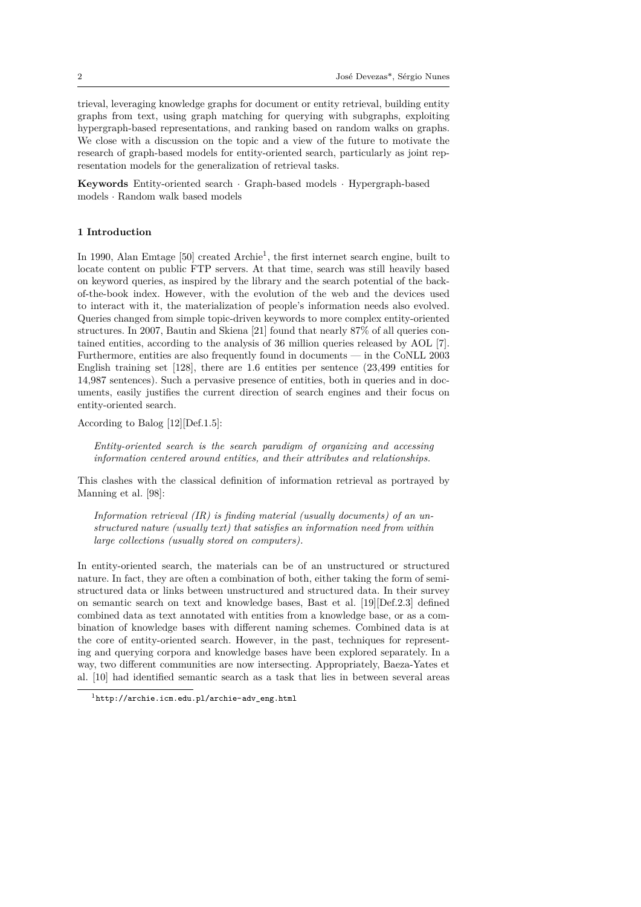trieval, leveraging knowledge graphs for document or entity retrieval, building entity graphs from text, using graph matching for querying with subgraphs, exploiting hypergraph-based representations, and ranking based on random walks on graphs. We close with a discussion on the topic and a view of the future to motivate the research of graph-based models for entity-oriented search, particularly as joint representation models for the generalization of retrieval tasks.

**Keywords** Entity-oriented search *·* Graph-based models *·* Hypergraph-based models *·* Random walk based models

## **1 Introduction**

In 1990, Alan Emtage  $[50]$  created Archie<sup>1</sup>, the first internet search engine, built to locate content on public FTP servers. At that time, search was still heavily based on keyword queries, as inspired by the library and the search potential of the backof-the-book index. However, with the evolution of the web and the devices used to interact with it, the [m](#page-36-0)aterialization o[f](#page-1-0) people's information needs also evolved. Queries changed from simple topic-driven keywords to more complex entity-oriented structures. In 2007, Bautin and Skiena [21] found that nearly 87% of all queries contained entities, according to the analysis of 36 million queries released by AOL [7]. Furthermore, entities are also frequently found in documents — in the CoNLL 2003 English training set [128], there are 1*.*6 entities per sentence (23*,*499 entities for 14*,*987 sentences). Such a pervasive pre[sen](#page-34-0)ce of entities, both in queries and in documents, easily justifies the current direction of search engines and their focus [o](#page-33-0)n entity-oriented search.

According to Balog [1[2\]\[D](#page-40-0)ef.1.5]:

*Entity-oriented search is the search paradigm of organizing and accessing information centered around entities, and their attributes and relationships.*

This clashes with t[he](#page-34-1) classical definition of information retrieval as portrayed by Manning et al. [98]:

*Information retrieval (IR) is finding material (usually documents) of an unstructured nature (usually text) that satisfies an information need from within large collecti[on](#page-38-0)s (usually stored on computers).*

In entity-oriented search, the materials can be of an unstructured or structured nature. In fact, they are often a combination of both, either taking the form of semistructured data or links between unstructured and structured data. In their survey on semantic search on text and knowledge bases, Bast et al. [19][Def.2.3] defined combined data as text annotated with entities from a knowledge base, or as a combination of knowledge bases with different naming schemes. Combined data is at the core of entity-oriented search. However, in the past, techniques for representing and querying corpora and knowledge bases have been explo[red](#page-34-2) separately. In a way, two different communities are now intersecting. Appropriately, Baeza-Yates et al. [10] had identified semantic search as a task that lies in between several areas

<span id="page-1-0"></span><sup>1</sup>http://archie.icm.edu.pl/archie-adv\_eng.html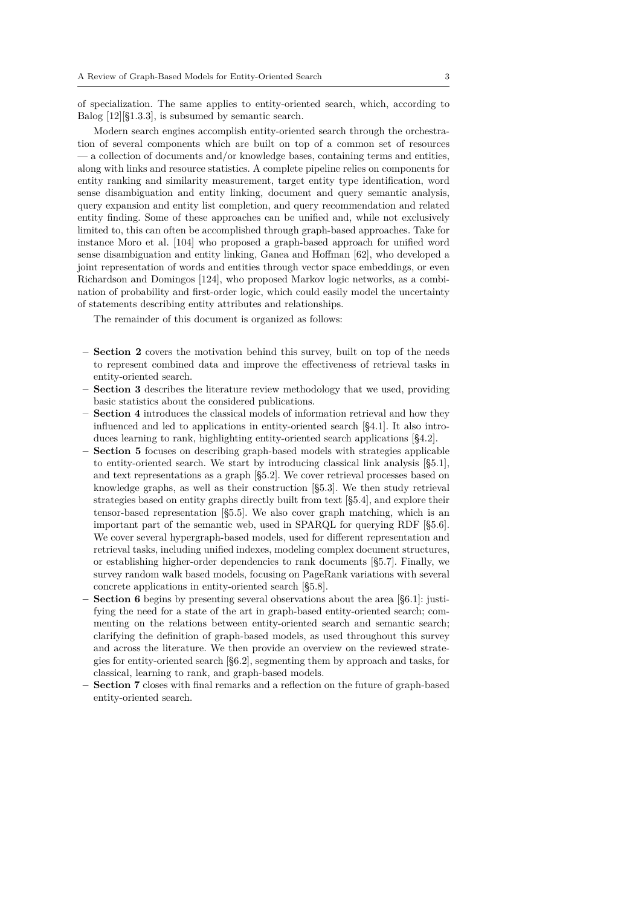of specialization. The same applies to entity-oriented search, which, according to Balog [12][§1.3.3], is subsumed by semantic search.

Modern search engines accomplish entity-oriented search through the orchestration of several components which are built on top of a common set of resources — a collection of documents and/or knowledge bases, containing terms and entities, along [with](#page-34-1) links and resource statistics. A complete pipeline relies on components for entity ranking and similarity measurement, target entity type identification, word sense disambiguation and entity linking, document and query semantic analysis, query expansion and entity list completion, and query recommendation and related entity finding. Some of these approaches can be unified and, while not exclusively limited to, this can often be accomplished through graph-based approaches. Take for instance Moro et al. [104] who proposed a graph-based approach for unified word sense disambiguation and entity linking, Ganea and Hoffman [62], who developed a joint representation of words and entities through vector space embeddings, or even Richardson and Domingos [124], who proposed Markov logic networks, as a combination of probability [and](#page-39-0) first-order logic, which could easily model the uncertainty of statements describing entity attributes and relationships.

The remainder of this document is organized as follows:

- **– Section 2** covers the motivation behind this survey, built on top of the needs to represent combined data and improve the effectiveness of retrieval tasks in entity-oriented search.
- **– Section 3** describes the literature review methodology that we used, providing basic sta[tis](#page-3-0)tics about the considered publications.
- **– Section 4** introduces the classical models of information retrieval and how they influenced and led to applications in entity-oriented search [§4.1]. It also introduces lea[rn](#page-3-1)ing to rank, highlighting entity-oriented search applications [§4.2].
- **– Section 5** focuses on describing graph-based models with strategies applicable to entity[-o](#page-4-0)riented search. We start by introducing classical link analysis [§5.1], and text representations as a graph [§5.2]. We cover retrieval [proc](#page-4-1)esses based on knowledge graphs, as well as their construction [§5.3]. We then study r[etrie](#page-9-0)val strategies [b](#page-11-0)ased on entity graphs directly built from text [§5.4], and explore their tensor-based representation [§5.5]. We also cover graph matching, which i[s a](#page-12-0)n important part of the semantic web, [used](#page-14-0) in SPARQL for querying RDF [§5.6]. We cover several hypergraph-based models, used f[or d](#page-16-0)ifferent representation and retrieval tasks, including unified indexes, modeling comple[x do](#page-19-0)cument structures, or establishing higher-order d[epen](#page-21-0)dencies to rank documents [§5.7]. Finally, we survey random walk based models, focusing on PageRank variations with se[vera](#page-21-1)l concrete applications in entity-oriented search [§5.8].
- **– Section 6** begins by presenting several observations about the area [§6.1]: justifying the need for a state of the art in graph-based entity-orien[ted](#page-24-0) search; commenting on the relations between entity-oriented search and semantic search; clarifying the definition of graph-based models, [as](#page-26-0) used throughout this survey and acro[ss](#page-28-0) the literature. We then provide an overview on the revie[wed](#page-29-0) strategies for entity-oriented search [§6.2], segmenting them by approach and tasks, for classical, learning to rank, and graph-based models.
- **– Section 7** closes with final remarks and a reflection on the future of graph-based entity-oriented search.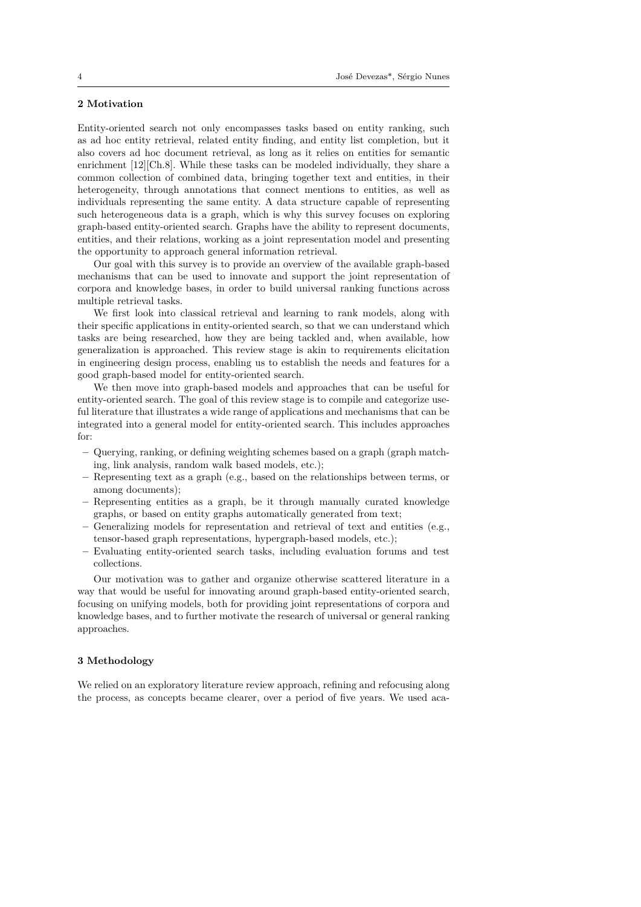#### **2 Motivation**

<span id="page-3-0"></span>Entity-oriented search not only encompasses tasks based on entity ranking, such as ad hoc entity retrieval, related entity finding, and entity list completion, but it also covers ad hoc document retrieval, as long as it relies on entities for semantic enrichment [12][Ch.8]. While these tasks can be modeled individually, they share a common collection of combined data, bringing together text and entities, in their heterogeneity, through annotations that connect mentions to entities, as well as individuals representing the same entity. A data structure capable of representing such hetero[gen](#page-34-1)eous data is a graph, which is why this survey focuses on exploring graph-based entity-oriented search. Graphs have the ability to represent documents, entities, and their relations, working as a joint representation model and presenting the opportunity to approach general information retrieval.

Our goal with this survey is to provide an overview of the available graph-based mechanisms that can be used to innovate and support the joint representation of corpora and knowledge bases, in order to build universal ranking functions across multiple retrieval tasks.

We first look into classical retrieval and learning to rank models, along with their specific applications in entity-oriented search, so that we can understand which tasks are being researched, how they are being tackled and, when available, how generalization is approached. This review stage is akin to requirements elicitation in engineering design process, enabling us to establish the needs and features for a good graph-based model for entity-oriented search.

We then move into graph-based models and approaches that can be useful for entity-oriented search. The goal of this review stage is to compile and categorize useful literature that illustrates a wide range of applications and mechanisms that can be integrated into a general model for entity-oriented search. This includes approaches for:

- **–** Querying, ranking, or defining weighting schemes based on a graph (graph matching, link analysis, random walk based models, etc.);
- **–** Representing text as a graph (e.g., based on the relationships between terms, or among documents);
- **–** Representing entities as a graph, be it through manually curated knowledge graphs, or based on entity graphs automatically generated from text;
- **–** Generalizing models for representation and retrieval of text and entities (e.g., tensor-based graph representations, hypergraph-based models, etc.);
- **–** Evaluating entity-oriented search tasks, including evaluation forums and test collections.

Our motivation was to gather and organize otherwise scattered literature in a way that would be useful for innovating around graph-based entity-oriented search, focusing on unifying models, both for providing joint representations of corpora and knowledge bases, and to further motivate the research of universal or general ranking approaches.

#### **3 Methodology**

<span id="page-3-1"></span>We relied on an exploratory literature review approach, refining and refocusing along the process, as concepts became clearer, over a period of five years. We used aca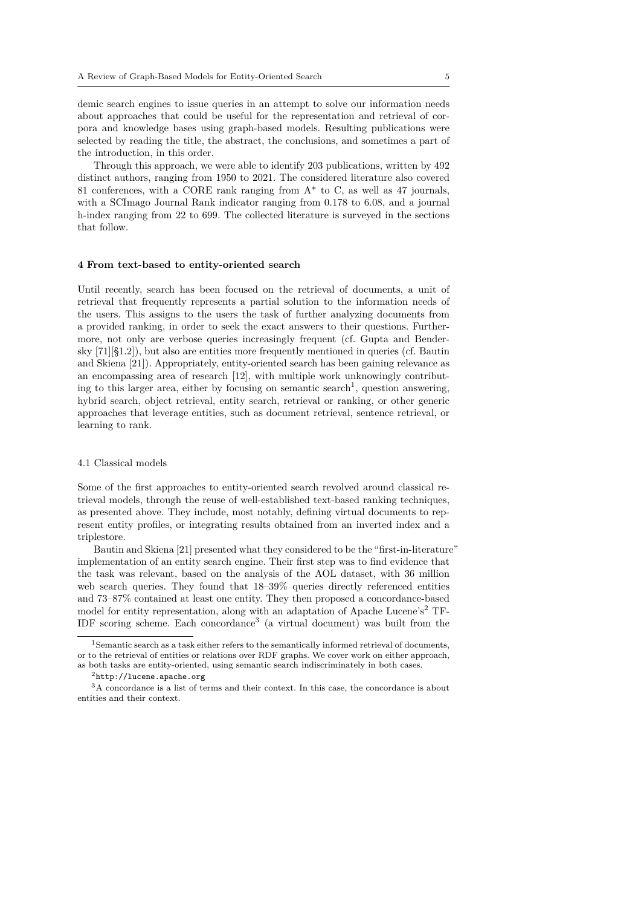demic search engines to issue queries in an attempt to solve our information needs about approaches that could be useful for the representation and retrieval of corpora and knowledge bases using graph-based models. Resulting publications were selected by reading the title, the abstract, the conclusions, and sometimes a part of the introduction, in this order.

Through this approach, we were able to identify 203 publications, written by 492 distinct authors, ranging from 1950 to 2021. The considered literature also covered 81 conferences, with a CORE rank ranging from  $A^*$  to C, as well as 47 journals, with a SCImago Journal Rank indicator ranging from 0.178 to 6.08, and a journal h-index ranging from 22 to 699. The collected literature is surveyed in the sections that follow.

## **4 From text-based to entity-oriented search**

<span id="page-4-0"></span>Until recently, search has been focused on the retrieval of documents, a unit of retrieval that frequently represents a partial solution to the information needs of the users. This assigns to the users the task of further analyzing documents from a provided ranking, in order to seek the exact answers to their questions. Furthermore, not only are verbose queries increasingly frequent (cf. Gupta and Bendersky [71][§1.2]), but also are entities more frequently mentioned in queries (cf. Bautin and Skiena [21]). Appropriately, entity-oriented search has been gaining relevance as an encompassing area of research [12], with multiple work unknowingly contributing to this larger area, either by focusing on semantic search<sup>1</sup>, question answering, hybr[id](#page-37-0) search, object retrieval, entity search, retrieval or ranking, or other generic approaches [tha](#page-34-0)t leverage entities, such as document retrieval, sentence retrieval, or learning to rank.

## 4.1 Classical models

<span id="page-4-1"></span>Some of the first approaches to entity-oriented search revolved around classical retrieval models, through the reuse of well-established text-based ranking techniques, as presented above. They include, most notably, defining virtual documents to represent entity profiles, or integrating results obtained from an inverted index and a triplestore.

Bautin and Skiena [21] presented what they considered to be the "first-in-literature" implementation of an entity search engine. Their first step was to find evidence that the task was relevant, based on the analysis of the AOL dataset, with 36 million web search queries. They found that 18–39% queries directly referenced entities and 73–87% contained [at](#page-34-0) least one entity. They then proposed a concordance-based model for entity representation, along with an adaptation of Apache Lucene's<sup>2</sup> TF-IDF scoring scheme. Each concordance<sup>3</sup> (a virtual document) was built from the

<sup>&</sup>lt;sup>1</sup>Semantic search as a task either refers to the semantically informed retrieval of documents, or to the retrieval of entities or relations over RDF graphs. We cover work on either ap[pr](#page-4-2)oach, as both tasks are entity-oriented, using sem[an](#page-4-3)tic search indiscriminately in both cases.

<sup>2</sup>http://lucene.apache.org

<span id="page-4-3"></span><span id="page-4-2"></span><sup>3</sup>A concordance is a list of terms and their context. In this case, the concordance is about entities and their context.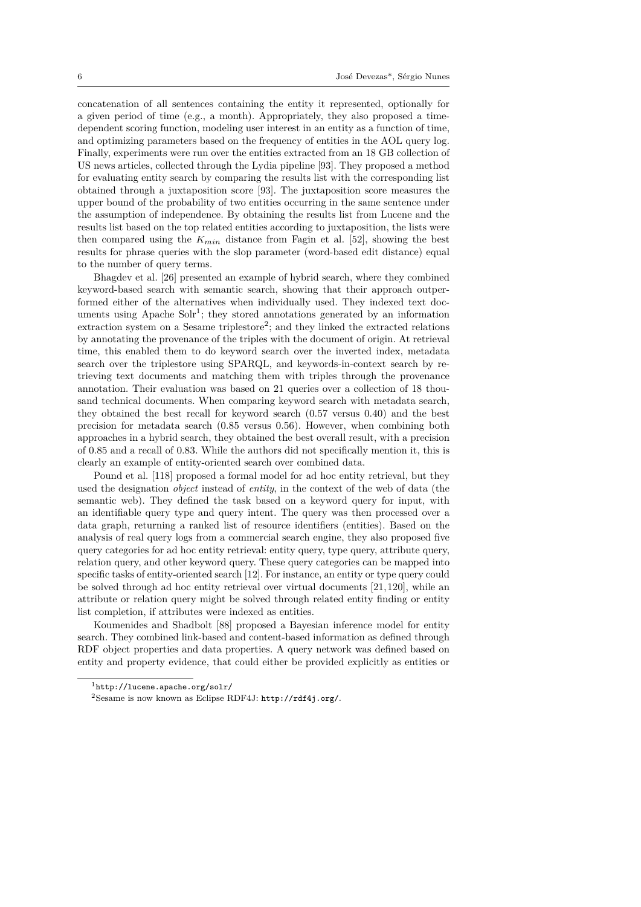concatenation of all sentences containing the entity it represented, optionally for a given period of time (e.g., a month). Appropriately, they also proposed a timedependent scoring function, modeling user interest in an entity as a function of time, and optimizing parameters based on the frequency of entities in the AOL query log. Finally, experiments were run over the entities extracted from an 18 GB collection of US news articles, collected through the Lydia pipeline [93]. They proposed a method for evaluating entity search by comparing the results list with the corresponding list obtained through a juxtaposition score [93]. The juxtaposition score measures the upper bound of the probability of two entities occurring in the same sentence under the assumption of independence. By obtaining the res[ult](#page-38-1)s list from Lucene and the results list based on the top related entities according to juxtaposition, the lists were then compared using the *Kmin* distanc[e fr](#page-38-1)om Fagin et al. [52], showing the best results for phrase queries with the slop parameter (word-based edit distance) equal to the number of query terms.

Bhagdev et al. [26] presented an example of hybrid search, where they combined keyword-based search with semantic search, showing that t[hei](#page-36-1)r approach outperformed either of the alternatives when individually used. They indexed text documents using Apache  $S\ddot{\mathrm{ol}}r^1$ ; they stored annotations generated by an information extracti[on](#page-34-3) system on a Sesame triplestore<sup>2</sup>; and they linked the extracted relations by annotating the provenance of the triples with the document of origin. At retrieval time, this enabled them to do keyword search over the inverted index, metadata search over the triplestor[e](#page-5-0) using SPARQL, and keywords-in-context search by retrieving text documents and matching t[he](#page-5-1)m with triples through the provenance annotation. Their evaluation was based on 21 queries over a collection of 18 thousand technical documents. When comparing keyword search with metadata search, they obtained the best recall for keyword search (0*.*57 versus 0*.*40) and the best precision for metadata search (0*.*85 versus 0*.*56). However, when combining both approaches in a hybrid search, they obtained the best overall result, with a precision of 0*.*85 and a recall of 0*.*83. While the authors did not specifically mention it, this is clearly an example of entity-oriented search over combined data.

Pound et al. [118] proposed a formal model for ad hoc entity retrieval, but they used the designation *object* instead of *entity*, in the context of the web of data (the semantic web). They defined the task based on a keyword query for input, with an identifiable query type and query intent. The query was then processed over a data graph, retu[rnin](#page-40-1)g a ranked list of resource identifiers (entities). Based on the analysis of real query logs from a commercial search engine, they also proposed five query categories for ad hoc entity retrieval: entity query, type query, attribute query, relation query, and other keyword query. These query categories can be mapped into specific tasks of entity-oriented search [12]. For instance, an entity or type query could be solved through ad hoc entity retrieval over virtual documents [21,120], while an attribute or relation query might be solved through related entity finding or entity list completion, if attributes were indexed as entities.

Koumenides and Shadbolt [88] pr[opo](#page-34-1)sed a Bayesian inference model for entity search. They combined link-based and content-based information a[s d](#page-34-0)[efine](#page-40-2)d through RDF object properties and data properties. A query network was defined based on entity and property evidence, that could either be provided explicitly as entities or

<sup>1</sup>http://lucene.apache.org/so[lr/](#page-38-2)

<span id="page-5-1"></span><span id="page-5-0"></span><sup>2</sup>Sesame is now known as Eclipse RDF4J: http://rdf4j.org/.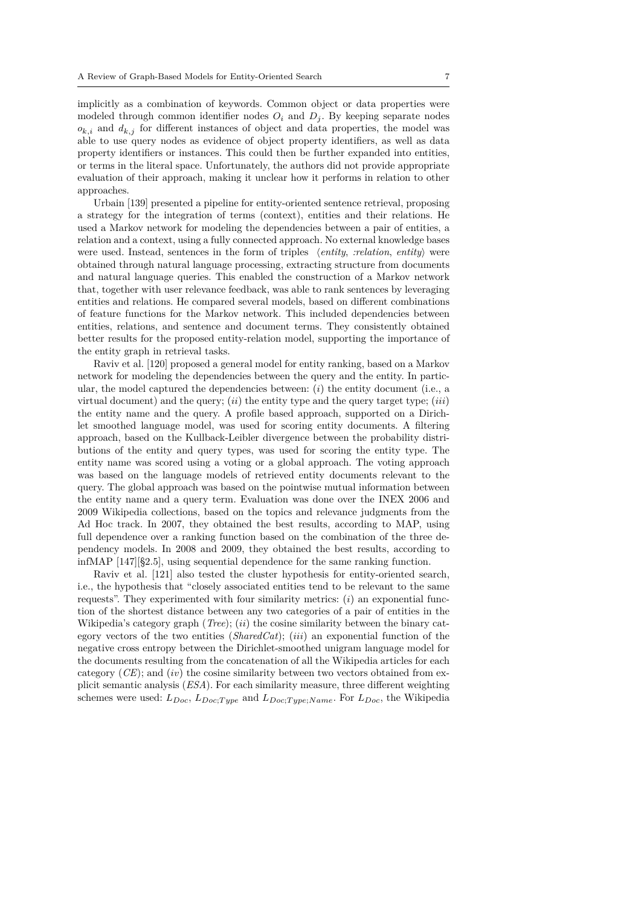implicitly as a combination of keywords. Common object or data properties were modeled through common identifier nodes  $O_i$  and  $D_i$ . By keeping separate nodes  $o_{k,i}$  and  $d_{k,j}$  for different instances of object and data properties, the model was able to use query nodes as evidence of object property identifiers, as well as data property identifiers or instances. This could then be further expanded into entities, or terms in the literal space. Unfortunately, the authors did not provide appropriate evaluation of their approach, making it unclear how it performs in relation to other approaches.

Urbain [139] presented a pipeline for entity-oriented sentence retrieval, proposing a strategy for the integration of terms (context), entities and their relations. He used a Markov network for modeling the dependencies between a pair of entities, a relation and a context, using a fully connected approach. No external knowledge bases were used. [Inst](#page-41-0)ead, sentences in the form of triples *⟨entity*, *:relation*, *entity⟩* were obtained through natural language processing, extracting structure from documents and natural language queries. This enabled the construction of a Markov network that, together with user relevance feedback, was able to rank sentences by leveraging entities and relations. He compared several models, based on different combinations of feature functions for the Markov network. This included dependencies between entities, relations, and sentence and document terms. They consistently obtained better results for the proposed entity-relation model, supporting the importance of the entity graph in retrieval tasks.

Raviv et al. [120] proposed a general model for entity ranking, based on a Markov network for modeling the dependencies between the query and the entity. In particular, the model captured the dependencies between: (*i*) the entity document (i.e., a virtual document) and the query; (*ii*) the entity type and the query target type; (*iii*) the entity nam[e an](#page-40-2)d the query. A profile based approach, supported on a Dirichlet smoothed language model, was used for scoring entity documents. A filtering approach, based on the Kullback-Leibler divergence between the probability distributions of the entity and query types, was used for scoring the entity type. The entity name was scored using a voting or a global approach. The voting approach was based on the language models of retrieved entity documents relevant to the query. The global approach was based on the pointwise mutual information between the entity name and a query term. Evaluation was done over the INEX 2006 and 2009 Wikipedia collections, based on the topics and relevance judgments from the Ad Hoc track. In 2007, they obtained the best results, according to MAP, using full dependence over a ranking function based on the combination of the three dependency models. In 2008 and 2009, they obtained the best results, according to infMAP [147][§2.5], using sequential dependence for the same ranking function.

Raviv et al. [121] also tested the cluster hypothesis for entity-oriented search, i.e., the hypothesis that "closely associated entities tend to be relevant to the same requests". They experimented with four similarity metrics: (*i*) an exponential function of t[he sh](#page-41-1)ortest distance between any two categories of a pair of entities in the Wikipedia's cate[gory](#page-40-3) graph (*Tree*); (*ii*) the cosine similarity between the binary category vectors of the two entities (*SharedCat*); (*iii*) an exponential function of the negative cross entropy between the Dirichlet-smoothed unigram language model for the documents resulting from the concatenation of all the Wikipedia articles for each category (*CE*); and (*iv*) the cosine similarity between two vectors obtained from explicit semantic analysis (*ESA*). For each similarity measure, three different weighting schemes were used: *LDoc*, *LDoc*;*T ype* and *LDoc*;*T ype*;*Name*. For *LDoc*, the Wikipedia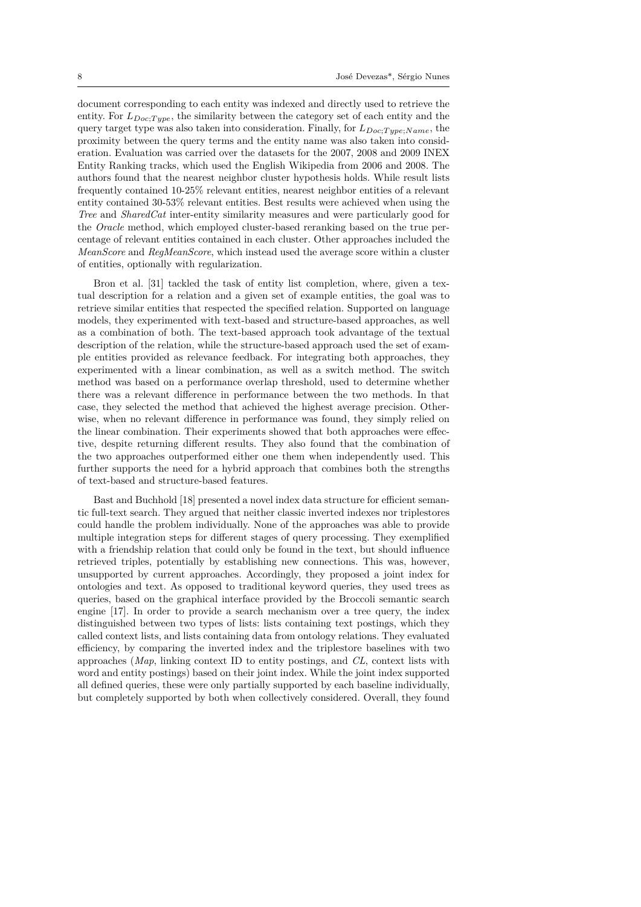document corresponding to each entity was indexed and directly used to retrieve the entity. For  $L_{Doc;Type}$ , the similarity between the category set of each entity and the query target type was also taken into consideration. Finally, for *LDoc*;*T ype*;*Name*, the proximity between the query terms and the entity name was also taken into consideration. Evaluation was carried over the datasets for the 2007, 2008 and 2009 INEX Entity Ranking tracks, which used the English Wikipedia from 2006 and 2008. The authors found that the nearest neighbor cluster hypothesis holds. While result lists frequently contained 10-25% relevant entities, nearest neighbor entities of a relevant entity contained 30-53% relevant entities. Best results were achieved when using the *Tree* and *SharedCat* inter-entity similarity measures and were particularly good for the *Oracle* method, which employed cluster-based reranking based on the true percentage of relevant entities contained in each cluster. Other approaches included the *MeanScore* and *RegMeanScore*, which instead used the average score within a cluster of entities, optionally with regularization.

Bron et al. [31] tackled the task of entity list completion, where, given a textual description for a relation and a given set of example entities, the goal was to retrieve similar entities that respected the specified relation. Supported on language models, they experimented with text-based and structure-based approaches, as well as a combinatio[n o](#page-35-0)f both. The text-based approach took advantage of the textual description of the relation, while the structure-based approach used the set of example entities provided as relevance feedback. For integrating both approaches, they experimented with a linear combination, as well as a switch method. The switch method was based on a performance overlap threshold, used to determine whether there was a relevant difference in performance between the two methods. In that case, they selected the method that achieved the highest average precision. Otherwise, when no relevant difference in performance was found, they simply relied on the linear combination. Their experiments showed that both approaches were effective, despite returning different results. They also found that the combination of the two approaches outperformed either one them when independently used. This further supports the need for a hybrid approach that combines both the strengths of text-based and structure-based features.

Bast and Buchhold [18] presented a novel index data structure for efficient semantic full-text search. They argued that neither classic inverted indexes nor triplestores could handle the problem individually. None of the approaches was able to provide multiple integration steps for different stages of query processing. They exemplified with a friendship relati[on](#page-34-4) that could only be found in the text, but should influence retrieved triples, potentially by establishing new connections. This was, however, unsupported by current approaches. Accordingly, they proposed a joint index for ontologies and text. As opposed to traditional keyword queries, they used trees as queries, based on the graphical interface provided by the Broccoli semantic search engine [17]. In order to provide a search mechanism over a tree query, the index distinguished between two types of lists: lists containing text postings, which they called context lists, and lists containing data from ontology relations. They evaluated efficiency, by comparing the inverted index and the triplestore baselines with two approac[hes](#page-34-5) (*Map*, linking context ID to entity postings, and *CL*, context lists with word and entity postings) based on their joint index. While the joint index supported all defined queries, these were only partially supported by each baseline individually, but completely supported by both when collectively considered. Overall, they found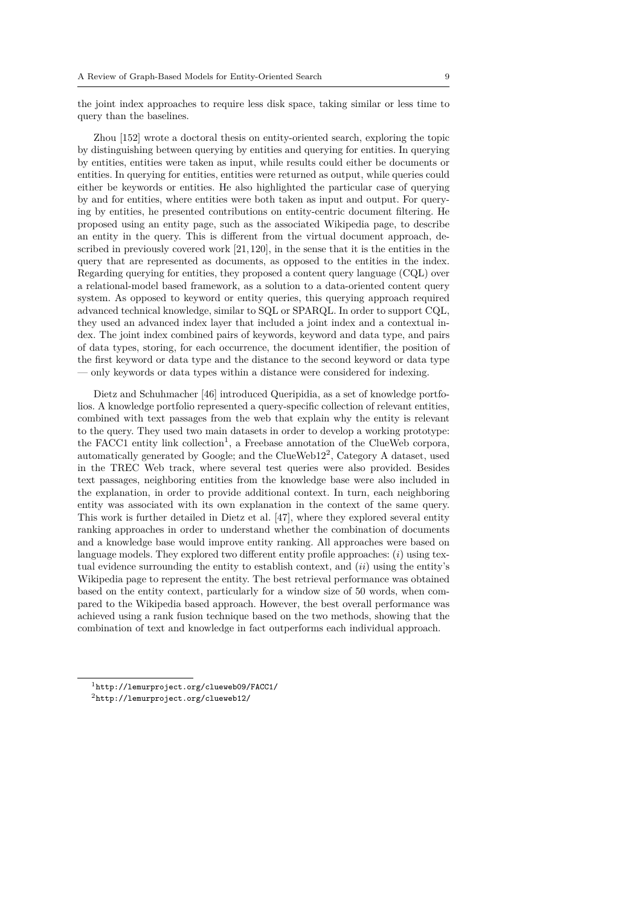the joint index approaches to require less disk space, taking similar or less time to query than the baselines.

Zhou [152] wrote a doctoral thesis on entity-oriented search, exploring the topic by distinguishing between querying by entities and querying for entities. In querying by entities, entities were taken as input, while results could either be documents or entities. In querying for entities, entities were returned as output, while queries could either be [keyw](#page-42-0)ords or entities. He also highlighted the particular case of querying by and for entities, where entities were both taken as input and output. For querying by entities, he presented contributions on entity-centric document filtering. He proposed using an entity page, such as the associated Wikipedia page, to describe an entity in the query. This is different from the virtual document approach, described in previously covered work  $[21,120]$ , in the sense that it is the entities in the query that are represented as documents, as opposed to the entities in the index. Regarding querying for entities, they proposed a content query language (CQL) over a relational-model based framework, as a solution to a data-oriented content query system. As opposed to keyword or [en](#page-34-0)[tity](#page-40-2) queries, this querying approach required advanced technical knowledge, similar to SQL or SPARQL. In order to support CQL, they used an advanced index layer that included a joint index and a contextual index. The joint index combined pairs of keywords, keyword and data type, and pairs of data types, storing, for each occurrence, the document identifier, the position of the first keyword or data type and the distance to the second keyword or data type — only keywords or data types within a distance were considered for indexing.

Dietz and Schuhmacher [46] introduced Queripidia, as a set of knowledge portfolios. A knowledge portfolio represented a query-specific collection of relevant entities, combined with text passages from the web that explain why the entity is relevant to the query. They used two main datasets in order to develop a working prototype: the FACC1 entity link colle[ctio](#page-36-2)n<sup>1</sup>, a Freebase annotation of the ClueWeb corpora, automatically generated by Google; and the ClueWeb12<sup>2</sup> , Category A dataset, used in the TREC Web track, where several test queries were also provided. Besides text passages, neighboring entities from the knowledge base were also included in the explanation, in order to pro[vi](#page-8-0)de additional context. In turn, each neighboring entity was associated with its own explanation in the [c](#page-8-1)ontext of the same query. This work is further detailed in Dietz et al. [47], where they explored several entity ranking approaches in order to understand whether the combination of documents and a knowledge base would improve entity ranking. All approaches were based on language models. They explored two different entity profile approaches: (*i*) using textual evidence surrounding the entity to esta[blis](#page-36-3)h context, and (*ii*) using the entity's Wikipedia page to represent the entity. The best retrieval performance was obtained based on the entity context, particularly for a window size of 50 words, when compared to the Wikipedia based approach. However, the best overall performance was achieved using a rank fusion technique based on the two methods, showing that the combination of text and knowledge in fact outperforms each individual approach.

<sup>1</sup>http://lemurproject.org/clueweb09/FACC1/

<span id="page-8-1"></span><span id="page-8-0"></span><sup>2</sup>http://lemurproject.org/clueweb12/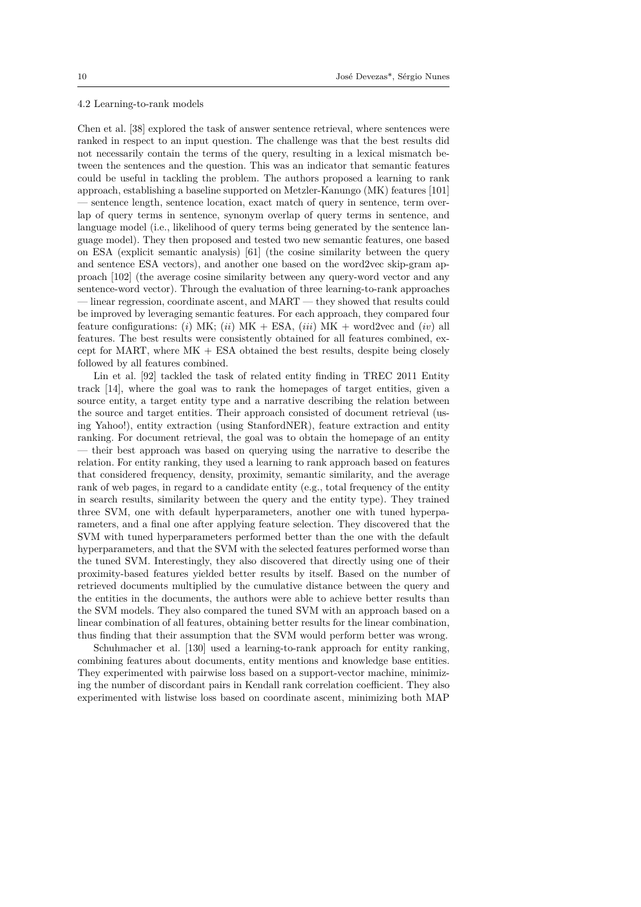#### 4.2 Learning-to-rank models

<span id="page-9-0"></span>Chen et al. [38] explored the task of answer sentence retrieval, where sentences were ranked in respect to an input question. The challenge was that the best results did not necessarily contain the terms of the query, resulting in a lexical mismatch between the sentences and the question. This was an indicator that semantic features could be us[efu](#page-35-1)l in tackling the problem. The authors proposed a learning to rank approach, establishing a baseline supported on Metzler-Kanungo (MK) features [101] — sentence length, sentence location, exact match of query in sentence, term overlap of query terms in sentence, synonym overlap of query terms in sentence, and language model (i.e., likelihood of query terms being generated by the sentence language model). They then proposed and tested two new semantic features, one b[ased](#page-39-1) on ESA (explicit semantic analysis) [61] (the cosine similarity between the query and sentence ESA vectors), and another one based on the word2vec skip-gram approach [102] (the average cosine similarity between any query-word vector and any sentence-word vector). Through the evaluation of three learning-to-rank approaches — linear regression, coordinate ascent, [an](#page-36-4)d MART — they showed that results could be improved by leveraging semantic features. For each approach, they compared four feature [confi](#page-39-2)gurations: (*i*) MK; (*ii*) MK + ESA, (*iii*) MK + word2vec and (*iv*) all features. The best results were consistently obtained for all features combined, except for MART, where MK + ESA obtained the best results, despite being closely followed by all features combined.

Lin et al. [92] tackled the task of related entity finding in TREC 2011 Entity track [14], where the goal was to rank the homepages of target entities, given a source entity, a target entity type and a narrative describing the relation between the source and target entities. Their approach consisted of document retrieval (using Yahoo!), e[ntit](#page-38-3)y extraction (using StanfordNER), feature extraction and entity rankin[g. F](#page-34-6)or document retrieval, the goal was to obtain the homepage of an entity — their best approach was based on querying using the narrative to describe the relation. For entity ranking, they used a learning to rank approach based on features that considered frequency, density, proximity, semantic similarity, and the average rank of web pages, in regard to a candidate entity (e.g., total frequency of the entity in search results, similarity between the query and the entity type). They trained three SVM, one with default hyperparameters, another one with tuned hyperparameters, and a final one after applying feature selection. They discovered that the SVM with tuned hyperparameters performed better than the one with the default hyperparameters, and that the SVM with the selected features performed worse than the tuned SVM. Interestingly, they also discovered that directly using one of their proximity-based features yielded better results by itself. Based on the number of retrieved documents multiplied by the cumulative distance between the query and the entities in the documents, the authors were able to achieve better results than the SVM models. They also compared the tuned SVM with an approach based on a linear combination of all features, obtaining better results for the linear combination, thus finding that their assumption that the SVM would perform better was wrong.

Schuhmacher et al. [130] used a learning-to-rank approach for entity ranking, combining features about documents, entity mentions and knowledge base entities. They experimented with pairwise loss based on a support-vector machine, minimizing the number of discordant pairs in Kendall rank correlation coefficient. They also experimented with listwi[se lo](#page-40-4)ss based on coordinate ascent, minimizing both MAP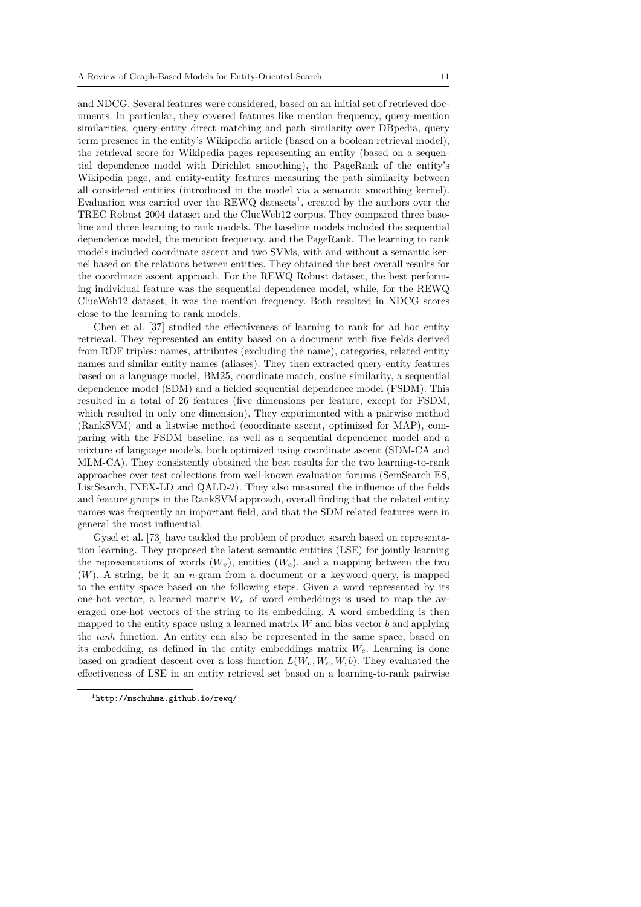and NDCG. Several features were considered, based on an initial set of retrieved documents. In particular, they covered features like mention frequency, query-mention similarities, query-entity direct matching and path similarity over DBpedia, query term presence in the entity's Wikipedia article (based on a boolean retrieval model), the retrieval score for Wikipedia pages representing an entity (based on a sequential dependence model with Dirichlet smoothing), the PageRank of the entity's Wikipedia page, and entity-entity features measuring the path similarity between all considered entities (introduced in the model via a semantic smoothing kernel). Evaluation was carried over the REWQ datasets<sup>1</sup>, created by the authors over the TREC Robust 2004 dataset and the ClueWeb12 corpus. They compared three baseline and three learning to rank models. The baseline models included the sequential dependence model, the mention frequency, and the PageRank. The learning to rank models included coordinate ascent and two SVM[s,](#page-10-0) with and without a semantic kernel based on the relations between entities. They obtained the best overall results for the coordinate ascent approach. For the REWQ Robust dataset, the best performing individual feature was the sequential dependence model, while, for the REWQ ClueWeb12 dataset, it was the mention frequency. Both resulted in NDCG scores close to the learning to rank models.

Chen et al. [37] studied the effectiveness of learning to rank for ad hoc entity retrieval. They represented an entity based on a document with five fields derived from RDF triples: names, attributes (excluding the name), categories, related entity names and similar entity names (aliases). They then extracted query-entity features based on a lang[uag](#page-35-2)e model, BM25, coordinate match, cosine similarity, a sequential dependence model (SDM) and a fielded sequential dependence model (FSDM). This resulted in a total of 26 features (five dimensions per feature, except for FSDM, which resulted in only one dimension). They experimented with a pairwise method (RankSVM) and a listwise method (coordinate ascent, optimized for MAP), comparing with the FSDM baseline, as well as a sequential dependence model and a mixture of language models, both optimized using coordinate ascent (SDM-CA and MLM-CA). They consistently obtained the best results for the two learning-to-rank approaches over test collections from well-known evaluation forums (SemSearch ES, ListSearch, INEX-LD and QALD-2). They also measured the influence of the fields and feature groups in the RankSVM approach, overall finding that the related entity names was frequently an important field, and that the SDM related features were in general the most influential.

Gysel et al. [73] have tackled the problem of product search based on representation learning. They proposed the latent semantic entities (LSE) for jointly learning the representations of words  $(W_v)$ , entities  $(W_e)$ , and a mapping between the two (*W*). A string, be it an *n*-gram from a document or a keyword query, is mapped to the entity sp[ace](#page-37-1) based on the following steps. Given a word represented by its one-hot vector, a learned matrix  $W_v$  of word embeddings is used to map the averaged one-hot vectors of the string to its embedding. A word embedding is then mapped to the entity space using a learned matrix *W* and bias vector *b* and applying the *tanh* function. An entity can also be represented in the same space, based on its embedding, as defined in the entity embeddings matrix *We*. Learning is done based on gradient descent over a loss function  $L(W_v, W_e, W, b)$ . They evaluated the effectiveness of LSE in an entity retrieval set based on a learning-to-rank pairwise

<span id="page-10-0"></span><sup>1</sup>http://mschuhma.github.io/rewq/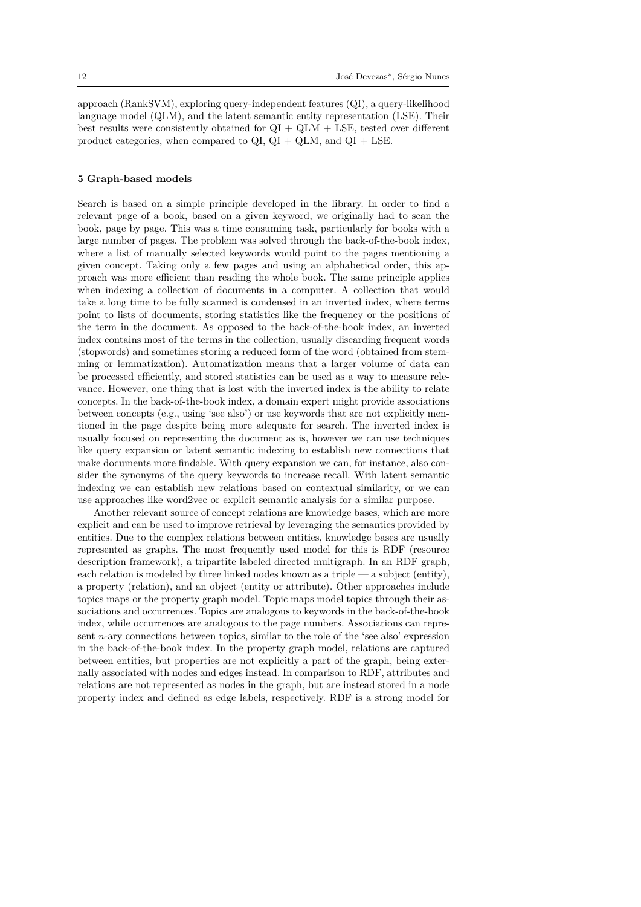approach (RankSVM), exploring query-independent features (QI), a query-likelihood language model (QLM), and the latent semantic entity representation (LSE). Their best results were consistently obtained for  $QI + QLM + LSE$ , tested over different product categories, when compared to  $QI$ ,  $QI + QLM$ , and  $QI + LSE$ .

## <span id="page-11-0"></span>**5 Graph-based models**

Search is based on a simple principle developed in the library. In order to find a relevant page of a book, based on a given keyword, we originally had to scan the book, page by page. This was a time consuming task, particularly for books with a large number of pages. The problem was solved through the back-of-the-book index, where a list of manually selected keywords would point to the pages mentioning a given concept. Taking only a few pages and using an alphabetical order, this approach was more efficient than reading the whole book. The same principle applies when indexing a collection of documents in a computer. A collection that would take a long time to be fully scanned is condensed in an inverted index, where terms point to lists of documents, storing statistics like the frequency or the positions of the term in the document. As opposed to the back-of-the-book index, an inverted index contains most of the terms in the collection, usually discarding frequent words (stopwords) and sometimes storing a reduced form of the word (obtained from stemming or lemmatization). Automatization means that a larger volume of data can be processed efficiently, and stored statistics can be used as a way to measure relevance. However, one thing that is lost with the inverted index is the ability to relate concepts. In the back-of-the-book index, a domain expert might provide associations between concepts (e.g., using 'see also') or use keywords that are not explicitly mentioned in the page despite being more adequate for search. The inverted index is usually focused on representing the document as is, however we can use techniques like query expansion or latent semantic indexing to establish new connections that make documents more findable. With query expansion we can, for instance, also consider the synonyms of the query keywords to increase recall. With latent semantic indexing we can establish new relations based on contextual similarity, or we can use approaches like word2vec or explicit semantic analysis for a similar purpose.

Another relevant source of concept relations are knowledge bases, which are more explicit and can be used to improve retrieval by leveraging the semantics provided by entities. Due to the complex relations between entities, knowledge bases are usually represented as graphs. The most frequently used model for this is RDF (resource description framework), a tripartite labeled directed multigraph. In an RDF graph, each relation is modeled by three linked nodes known as a triple — a subject (entity), a property (relation), and an object (entity or attribute). Other approaches include topics maps or the property graph model. Topic maps model topics through their associations and occurrences. Topics are analogous to keywords in the back-of-the-book index, while occurrences are analogous to the page numbers. Associations can represent *n*-ary connections between topics, similar to the role of the 'see also' expression in the back-of-the-book index. In the property graph model, relations are captured between entities, but properties are not explicitly a part of the graph, being externally associated with nodes and edges instead. In comparison to RDF, attributes and relations are not represented as nodes in the graph, but are instead stored in a node property index and defined as edge labels, respectively. RDF is a strong model for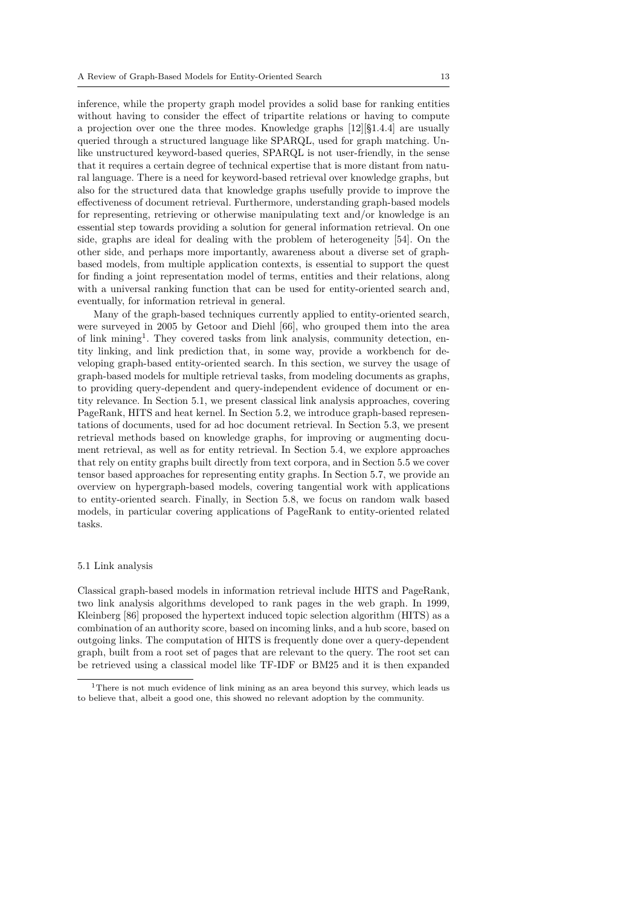inference, while the property graph model provides a solid base for ranking entities without having to consider the effect of tripartite relations or having to compute a projection over one the three modes. Knowledge graphs [12][§1.4.4] are usually queried through a structured language like SPARQL, used for graph matching. Unlike unstructured keyword-based queries, SPARQL is not user-friendly, in the sense that it requires a certain degree of technical expertise that is more distant from natural language. There is a need for keyword-based retrieval over [kn](#page-34-1)owledge graphs, but also for the structured data that knowledge graphs usefully provide to improve the effectiveness of document retrieval. Furthermore, understanding graph-based models for representing, retrieving or otherwise manipulating text and/or knowledge is an essential step towards providing a solution for general information retrieval. On one side, graphs are ideal for dealing with the problem of heterogeneity [54]. On the other side, and perhaps more importantly, awareness about a diverse set of graphbased models, from multiple application contexts, is essential to support the quest for finding a joint representation model of terms, entities and their relations, along with a universal ranking function that can be used for entity-oriented [se](#page-36-5)arch and, eventually, for information retrieval in general.

Many of the graph-based techniques currently applied to entity-oriented search, were surveyed in 2005 by Getoor and Diehl [66], who grouped them into the area of link mining<sup>1</sup>. They covered tasks from link analysis, community detection, entity linking, and link prediction that, in some way, provide a workbench for developing graph-based entity-oriented search. In this section, we survey the usage of graph-based models for multiple retrieval task[s, fr](#page-37-2)om modeling documents as graphs, to providing q[u](#page-12-1)ery-dependent and query-independent evidence of document or entity relevance. In Section 5.1, we present classical link analysis approaches, covering PageRank, HITS and heat kernel. In Section 5.2, we introduce graph-based representations of documents, used for ad hoc document retrieval. In Section 5.3, we present retrieval methods based on knowledge graphs, for improving or augmenting document retrieval, as well as [for](#page-12-0) entity retrieval. In Section 5.4, we explore approaches that rely on entity graphs built directly from [text](#page-14-0) corpora, and in Section 5.5 we cover tensor based approaches for representing entity graphs. In Section 5.7[, we](#page-16-0) provide an overview on hypergraph-based models, covering tangential work with applications to entity-oriented search. Finally, in Section 5.8, we fo[cus](#page-19-0) on random walk based models, in particular covering applications of PageRank to entity-orie[nted](#page-21-0) related tasks.

#### 5.1 Link analysis

<span id="page-12-0"></span>Classical graph-based models in information retrieval include HITS and PageRank, two link analysis algorithms developed to rank pages in the web graph. In 1999, Kleinberg [86] proposed the hypertext induced topic selection algorithm (HITS) as a combination of an authority score, based on incoming links, and a hub score, based on outgoing links. The computation of HITS is frequently done over a query-dependent graph, built from a root set of pages that are relevant to the query. The root set can be retrieve[d u](#page-38-4)sing a classical model like TF-IDF or BM25 and it is then expanded

<span id="page-12-1"></span><sup>&</sup>lt;sup>1</sup>There is not much evidence of link mining as an area beyond this survey, which leads us to believe that, albeit a good one, this showed no relevant adoption by the community.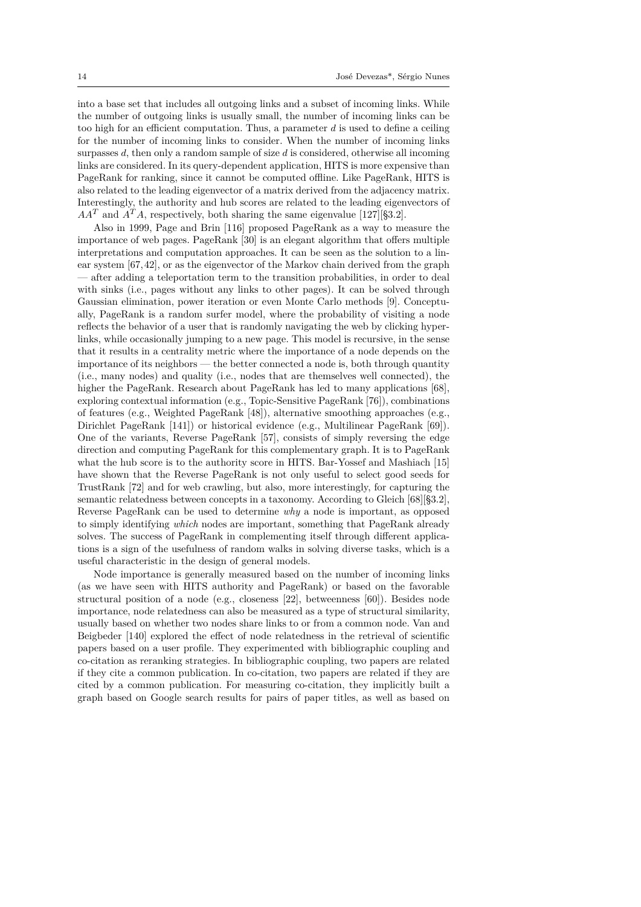into a base set that includes all outgoing links and a subset of incoming links. While the number of outgoing links is usually small, the number of incoming links can be too high for an efficient computation. Thus, a parameter *d* is used to define a ceiling for the number of incoming links to consider. When the number of incoming links surpasses *d*, then only a random sample of size *d* is considered, otherwise all incoming links are considered. In its query-dependent application, HITS is more expensive than PageRank for ranking, since it cannot be computed offline. Like PageRank, HITS is also related to the leading eigenvector of a matrix derived from the adjacency matrix. Interestingly, the authority and hub scores are related to the leading eigenvectors of  $AA<sup>T</sup>$  and  $A<sup>T</sup>A$ , respectively, both sharing the same eigenvalue [127][§3.2].

Also in 1999, Page and Brin [116] proposed PageRank as a way to measure the importance of web pages. PageRank [30] is an elegant algorithm that offers multiple interpretations and computation approaches. It can be seen as the solution to a linear system [67,42], or as the eigenvector of the Markov chain de[rived](#page-40-5) from the graph — after adding a teleportation te[rm](#page-39-3) to the transition probabilities, in order to deal with sinks (i.e., pages without any li[nk](#page-35-3)s to other pages). It can be solved through Gaussian elimination, power iteration or even Monte Carlo methods [9]. Conceptually, PageR[ank](#page-37-3) [is](#page-35-4) a random surfer model, where the probability of visiting a node reflects the behavior of a user that is randomly navigating the web by clicking hyperlinks, while occasionally jumping to a new page. This model is recursive, in the sense that it results in a centrality metric where the importance of a node d[ep](#page-33-1)ends on the importance of its neighbors — the better connected a node is, both through quantity (i.e., many nodes) and quality (i.e., nodes that are themselves well connected), the higher the PageRank. Research about PageRank has led to many applications [68], exploring contextual information (e.g., Topic-Sensitive PageRank [76]), combinations of features (e.g., Weighted PageRank [48]), alternative smoothing approaches (e.g., Dirichlet PageRank [141]) or historical evidence (e.g., Multilinear PageRank [69]). One of the variants, Reverse PageRank [57], consists of simply reversing the [edg](#page-37-4)e direction and computing PageRank for this complementary graph[. It](#page-37-5) is to PageRank what the hub score is to the authority [sco](#page-36-6)re in HITS. Bar-Yossef and Mashiach [15] have shown that the [Rev](#page-41-2)erse PageRank is not only useful to select good seed[s f](#page-37-6)or TrustRank [72] and for web crawling, but [als](#page-36-7)o, more interestingly, for capturing the semantic relatedness between concepts in a taxonomy. According to Gleich [68][§3.2], Reverse PageRank can be used to determine *why* a node is important, as oppo[sed](#page-34-7) to simply identifying *which* nodes are important, something that PageRank already solves. The [suc](#page-37-7)cess of PageRank in complementing itself through different applications is a sign of the usefulness of random walks in solving diverse tasks, [whi](#page-37-4)ch is a useful characteristic in the design of general models.

Node importance is generally measured based on the number of incoming links (as we have seen with HITS authority and PageRank) or based on the favorable structural position of a node (e.g., closeness [22], betweenness [60]). Besides node importance, node relatedness can also be measured as a type of structural similarity, usually based on whether two nodes share links to or from a common node. Van and Beigbeder [140] explored the effect of node relatedness in the retrieval of scientific papers based on a user profile. They experime[nte](#page-34-8)d with bibliogr[aph](#page-36-8)ic coupling and co-citation as reranking strategies. In bibliographic coupling, two papers are related if they cite a common publication. In co-citation, two papers are related if they are cited by a [com](#page-41-3)mon publication. For measuring co-citation, they implicitly built a graph based on Google search results for pairs of paper titles, as well as based on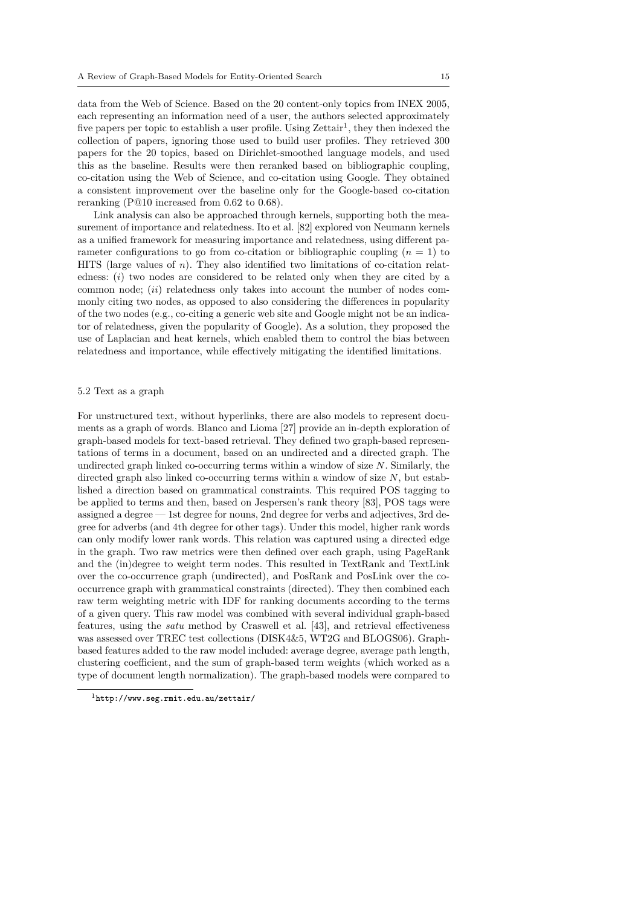data from the Web of Science. Based on the 20 content-only topics from INEX 2005, each representing an information need of a user, the authors selected approximately five papers per topic to establish a user profile. Using  $Zeta$  they then indexed the collection of papers, ignoring those used to build user profiles. They retrieved 300 papers for the 20 topics, based on Dirichlet-smoothed language models, and used this as the baseline. Results were then reranked based on bibliographic coupling, co-citation using the Web of Science, and co-citation using [G](#page-14-1)oogle. They obtained a consistent improvement over the baseline only for the Google-based co-citation reranking (P@10 increased from 0*.*62 to 0*.*68).

Link analysis can also be approached through kernels, supporting both the measurement of importance and relatedness. Ito et al. [82] explored von Neumann kernels as a unified framework for measuring importance and relatedness, using different parameter configurations to go from co-citation or bibliographic coupling (*n* = 1) to HITS (large values of *n*). They also identified two limitations of co-citation relatedness: (*i*) two nodes are considered to be relat[ed](#page-38-5) only when they are cited by a common node; (*ii*) relatedness only takes into account the number of nodes commonly citing two nodes, as opposed to also considering the differences in popularity of the two nodes (e.g., co-citing a generic web site and Google might not be an indicator of relatedness, given the popularity of Google). As a solution, they proposed the use of Laplacian and heat kernels, which enabled them to control the bias between relatedness and importance, while effectively mitigating the identified limitations.

## 5.2 Text as a graph

<span id="page-14-0"></span>For unstructured text, without hyperlinks, there are also models to represent documents as a graph of words. Blanco and Lioma [27] provide an in-depth exploration of graph-based models for text-based retrieval. They defined two graph-based representations of terms in a document, based on an undirected and a directed graph. The undirected graph linked co-occurring terms within a window of size *N*. Similarly, the directed graph also linked co-occurring terms [wit](#page-34-9)hin a window of size *N*, but established a direction based on grammatical constraints. This required POS tagging to be applied to terms and then, based on Jespersen's rank theory [83], POS tags were assigned a degree — 1st degree for nouns, 2nd degree for verbs and adjectives, 3rd degree for adverbs (and 4th degree for other tags). Under this model, higher rank words can only modify lower rank words. This relation was captured using a directed edge in the graph. Two raw metrics were then defined over each gra[ph,](#page-38-6) using PageRank and the (in)degree to weight term nodes. This resulted in TextRank and TextLink over the co-occurrence graph (undirected), and PosRank and PosLink over the cooccurrence graph with grammatical constraints (directed). They then combined each raw term weighting metric with IDF for ranking documents according to the terms of a given query. This raw model was combined with several individual graph-based features, using the *satu* method by Craswell et al. [43], and retrieval effectiveness was assessed over TREC test collections (DISK4&5, WT2G and BLOGS06). Graphbased features added to the raw model included: average degree, average path length, clustering coefficient, and the sum of graph-based term weights (which worked as a type of document length normalization). The graph-[bas](#page-35-5)ed models were compared to

<span id="page-14-1"></span><sup>1</sup>http://www.seg.rmit.edu.au/zettair/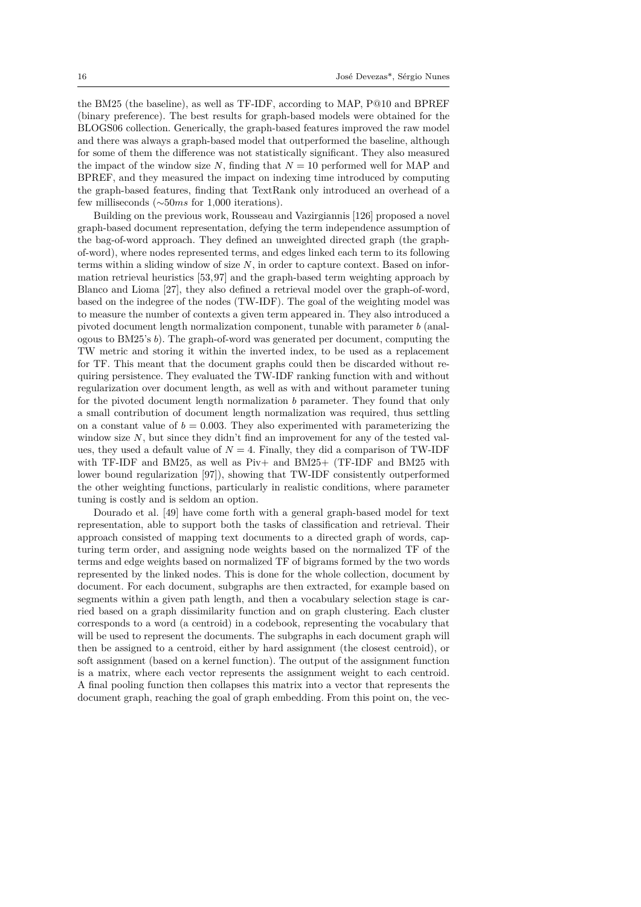the BM25 (the baseline), as well as TF-IDF, according to MAP, P@10 and BPREF (binary preference). The best results for graph-based models were obtained for the BLOGS06 collection. Generically, the graph-based features improved the raw model and there was always a graph-based model that outperformed the baseline, although for some of them the difference was not statistically significant. They also measured the impact of the window size  $N$ , finding that  $N = 10$  performed well for MAP and BPREF, and they measured the impact on indexing time introduced by computing the graph-based features, finding that TextRank only introduced an overhead of a few milliseconds (*∼*50*ms* for 1*,*000 iterations).

Building on the previous work, Rousseau and Vazirgiannis [126] proposed a novel graph-based document representation, defying the term independence assumption of the bag-of-word approach. They defined an unweighted directed graph (the graphof-word), where nodes represented terms, and edges linked each term to its following terms within a sliding window of size *N*, in order to capture co[ntex](#page-40-6)t. Based on information retrieval heuristics [53,97] and the graph-based term weighting approach by Blanco and Lioma [27], they also defined a retrieval model over the graph-of-word, based on the indegree of the nodes (TW-IDF). The goal of the weighting model was to measure the number of contexts a given term appeared in. They also introduced a pivoted document length n[orm](#page-36-9)[ali](#page-38-7)zation component, tunable with parameter *b* (analogous to BM25's *b*). [Th](#page-34-9)e graph-of-word was generated per document, computing the TW metric and storing it within the inverted index, to be used as a replacement for TF. This meant that the document graphs could then be discarded without requiring persistence. They evaluated the TW-IDF ranking function with and without regularization over document length, as well as with and without parameter tuning for the pivoted document length normalization *b* parameter. They found that only a small contribution of document length normalization was required, thus settling on a constant value of  $b = 0.003$ . They also experimented with parameterizing the window size *N*, but since they didn't find an improvement for any of the tested values, they used a default value of  $N = 4$ . Finally, they did a comparison of TW-IDF with TF-IDF and BM25, as well as Piv+ and BM25+ (TF-IDF and BM25 with lower bound regularization [97]), showing that TW-IDF consistently outperformed the other weighting functions, particularly in realistic conditions, where parameter tuning is costly and is seldom an option.

Dourado et al. [49] have come forth with a general graph-based model for text representation, able to supp[ort](#page-38-7) both the tasks of classification and retrieval. Their approach consisted of mapping text documents to a directed graph of words, capturing term order, and assigning node weights based on the normalized TF of the terms and edge wei[ght](#page-36-10)s based on normalized TF of bigrams formed by the two words represented by the linked nodes. This is done for the whole collection, document by document. For each document, subgraphs are then extracted, for example based on segments within a given path length, and then a vocabulary selection stage is carried based on a graph dissimilarity function and on graph clustering. Each cluster corresponds to a word (a centroid) in a codebook, representing the vocabulary that will be used to represent the documents. The subgraphs in each document graph will then be assigned to a centroid, either by hard assignment (the closest centroid), or soft assignment (based on a kernel function). The output of the assignment function is a matrix, where each vector represents the assignment weight to each centroid. A final pooling function then collapses this matrix into a vector that represents the document graph, reaching the goal of graph embedding. From this point on, the vec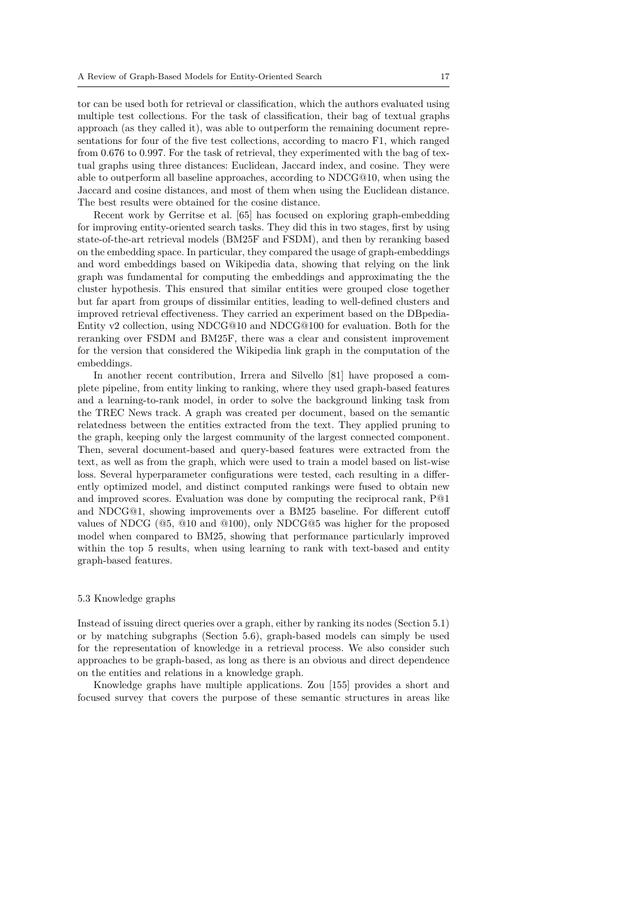tor can be used both for retrieval or classification, which the authors evaluated using multiple test collections. For the task of classification, their bag of textual graphs approach (as they called it), was able to outperform the remaining document representations for four of the five test collections, according to macro F1, which ranged from 0*.*676 to 0*.*997. For the task of retrieval, they experimented with the bag of textual graphs using three distances: Euclidean, Jaccard index, and cosine. They were able to outperform all baseline approaches, according to NDCG@10, when using the Jaccard and cosine distances, and most of them when using the Euclidean distance. The best results were obtained for the cosine distance.

Recent work by Gerritse et al. [65] has focused on exploring graph-embedding for improving entity-oriented search tasks. They did this in two stages, first by using state-of-the-art retrieval models (BM25F and FSDM), and then by reranking based on the embedding space. In particular, they compared the usage of graph-embeddings and word embeddings based on Wi[kip](#page-37-8)edia data, showing that relying on the link graph was fundamental for computing the embeddings and approximating the the cluster hypothesis. This ensured that similar entities were grouped close together but far apart from groups of dissimilar entities, leading to well-defined clusters and improved retrieval effectiveness. They carried an experiment based on the DBpedia-Entity v2 collection, using NDCG@10 and NDCG@100 for evaluation. Both for the reranking over FSDM and BM25F, there was a clear and consistent improvement for the version that considered the Wikipedia link graph in the computation of the embeddings.

In another recent contribution, Irrera and Silvello [81] have proposed a complete pipeline, from entity linking to ranking, where they used graph-based features and a learning-to-rank model, in order to solve the background linking task from the TREC News track. A graph was created per document, based on the semantic relatedness between the entities extracted from the tex[t. T](#page-37-9)hey applied pruning to the graph, keeping only the largest community of the largest connected component. Then, several document-based and query-based features were extracted from the text, as well as from the graph, which were used to train a model based on list-wise loss. Several hyperparameter configurations were tested, each resulting in a differently optimized model, and distinct computed rankings were fused to obtain new and improved scores. Evaluation was done by computing the reciprocal rank, P@1 and NDCG@1, showing improvements over a BM25 baseline. For different cutoff values of NDCG (@5, @10 and @100), only NDCG@5 was higher for the proposed model when compared to BM25, showing that performance particularly improved within the top 5 results, when using learning to rank with text-based and entity graph-based features.

#### 5.3 Knowledge graphs

<span id="page-16-0"></span>Instead of issuing direct queries over a graph, either by ranking its nodes (Section 5.1) or by matching subgraphs (Section 5.6), graph-based models can simply be used for the representation of knowledge in a retrieval process. We also consider such approaches to be graph-based, as long as there is an obvious and direct dependence on the entities and relations in a knowledge graph.

Knowledge graphs have multiple [ap](#page-21-1)plications. Zou [155] provides a short [and](#page-12-0) focused survey that covers the purpose of these semantic structures in areas like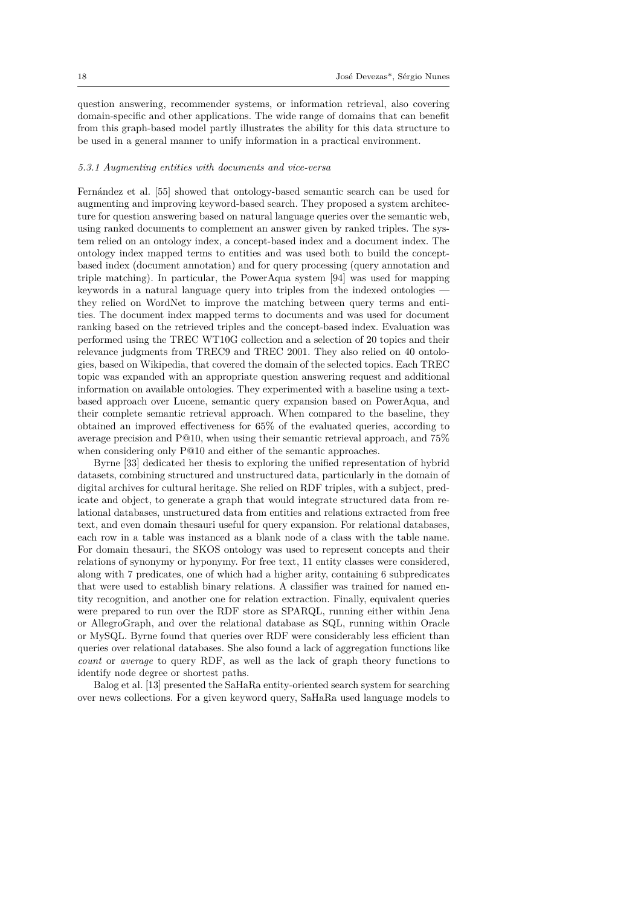question answering, recommender systems, or information retrieval, also covering domain-specific and other applications. The wide range of domains that can benefit from this graph-based model partly illustrates the ability for this data structure to be used in a general manner to unify information in a practical environment.

### *5.3.1 Augmenting entities with documents and vice-versa*

Fernández et al. [55] showed that ontology-based semantic search can be used for augmenting and improving keyword-based search. They proposed a system architecture for question answering based on natural language queries over the semantic web, using ranked documents to complement an answer given by ranked triples. The system relied on an [ont](#page-36-11)ology index, a concept-based index and a document index. The ontology index mapped terms to entities and was used both to build the conceptbased index (document annotation) and for query processing (query annotation and triple matching). In particular, the PowerAqua system [94] was used for mapping keywords in a natural language query into triples from the indexed ontologies they relied on WordNet to improve the matching between query terms and entities. The document index mapped terms to documents and was used for document ranking based on the retrieved triples and the concept-b[ased](#page-38-8) index. Evaluation was performed using the TREC WT10G collection and a selection of 20 topics and their relevance judgments from TREC9 and TREC 2001. They also relied on 40 ontologies, based on Wikipedia, that covered the domain of the selected topics. Each TREC topic was expanded with an appropriate question answering request and additional information on available ontologies. They experimented with a baseline using a textbased approach over Lucene, semantic query expansion based on PowerAqua, and their complete semantic retrieval approach. When compared to the baseline, they obtained an improved effectiveness for 65% of the evaluated queries, according to average precision and P@10, when using their semantic retrieval approach, and 75% when considering only P@10 and either of the semantic approaches.

Byrne [33] dedicated her thesis to exploring the unified representation of hybrid datasets, combining structured and unstructured data, particularly in the domain of digital archives for cultural heritage. She relied on RDF triples, with a subject, predicate and object, to generate a graph that would integrate structured data from relational da[tab](#page-35-6)ases, unstructured data from entities and relations extracted from free text, and even domain thesauri useful for query expansion. For relational databases, each row in a table was instanced as a blank node of a class with the table name. For domain thesauri, the SKOS ontology was used to represent concepts and their relations of synonymy or hyponymy. For free text, 11 entity classes were considered, along with 7 predicates, one of which had a higher arity, containing 6 subpredicates that were used to establish binary relations. A classifier was trained for named entity recognition, and another one for relation extraction. Finally, equivalent queries were prepared to run over the RDF store as SPARQL, running either within Jena or AllegroGraph, and over the relational database as SQL, running within Oracle or MySQL. Byrne found that queries over RDF were considerably less efficient than queries over relational databases. She also found a lack of aggregation functions like *count* or *average* to query RDF, as well as the lack of graph theory functions to identify node degree or shortest paths.

Balog et al. [13] presented the SaHaRa entity-oriented search system for searching over news collections. For a given keyword query, SaHaRa used language models to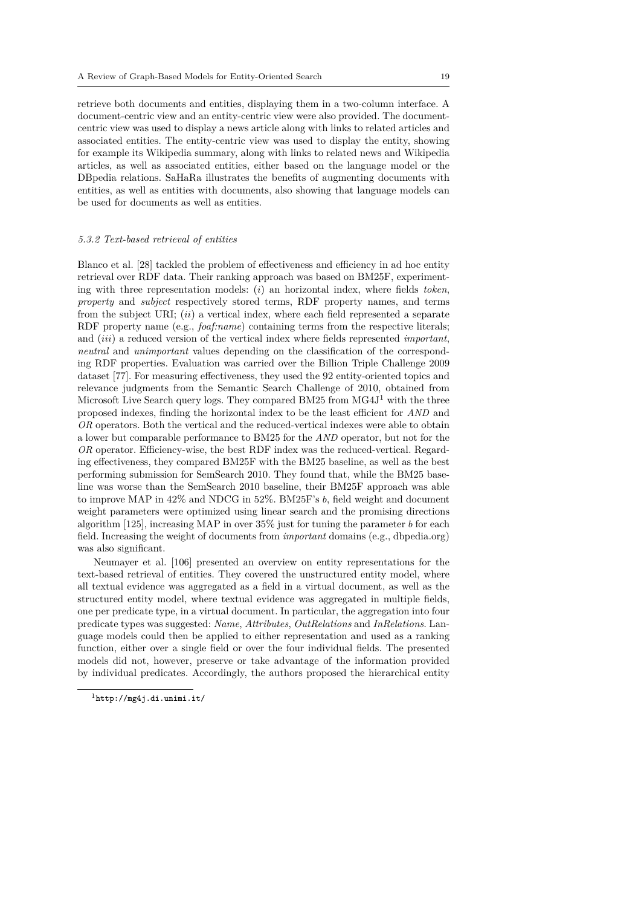retrieve both documents and entities, displaying them in a two-column interface. A document-centric view and an entity-centric view were also provided. The documentcentric view was used to display a news article along with links to related articles and associated entities. The entity-centric view was used to display the entity, showing for example its Wikipedia summary, along with links to related news and Wikipedia articles, as well as associated entities, either based on the language model or the DBpedia relations. SaHaRa illustrates the benefits of augmenting documents with entities, as well as entities with documents, also showing that language models can be used for documents as well as entities.

## *5.3.2 Text-based retrieval of entities*

Blanco et al. [28] tackled the problem of effectiveness and efficiency in ad hoc entity retrieval over RDF data. Their ranking approach was based on BM25F, experimenting with three representation models: (*i*) an horizontal index, where fields *token*, *property* and *subject* respectively stored terms, RDF property names, and terms from the subj[ect](#page-34-10) URI; (*ii*) a vertical index, where each field represented a separate RDF property name (e.g., *foaf:name*) containing terms from the respective literals; and (*iii*) a reduced version of the vertical index where fields represented *important*, *neutral* and *unimportant* values depending on the classification of the corresponding RDF properties. Evaluation was carried over the Billion Triple Challenge 2009 dataset [77]. For measuring effectiveness, they used the 92 entity-oriented topics and relevance judgments from the Semantic Search Challenge of 2010, obtained from Microsoft Live Search query logs. They compared BM25 from  $\text{MG}4J^1$  with the three proposed indexes, finding the horizontal index to be the least efficient for *AND* and *OR* oper[ato](#page-37-10)rs. Both the vertical and the reduced-vertical indexes were able to obtain a lower but comparable performance to BM25 for the *AND* operator, but not for the *OR* operator. Efficiency-wise, the best RDF index was the reduced-[ve](#page-18-0)rtical. Regarding effectiveness, they compared BM25F with the BM25 baseline, as well as the best performing submission for SemSearch 2010. They found that, while the BM25 baseline was worse than the SemSearch 2010 baseline, their BM25F approach was able to improve MAP in 42% and NDCG in 52%. BM25F's *b*, field weight and document weight parameters were optimized using linear search and the promising directions algorithm [125], increasing MAP in over 35% just for tuning the parameter *b* for each field. Increasing the weight of documents from *important* domains (e.g., dbpedia.org) was also significant.

Neumayer et al. [106] presented an overview on entity representations for the text-based [retr](#page-40-7)ieval of entities. They covered the unstructured entity model, where all textual evidence was aggregated as a field in a virtual document, [as well as the](http://dbpedia.org) structured entity model, where textual evidence was aggregated in multiple fields, one per predicate typ[e, in](#page-39-4) a virtual document. In particular, the aggregation into four predicate types was suggested: *Name*, *Attributes*, *OutRelations* and *InRelations*. Language models could then be applied to either representation and used as a ranking function, either over a single field or over the four individual fields. The presented models did not, however, preserve or take advantage of the information provided by individual predicates. Accordingly, the authors proposed the hierarchical entity

<span id="page-18-0"></span><sup>1</sup>http://mg4j.di.unimi.it/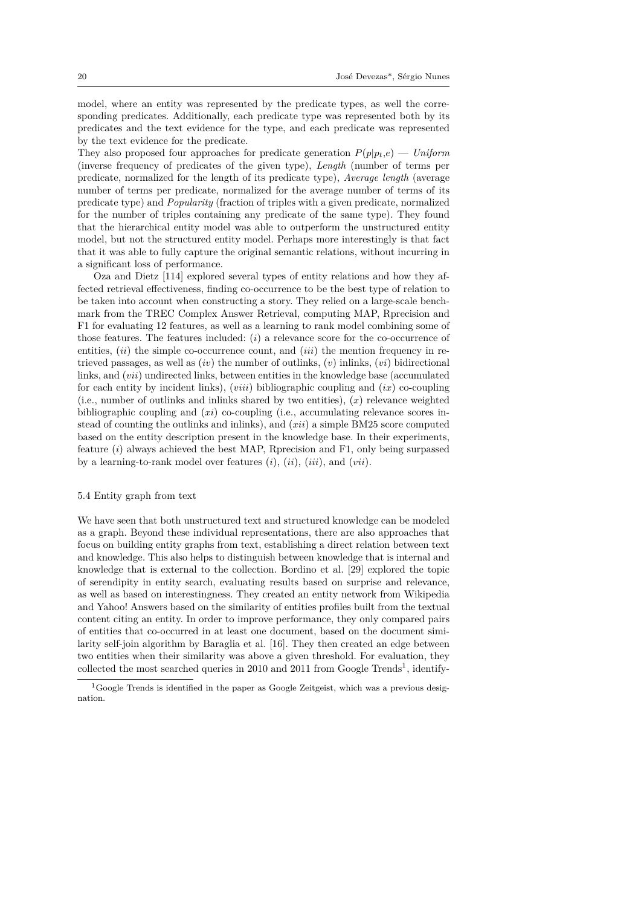model, where an entity was represented by the predicate types, as well the corresponding predicates. Additionally, each predicate type was represented both by its predicates and the text evidence for the type, and each predicate was represented by the text evidence for the predicate.

They also proposed four approaches for predicate generation  $P(p|p_t,e)$  — *Uniform* (inverse frequency of predicates of the given type), *Length* (number of terms per predicate, normalized for the length of its predicate type), *Average length* (average number of terms per predicate, normalized for the average number of terms of its predicate type) and *Popularity* (fraction of triples with a given predicate, normalized for the number of triples containing any predicate of the same type). They found that the hierarchical entity model was able to outperform the unstructured entity model, but not the structured entity model. Perhaps more interestingly is that fact that it was able to fully capture the original semantic relations, without incurring in a significant loss of performance.

Oza and Dietz [114] explored several types of entity relations and how they affected retrieval effectiveness, finding co-occurrence to be the best type of relation to be taken into account when constructing a story. They relied on a large-scale benchmark from the TREC Complex Answer Retrieval, computing MAP, Rprecision and F1 for evaluating 1[2 fea](#page-39-5)tures, as well as a learning to rank model combining some of those features. The features included: (*i*) a relevance score for the co-occurrence of entities, (*ii*) the simple co-occurrence count, and (*iii*) the mention frequency in retrieved passages, as well as (*iv*) the number of outlinks, (*v*) inlinks, (*vi*) bidirectional links, and (*vii*) undirected links, between entities in the knowledge base (accumulated for each entity by incident links), (*viii*) bibliographic coupling and (*ix*) co-coupling (i.e., number of outlinks and inlinks shared by two entities), (*x*) relevance weighted bibliographic coupling and (*xi*) co-coupling (i.e., accumulating relevance scores instead of counting the outlinks and inlinks), and (*xii*) a simple BM25 score computed based on the entity description present in the knowledge base. In their experiments, feature (*i*) always achieved the best MAP, Rprecision and F1, only being surpassed by a learning-to-rank model over features (*i*), (*ii*), (*iii*), and (*vii*).

## 5.4 Entity graph from text

<span id="page-19-0"></span>We have seen that both unstructured text and structured knowledge can be modeled as a graph. Beyond these individual representations, there are also approaches that focus on building entity graphs from text, establishing a direct relation between text and knowledge. This also helps to distinguish between knowledge that is internal and knowledge that is external to the collection. Bordino et al. [29] explored the topic of serendipity in entity search, evaluating results based on surprise and relevance, as well as based on interestingness. They created an entity network from Wikipedia and Yahoo! Answers based on the similarity of entities profiles built from the textual content citing an entity. In order to improve performance, th[ey o](#page-35-7)nly compared pairs of entities that co-occurred in at least one document, based on the document similarity self-join algorithm by Baraglia et al. [16]. They then created an edge between two entities when their similarity was above a given threshold. For evaluation, they collected the most searched queries in 2010 and 2011 from Google Trends<sup>1</sup>, identify-

 ${}^{1}$ [Goo](#page-34-11)gle Trends is identified in the paper as Google Zeitgeist, which was a previous designation.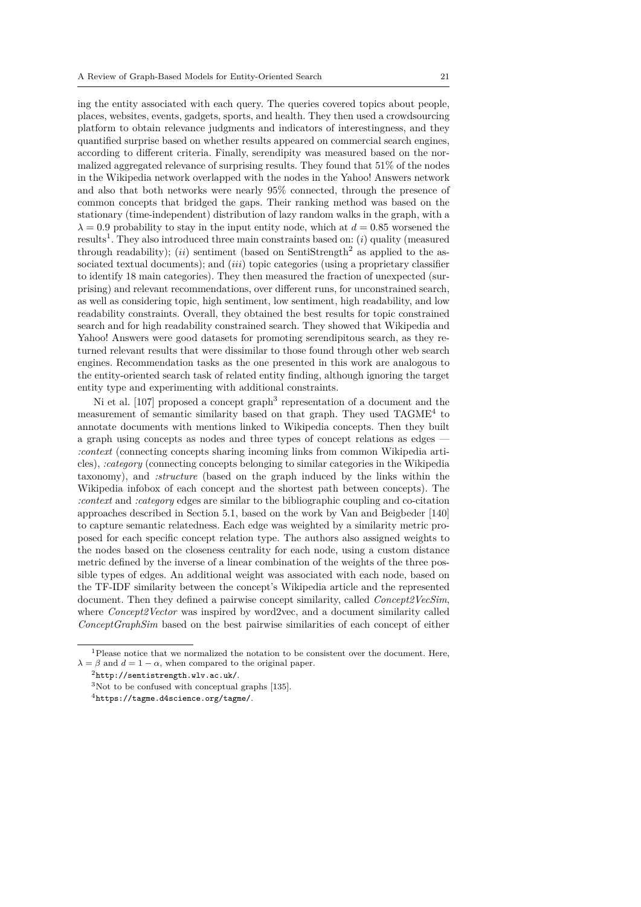ing the entity associated with each query. The queries covered topics about people, places, websites, events, gadgets, sports, and health. They then used a crowdsourcing platform to obtain relevance judgments and indicators of interestingness, and they quantified surprise based on whether results appeared on commercial search engines, according to different criteria. Finally, serendipity was measured based on the normalized aggregated relevance of surprising results. They found that 51% of the nodes in the Wikipedia network overlapped with the nodes in the Yahoo! Answers network and also that both networks were nearly 95% connected, through the presence of common concepts that bridged the gaps. Their ranking method was based on the stationary (time-independent) distribution of lazy random walks in the graph, with a  $\lambda = 0.9$  probability to stay in the input entity node, which at  $d = 0.85$  worsened the results<sup>1</sup>. They also introduced three main constraints based on: (*i*) quality (measured through readability);  $(ii)$  sentiment (based on SentiStrength<sup>2</sup> as applied to the associated textual documents); and *(iii)* topic categories (using a proprietary classifier to identify 18 main categories). They then measured the fraction of unexpected (surprisin[g\)](#page-20-0) and relevant recommendations, over different runs, for unconstrained search, as well as considering topic, high sentiment, low sentiment, h[ig](#page-20-1)h readability, and low readability constraints. Overall, they obtained the best results for topic constrained search and for high readability constrained search. They showed that Wikipedia and Yahoo! Answers were good datasets for promoting serendipitous search, as they returned relevant results that were dissimilar to those found through other web search engines. Recommendation tasks as the one presented in this work are analogous to the entity-oriented search task of related entity finding, although ignoring the target entity type and experimenting with additional constraints.

Ni et al. [107] proposed a concept graph<sup>3</sup> representation of a document and the measurement of semantic similarity based on that graph. They used TAGME<sup>4</sup> to annotate documents with mentions linked to Wikipedia concepts. Then they built a graph using concepts as nodes and three types of concept relations as edges — *:context* (con[nect](#page-39-6)ing concepts sharing inco[min](#page-20-2)g links from common Wikipedia articles), *:category* (connecting concepts belonging to similar categories in the Wikip[e](#page-20-3)dia taxonomy), and *:structure* (based on the graph induced by the links within the Wikipedia infobox of each concept and the shortest path between concepts). The *:context* and *:category* edges are similar to the bibliographic coupling and co-citation approaches described in Section 5.1, based on the work by Van and Beigbeder [140] to capture semantic relatedness. Each edge was weighted by a similarity metric proposed for each specific concept relation type. The authors also assigned weights to the nodes based on the closeness centrality for each node, using a custom distance metric defined by the inverse of [a lin](#page-12-0)ear combination of the weights of the three [pos](#page-41-3)sible types of edges. An additional weight was associated with each node, based on the TF-IDF similarity between the concept's Wikipedia article and the represented document. Then they defined a pairwise concept similarity, called *Concept2VecSim*, where *Concept2Vector* was inspired by word2vec, and a document similarity called *ConceptGraphSim* based on the best pairwise similarities of each concept of either

<sup>1</sup>Please notice that we normalized the notation to be consistent over the document. Here,  $\lambda = \beta$  and  $d = 1 - \alpha$ , when compared to the original paper.

 $^{2}$ http://sentistrength.wlv.ac.uk/.

 $3$ Not to be confused with conceptual graphs [135].

<span id="page-20-3"></span><span id="page-20-2"></span><span id="page-20-1"></span><span id="page-20-0"></span><sup>4</sup>https://tagme.d4science.org/tagme/.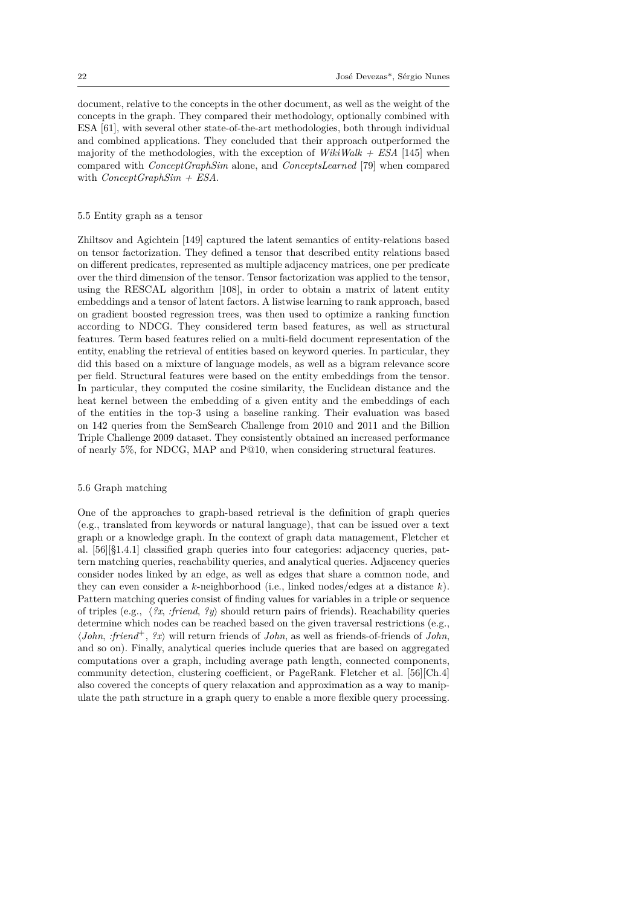document, relative to the concepts in the other document, as well as the weight of the concepts in the graph. They compared their methodology, optionally combined with ESA [61], with several other state-of-the-art methodologies, both through individual and combined applications. They concluded that their approach outperformed the majority of the methodologies, with the exception of *WikiWalk + ESA* [145] when compared with *ConceptGraphSim* alone, and *ConceptsLearned* [79] when compared with *[Con](#page-36-4)ceptGraphSim + ESA*.

#### 5.5 Entity graph as a tensor

<span id="page-21-0"></span>Zhiltsov and Agichtein [149] captured the latent semantics of entity-relations based on tensor factorization. They defined a tensor that described entity relations based on different predicates, represented as multiple adjacency matrices, one per predicate over the third dimension of the tensor. Tensor factorization was applied to the tensor, using the RESCAL alg[orith](#page-41-4)m [108], in order to obtain a matrix of latent entity embeddings and a tensor of latent factors. A listwise learning to rank approach, based on gradient boosted regression trees, was then used to optimize a ranking function according to NDCG. They considered term based features, as well as structural features. Term based features re[lied](#page-39-7) on a multi-field document representation of the entity, enabling the retrieval of entities based on keyword queries. In particular, they did this based on a mixture of language models, as well as a bigram relevance score per field. Structural features were based on the entity embeddings from the tensor. In particular, they computed the cosine similarity, the Euclidean distance and the heat kernel between the embedding of a given entity and the embeddings of each of the entities in the top-3 using a baseline ranking. Their evaluation was based on 142 queries from the SemSearch Challenge from 2010 and 2011 and the Billion Triple Challenge 2009 dataset. They consistently obtained an increased performance of nearly 5%, for NDCG, MAP and P@10, when considering structural features.

## 5.6 Graph matching

<span id="page-21-1"></span>One of the approaches to graph-based retrieval is the definition of graph queries (e.g., translated from keywords or natural language), that can be issued over a text graph or a knowledge graph. In the context of graph data management, Fletcher et al. [56][§1.4.1] classified graph queries into four categories: adjacency queries, pattern matching queries, reachability queries, and analytical queries. Adjacency queries consider nodes linked by an edge, as well as edges that share a common node, and they can even consider a *k*-neighborhood (i.e., linked nodes/edges at a distance *k*). Pat[ter](#page-36-12)n matching queries consist of finding values for variables in a triple or sequence of triples (e.g., *⟨?x*, *:friend*, *?y⟩* should return pairs of friends). Reachability queries determine which nodes can be reached based on the given traversal restrictions (e.g., *⟨John*, *:friend*<sup>+</sup>, *?x⟩* will return friends of *John*, as well as friends-of-friends of *John*, and so on). Finally, analytical queries include queries that are based on aggregated computations over a graph, including average path length, connected components, community detection, clustering coefficient, or PageRank. Fletcher et al. [56][Ch.4] also covered the concepts of query relaxation and approximation as a way to manipulate the path structure in a graph query to enable a more flexible query processing.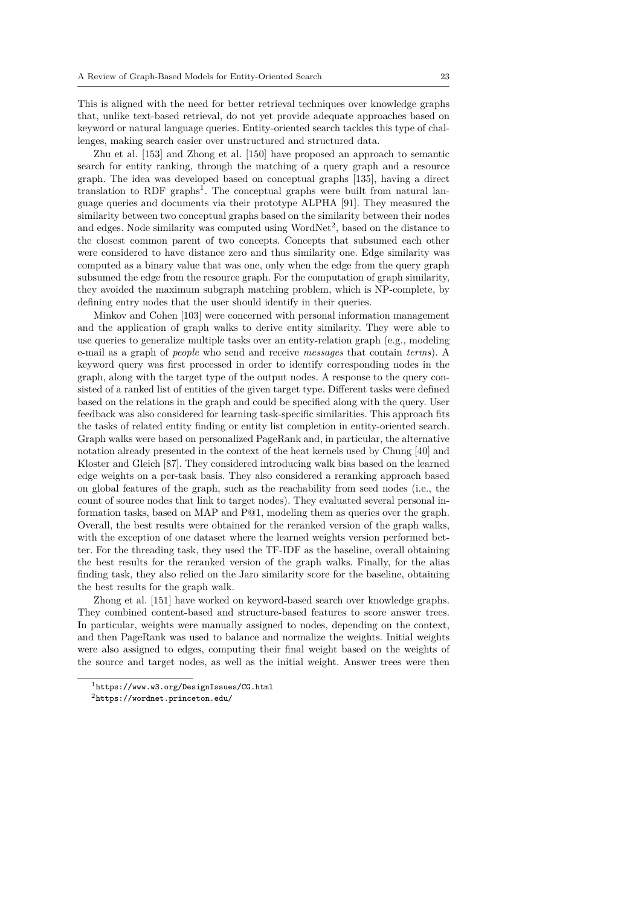This is aligned with the need for better retrieval techniques over knowledge graphs that, unlike text-based retrieval, do not yet provide adequate approaches based on keyword or natural language queries. Entity-oriented search tackles this type of challenges, making search easier over unstructured and structured data.

Zhu et al. [153] and Zhong et al. [150] have proposed an approach to semantic search for entity ranking, through the matching of a query graph and a resource graph. The idea was developed based on conceptual graphs [135], having a direct translation to RDF graphs<sup>1</sup>. The conceptual graphs were built from natural language queries [and](#page-42-1) documents via thei[r pr](#page-41-5)ototype ALPHA [91]. They measured the similarity between two conceptual graphs based on the similarity between their nodes and edges. Node similarity was computed using  $WordNet<sup>2</sup>$ , ba[sed o](#page-41-6)n the distance to the closest common paren[t](#page-22-0) of two concepts. Concepts that subsumed each other were considered to have distance zero and thus similarity [one](#page-38-9). Edge similarity was computed as a binary value that was one, only when the edge from the query graph subsumed the edge from the resource graph. For the com[pu](#page-22-1)tation of graph similarity, they avoided the maximum subgraph matching problem, which is NP-complete, by defining entry nodes that the user should identify in their queries.

Minkov and Cohen [103] were concerned with personal information management and the application of graph walks to derive entity similarity. They were able to use queries to generalize multiple tasks over an entity-relation graph (e.g., modeling e-mail as a graph of *people* who send and receive *messages* that contain *terms*). A keyword query was firs[t pr](#page-39-8)ocessed in order to identify corresponding nodes in the graph, along with the target type of the output nodes. A response to the query consisted of a ranked list of entities of the given target type. Different tasks were defined based on the relations in the graph and could be specified along with the query. User feedback was also considered for learning task-specific similarities. This approach fits the tasks of related entity finding or entity list completion in entity-oriented search. Graph walks were based on personalized PageRank and, in particular, the alternative notation already presented in the context of the heat kernels used by Chung [40] and Kloster and Gleich [87]. They considered introducing walk bias based on the learned edge weights on a per-task basis. They also considered a reranking approach based on global features of the graph, such as the reachability from seed nodes (i.e., the count of source nodes that link to target nodes). They evaluated several pers[ona](#page-35-8)l information tasks, ba[sed](#page-38-10) on MAP and P@1, modeling them as queries over the graph. Overall, the best results were obtained for the reranked version of the graph walks, with the exception of one dataset where the learned weights version performed better. For the threading task, they used the TF-IDF as the baseline, overall obtaining the best results for the reranked version of the graph walks. Finally, for the alias finding task, they also relied on the Jaro similarity score for the baseline, obtaining the best results for the graph walk.

Zhong et al. [151] have worked on keyword-based search over knowledge graphs. They combined content-based and structure-based features to score answer trees. In particular, weights were manually assigned to nodes, depending on the context, and then PageRank was used to balance and normalize the weights. Initial weights were also assign[ed to](#page-42-2) edges, computing their final weight based on the weights of the source and target nodes, as well as the initial weight. Answer trees were then

<sup>1</sup>https://www.w3.org/DesignIssues/CG.html

<span id="page-22-1"></span><span id="page-22-0"></span><sup>2</sup>https://wordnet.princeton.edu/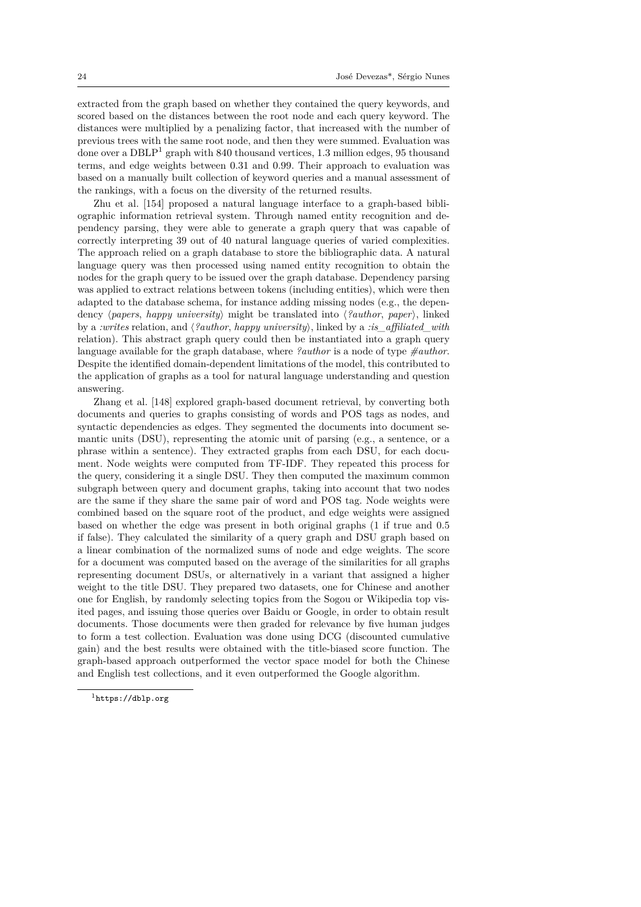extracted from the graph based on whether they contained the query keywords, and scored based on the distances between the root node and each query keyword. The distances were multiplied by a penalizing factor, that increased with the number of previous trees with the same root node, and then they were summed. Evaluation was done over a DBLP<sup>1</sup> graph with 840 thousand vertices, 1*.*3 million edges, 95 thousand terms, and edge weights between 0*.*31 and 0*.*99. Their approach to evaluation was based on a manually built collection of keyword queries and a manual assessment of the rankings, with a focus on the diversity of the returned results.

Zhu et al. [15[4\]](#page-23-0) proposed a natural language interface to a graph-based bibliographic information retrieval system. Through named entity recognition and dependency parsing, they were able to generate a graph query that was capable of correctly interpreting 39 out of 40 natural language queries of varied complexities. The approach r[elied](#page-42-3) on a graph database to store the bibliographic data. A natural language query was then processed using named entity recognition to obtain the nodes for the graph query to be issued over the graph database. Dependency parsing was applied to extract relations between tokens (including entities), which were then adapted to the database schema, for instance adding missing nodes (e.g., the dependency *⟨papers*, *happy university⟩* might be translated into *⟨?author*, *paper⟩*, linked by a *:writes* relation, and *⟨?author*, *happy university⟩*, linked by a *:is\_affiliated\_with* relation). This abstract graph query could then be instantiated into a graph query language available for the graph database, where *?author* is a node of type *#author*. Despite the identified domain-dependent limitations of the model, this contributed to the application of graphs as a tool for natural language understanding and question answering.

Zhang et al. [148] explored graph-based document retrieval, by converting both documents and queries to graphs consisting of words and POS tags as nodes, and syntactic dependencies as edges. They segmented the documents into document semantic units (DSU), representing the atomic unit of parsing (e.g., a sentence, or a phrase within a [sent](#page-41-7)ence). They extracted graphs from each DSU, for each document. Node weights were computed from TF-IDF. They repeated this process for the query, considering it a single DSU. They then computed the maximum common subgraph between query and document graphs, taking into account that two nodes are the same if they share the same pair of word and POS tag. Node weights were combined based on the square root of the product, and edge weights were assigned based on whether the edge was present in both original graphs (1 if true and 0.5 if false). They calculated the similarity of a query graph and DSU graph based on a linear combination of the normalized sums of node and edge weights. The score for a document was computed based on the average of the similarities for all graphs representing document DSUs, or alternatively in a variant that assigned a higher weight to the title DSU. They prepared two datasets, one for Chinese and another one for English, by randomly selecting topics from the Sogou or Wikipedia top visited pages, and issuing those queries over Baidu or Google, in order to obtain result documents. Those documents were then graded for relevance by five human judges to form a test collection. Evaluation was done using DCG (discounted cumulative gain) and the best results were obtained with the title-biased score function. The graph-based approach outperformed the vector space model for both the Chinese and English test collections, and it even outperformed the Google algorithm.

<span id="page-23-0"></span><sup>1</sup>https://dblp.org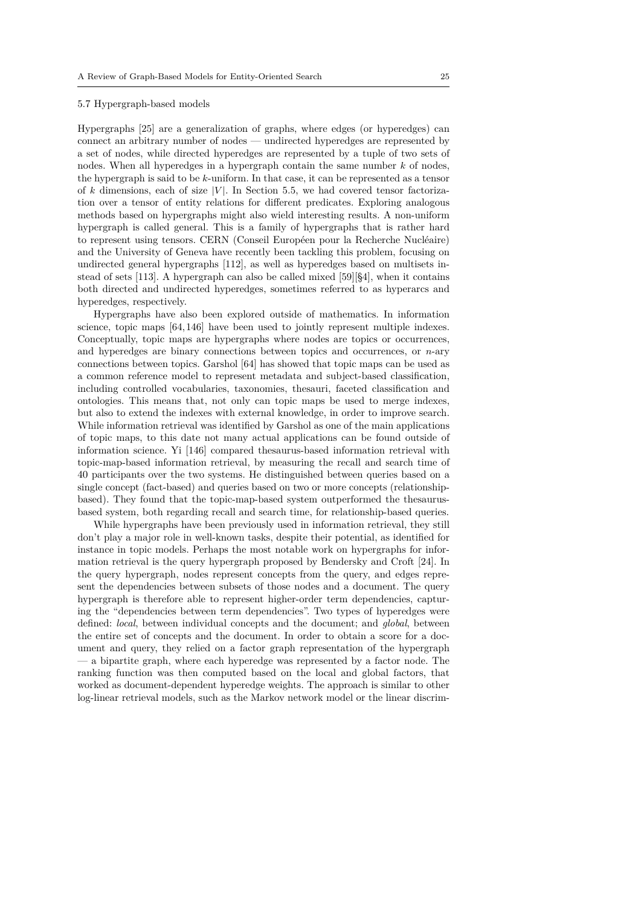#### 5.7 Hypergraph-based models

<span id="page-24-0"></span>Hypergraphs [25] are a generalization of graphs, where edges (or hyperedges) can connect an arbitrary number of nodes — undirected hyperedges are represented by a set of nodes, while directed hyperedges are represented by a tuple of two sets of nodes. When all hyperedges in a hypergraph contain the same number *k* of nodes, the hypergrap[h is](#page-34-12) said to be *k*-uniform. In that case, it can be represented as a tensor of  $k$  dimensions, each of size  $|V|$ . In Section 5.5, we had covered tensor factorization over a tensor of entity relations for different predicates. Exploring analogous methods based on hypergraphs might also wield interesting results. A non-uniform hypergraph is called general. This is a family of hypergraphs that is rather hard to represent using tensors. CERN (Conseil E[urop](#page-21-0)éen pour la Recherche Nucléaire) and the University of Geneva have recently been tackling this problem, focusing on undirected general hypergraphs [112], as well as hyperedges based on multisets instead of sets [113]. A hypergraph can also be called mixed [59][§4], when it contains both directed and undirected hyperedges, sometimes referred to as hyperarcs and hyperedges, respectively.

Hypergraphs have also been [exp](#page-39-9)lored outside of mathematics. In information science, topic [ma](#page-39-10)ps [64,146] have been used to jointly re[pres](#page-36-13)ent multiple indexes. Conceptually, topic maps are hypergraphs where nodes are topics or occurrences, and hyperedges are binary connections between topics and occurrences, or *n*-ary connections between topics. Garshol [64] has showed that topic maps can be used as a common reference [mo](#page-37-11)[del](#page-41-8) to represent metadata and subject-based classification, including controlled vocabularies, taxonomies, thesauri, faceted classification and ontologies. This means that, not only can topic maps be used to merge indexes, but also to extend the indexes with e[xte](#page-37-11)rnal knowledge, in order to improve search. While information retrieval was identified by Garshol as one of the main applications of topic maps, to this date not many actual applications can be found outside of information science. Yi [146] compared thesaurus-based information retrieval with topic-map-based information retrieval, by measuring the recall and search time of 40 participants over the two systems. He distinguished between queries based on a single concept (fact-based) and queries based on two or more concepts (relationshipbased). They found that [the](#page-41-8) topic-map-based system outperformed the thesaurusbased system, both regarding recall and search time, for relationship-based queries.

While hypergraphs have been previously used in information retrieval, they still don't play a major role in well-known tasks, despite their potential, as identified for instance in topic models. Perhaps the most notable work on hypergraphs for information retrieval is the query hypergraph proposed by Bendersky and Croft [24]. In the query hypergraph, nodes represent concepts from the query, and edges represent the dependencies between subsets of those nodes and a document. The query hypergraph is therefore able to represent higher-order term dependencies, capturing the "dependencies between term dependencies". Two types of hyperedg[es w](#page-34-13)ere defined: *local*, between individual concepts and the document; and *global*, between the entire set of concepts and the document. In order to obtain a score for a document and query, they relied on a factor graph representation of the hypergraph — a bipartite graph, where each hyperedge was represented by a factor node. The ranking function was then computed based on the local and global factors, that worked as document-dependent hyperedge weights. The approach is similar to other log-linear retrieval models, such as the Markov network model or the linear discrim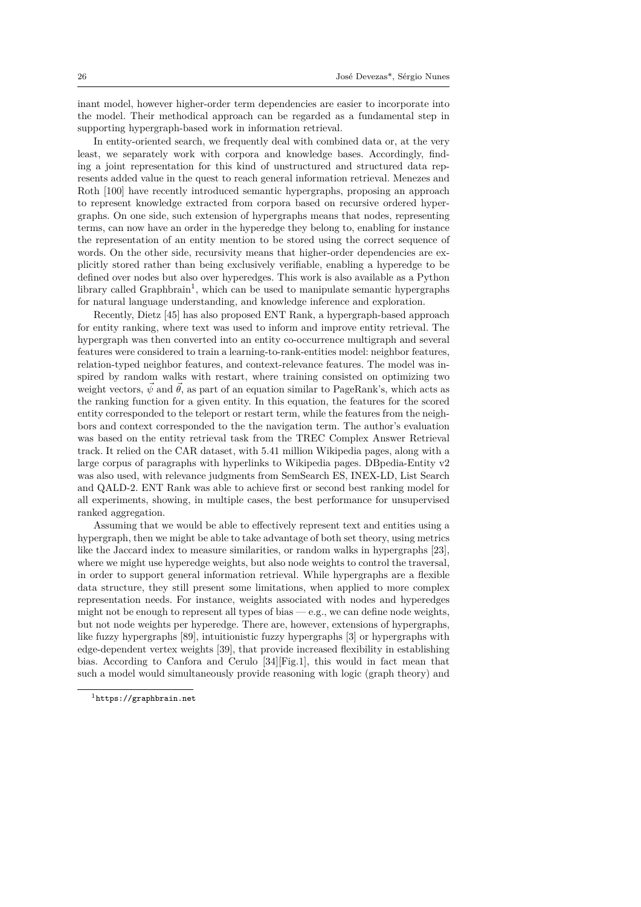inant model, however higher-order term dependencies are easier to incorporate into the model. Their methodical approach can be regarded as a fundamental step in supporting hypergraph-based work in information retrieval.

In entity-oriented search, we frequently deal with combined data or, at the very least, we separately work with corpora and knowledge bases. Accordingly, finding a joint representation for this kind of unstructured and structured data represents added value in the quest to reach general information retrieval. Menezes and Roth [100] have recently introduced semantic hypergraphs, proposing an approach to represent knowledge extracted from corpora based on recursive ordered hypergraphs. On one side, such extension of hypergraphs means that nodes, representing terms, can now have an order in the hyperedge they belong to, enabling for instance the re[pres](#page-39-11)entation of an entity mention to be stored using the correct sequence of words. On the other side, recursivity means that higher-order dependencies are explicitly stored rather than being exclusively verifiable, enabling a hyperedge to be defined over nodes but also over hyperedges. This work is also available as a Python library called Graphbrain<sup>1</sup>, which can be used to manipulate semantic hypergraphs for natural language understanding, and knowledge inference and exploration.

Recently, Dietz [45] has also proposed ENT Rank, a hypergraph-based approach for entity ranking, where text was used to inform and improve entity retrieval. The hypergraph was then con[ve](#page-25-0)rted into an entity co-occurrence multigraph and several features were considered to train a learning-to-rank-entities model: neighbor features, relation-typed neig[hbo](#page-35-9)r features, and context-relevance features. The model was inspired by random walks with restart, where training consisted on optimizing two weight vectors,  $\vec{\psi}$  and  $\vec{\theta}$ , as part of an equation similar to PageRank's, which acts as the ranking function for a given entity. In this equation, the features for the scored entity corresponded to the teleport or restart term, while the features from the neighbors and context corresponded to the the navigation term. The author's evaluation was based on the entity retrieval task from the TREC Complex Answer Retrieval track. It relied on the CAR dataset, with 5.41 million Wikipedia pages, along with a large corpus of paragraphs with hyperlinks to Wikipedia pages. DBpedia-Entity v2 was also used, with relevance judgments from SemSearch ES, INEX-LD, List Search and QALD-2. ENT Rank was able to achieve first or second best ranking model for all experiments, showing, in multiple cases, the best performance for unsupervised ranked aggregation.

Assuming that we would be able to effectively represent text and entities using a hypergraph, then we might be able to take advantage of both set theory, using metrics like the Jaccard index to measure similarities, or random walks in hypergraphs [23], where we might use hyperedge weights, but also node weights to control the traversal, in order to support general information retrieval. While hypergraphs are a flexible data structure, they still present some limitations, when applied to more complex representation needs. For instance, weights associated with nodes and hypere[dge](#page-34-14)s might not be enough to represent all types of bias  $-$  e.g., we can define node weights, but not node weights per hyperedge. There are, however, extensions of hypergraphs, like fuzzy hypergraphs [89], intuitionistic fuzzy hypergraphs [3] or hypergraphs with edge-dependent vertex weights [39], that provide increased flexibility in establishing bias. According to Canfora and Cerulo [34][Fig.1], this would in fact mean that such a model would simultaneously provide reasoning with logic (graph theory) and

<span id="page-25-0"></span><sup>1</sup>https://graphbrain.[net](#page-38-11)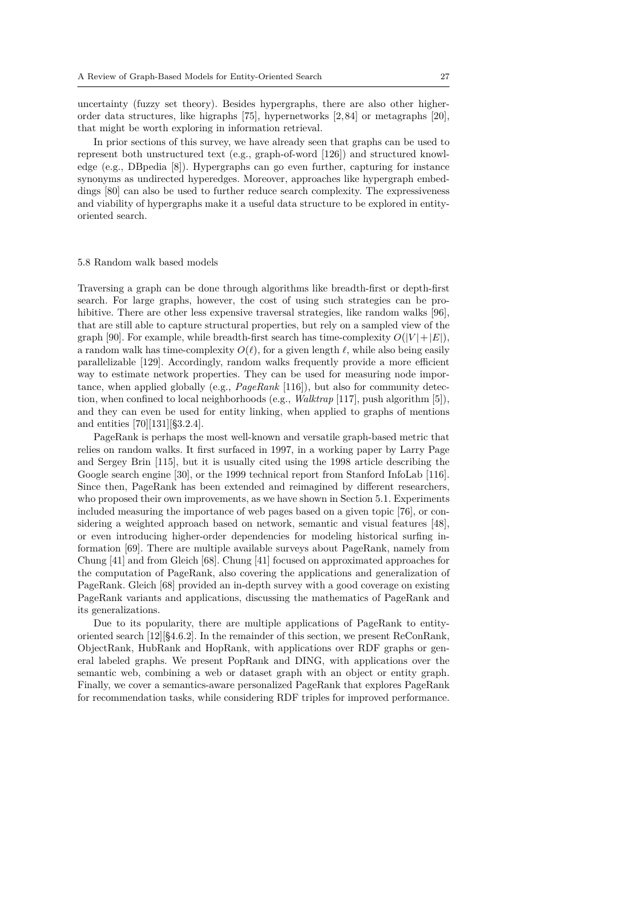uncertainty (fuzzy set theory). Besides hypergraphs, there are also other higherorder data structures, like higraphs [75], hypernetworks [2,84] or metagraphs [20], that might be worth exploring in information retrieval.

In prior sections of this survey, we have already seen that graphs can be used to represent both unstructured text (e.g., graph-of-word [126]) and structured knowledge (e.g., DBpedia [8]). Hypergrap[hs c](#page-37-12)an go even furth[er](#page-33-2)[, ca](#page-38-12)pturing for inst[anc](#page-34-15)e synonyms as undirected hyperedges. Moreover, approaches like hypergraph embeddings [80] can also be used to further reduce search complexity. The expressiveness and viability of hypergraphs make it a useful data struc[ture](#page-40-6) to be explored in entityoriented search.

#### 5.8 Random walk based models

<span id="page-26-0"></span>Traversing a graph can be done through algorithms like breadth-first or depth-first search. For large graphs, however, the cost of using such strategies can be prohibitive. There are other less expensive traversal strategies, like random walks [96], that are still able to capture structural properties, but rely on a sampled view of the graph [90]. For example, while breadth-first search has time-complexity  $O(|V| + |E|)$ , a random walk has time-complexity  $O(\ell)$ , for a given length  $\ell$ , while also being easily parallelizable [129]. Accordingly, random walks frequently provide a more effic[ien](#page-38-13)t way to estimate network properties. They can be used for measuring node importance, [wh](#page-38-14)en applied globally (e.g., *PageRank* [116]), but also for community detection, when confined to local neighborhoods (e.g., *Walktrap* [117], push algorithm [5]), and they can [even](#page-40-8) be used for entity linking, when applied to graphs of mentions and entities [70][131][§3.2.4].

PageRank is perhaps the most well-known [and](#page-39-3) versatile graph-based metric that relies on random walks. It first surfaced in 1997, in a wor[king](#page-40-9) paper by Larry [Pag](#page-33-3)e and Sergey Brin [115], but it is usually cited using the 1998 article describing the Google searc[h e](#page-37-13)[ngine](#page-40-10) [30], or the 1999 technical report from Stanford InfoLab [116]. Since then, PageRank has been extended and reimagined by different researchers, who proposed their own improvements, as we have shown in Section 5.1. Experiments included measurin[g th](#page-39-12)e importance of web pages based on a given topic [76], or considering a weighted a[ppr](#page-35-3)oach based on network, semantic and visual features [\[48](#page-39-3)], or even introducing higher-order dependencies for modeling historical surfing information [69]. There are multiple available surveys about PageR[ank,](#page-12-0) namely from Chung [41] and from Gleich [68]. Chung [41] focused on approximated ap[pro](#page-37-5)aches for the computation of PageRank, also covering the applications and generalizatio[n o](#page-36-6)f PageRank. Gleich [68] provided an in-depth survey with a good coverage on existing PageRank [var](#page-37-6)iants and applications, discussing the mathematics of PageRank and its gene[ral](#page-35-10)izations.

Due to its popularity, t[her](#page-37-4)e are m[ulti](#page-35-10)ple applications of PageRank to entityoriented search [12[\]\[§4](#page-37-4).6.2]. In the remainder of this section, we present ReConRank, ObjectRank, HubRank and HopRank, with applications over RDF graphs or general labeled graphs. We present PopRank and DING, with applications over the semantic web, combining a web or dataset graph with an object or entity graph. Finally, we cove[r a](#page-34-1) semantics-aware personalized PageRank that explores PageRank for recommendation tasks, while considering RDF triples for improved performance.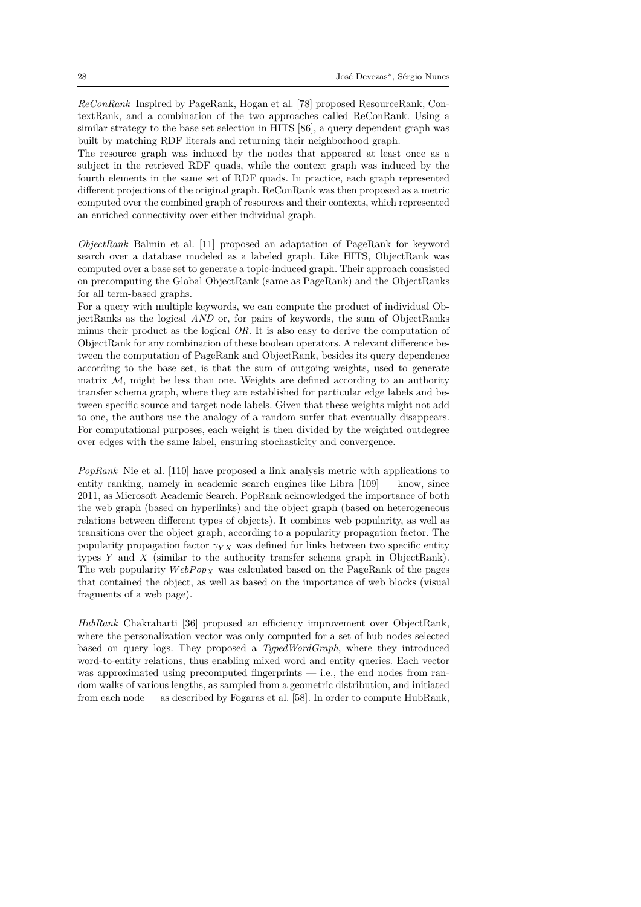*ReConRank* Inspired by PageRank, Hogan et al. [78] proposed ResourceRank, ContextRank, and a combination of the two approaches called ReConRank. Using a similar strategy to the base set selection in HITS [86], a query dependent graph was built by matching RDF literals and returning their neighborhood graph.

The resource graph was induced by the nodes [tha](#page-37-14)t appeared at least once as a subject in the retrieved RDF quads, while the context graph was induced by the fourth elements in the same set of RDF quads. I[n pr](#page-38-4)actice, each graph represented different projections of the original graph. ReConRank was then proposed as a metric computed over the combined graph of resources and their contexts, which represented an enriched connectivity over either individual graph.

*ObjectRank* Balmin et al. [11] proposed an adaptation of PageRank for keyword search over a database modeled as a labeled graph. Like HITS, ObjectRank was computed over a base set to generate a topic-induced graph. Their approach consisted on precomputing the Global ObjectRank (same as PageRank) and the ObjectRanks for all term-based graphs.

For a query with multiple k[eyw](#page-34-16)ords, we can compute the product of individual ObjectRanks as the logical *AND* or, for pairs of keywords, the sum of ObjectRanks minus their product as the logical *OR*. It is also easy to derive the computation of ObjectRank for any combination of these boolean operators. A relevant difference between the computation of PageRank and ObjectRank, besides its query dependence according to the base set, is that the sum of outgoing weights, used to generate matrix  $M$ , might be less than one. Weights are defined according to an authority transfer schema graph, where they are established for particular edge labels and between specific source and target node labels. Given that these weights might not add to one, the authors use the analogy of a random surfer that eventually disappears. For computational purposes, each weight is then divided by the weighted outdegree over edges with the same label, ensuring stochasticity and convergence.

*PopRank* Nie et al. [110] have proposed a link analysis metric with applications to entity ranking, namely in academic search engines like Libra  $[109]$  — know, since 2011, as Microsoft Academic Search. PopRank acknowledged the importance of both the web graph (based on hyperlinks) and the object graph (based on heterogeneous relations between di[fferen](#page-39-13)t types of objects). It combines web popularity, as well as transitions over the object graph, according to a popularity pro[paga](#page-39-14)tion factor. The popularity propagation factor *γY X* was defined for links between two specific entity types *Y* and *X* (similar to the authority transfer schema graph in ObjectRank). The web popularity  $WebPop_X$  was calculated based on the PageRank of the pages that contained the object, as well as based on the importance of web blocks (visual fragments of a web page).

*HubRank* Chakrabarti [36] proposed an efficiency improvement over ObjectRank, where the personalization vector was only computed for a set of hub nodes selected based on query logs. They proposed a *TypedWordGraph*, where they introduced word-to-entity relations, thus enabling mixed word and entity queries. Each vector was approximated usin[g p](#page-35-11)recomputed fingerprints — i.e., the end nodes from random walks of various lengths, as sampled from a geometric distribution, and initiated from each node — as described by Fogaras et al. [58]. In order to compute HubRank,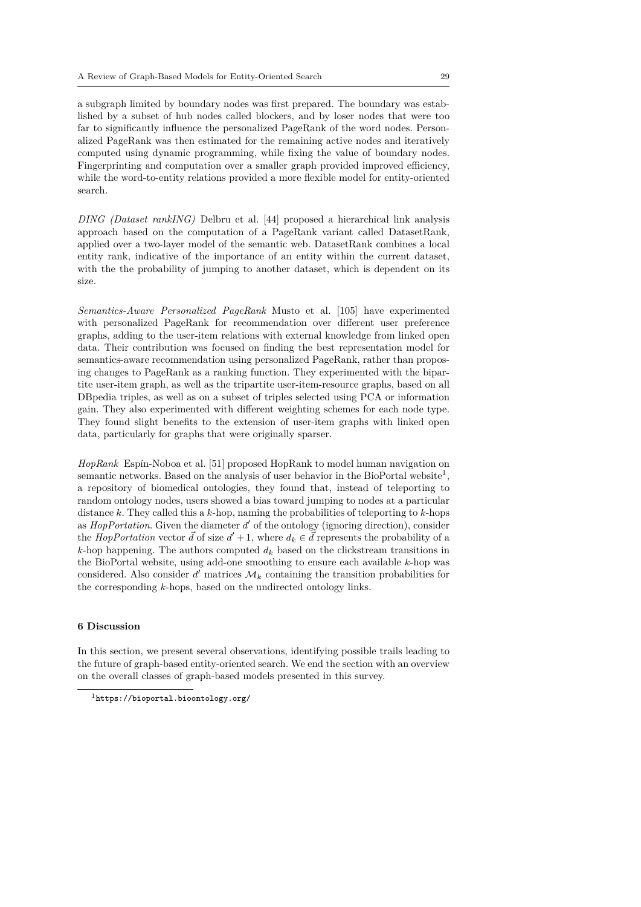a subgraph limited by boundary nodes was first prepared. The boundary was established by a subset of hub nodes called blockers, and by loser nodes that were too far to significantly influence the personalized PageRank of the word nodes. Personalized PageRank was then estimated for the remaining active nodes and iteratively computed using dynamic programming, while fixing the value of boundary nodes. Fingerprinting and computation over a smaller graph provided improved efficiency, while the word-to-entity relations provided a more flexible model for entity-oriented search.

*DING (Dataset rankING)* Delbru et al. [44] proposed a hierarchical link analysis approach based on the computation of a PageRank variant called DatasetRank, applied over a two-layer model of the semantic web. DatasetRank combines a local entity rank, indicative of the importance of an entity within the current dataset, with the the probability of jumping to a[noth](#page-35-12)er dataset, which is dependent on its size.

*Semantics-Aware Personalized PageRank* Musto et al. [105] have experimented with personalized PageRank for recommendation over different user preference graphs, adding to the user-item relations with external knowledge from linked open data. Their contribution was focused on finding the best representation model for semantics-aware recommendation using personalized Page[Rank](#page-39-15), rather than proposing changes to PageRank as a ranking function. They experimented with the bipartite user-item graph, as well as the tripartite user-item-resource graphs, based on all DBpedia triples, as well as on a subset of triples selected using PCA or information gain. They also experimented with different weighting schemes for each node type. They found slight benefits to the extension of user-item graphs with linked open data, particularly for graphs that were originally sparser.

*HopRank* Espín-Noboa et al. [51] proposed HopRank to model human navigation on semantic networks. Based on the analysis of user behavior in the BioPortal website<sup>1</sup>, a repository of biomedical ontologies, they found that, instead of teleporting to random ontology nodes, users showed a bias toward jumping to nodes at a particular distance *k*. They called this a *k*[-ho](#page-36-14)p, naming the probabilities of teleporting to *k*-hops as *HopPortation*. Given the diameter *d ′* of the ontology (ignoring direction), consid[er](#page-28-1) the *HopPortation* vector  $\vec{d}$  of size  $d' + 1$ , where  $d_k \in \vec{d}$  represents the probability of a *k*-hop happening. The authors computed *d<sup>k</sup>* based on the clickstream transitions in the BioPortal website, using add-one smoothing to ensure each available *k*-hop was considered. Also consider  $d'$  matrices  $\mathcal{M}_k$  containing the transition probabilities for the corresponding *k*-hops, based on the undirected ontology links.

#### **6 Discussion**

In this section, we present several observations, identifying possible trails leading to the future of graph-based entity-oriented search. We end the section with an overview on the overall classes of graph-based models presented in this survey.

<span id="page-28-1"></span><span id="page-28-0"></span><sup>1</sup>https://bioportal.bioontology.org/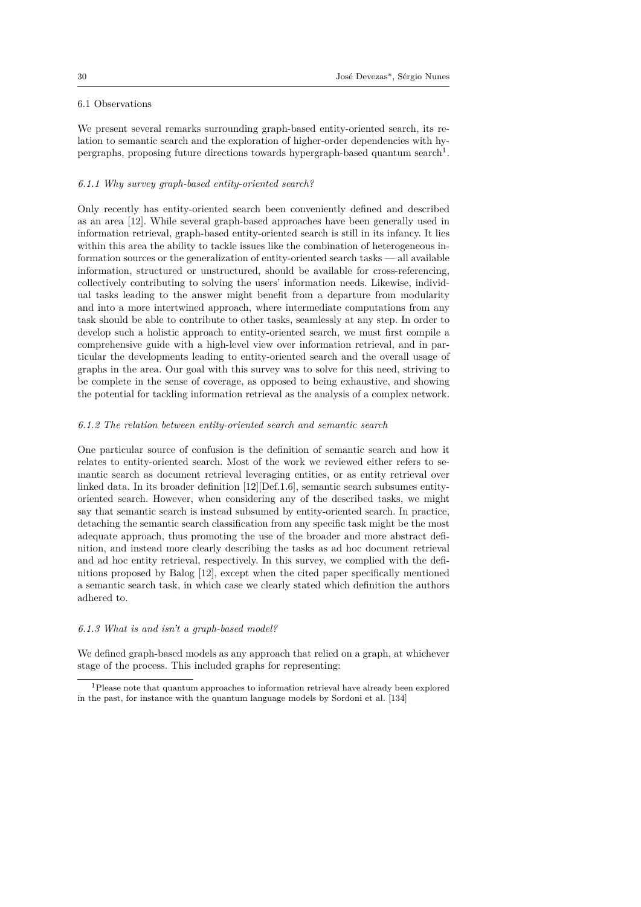## 6.1 Observations

<span id="page-29-0"></span>We present several remarks surrounding graph-based entity-oriented search, its relation to semantic search and the exploration of higher-order dependencies with hypergraphs, proposing future directions towards hypergraph-based quantum search<sup>1</sup>.

## *6.1.1 Why survey graph-based entity-oriented search?*

Only recently has entity-oriented search been conveniently defined and describ[ed](#page-29-1) as an area [12]. While several graph-based approaches have been generally used in information retrieval, graph-based entity-oriented search is still in its infancy. It lies within this area the ability to tackle issues like the combination of heterogeneous information sources or the generalization of entity-oriented search tasks — all available information[, st](#page-34-1)ructured or unstructured, should be available for cross-referencing, collectively contributing to solving the users' information needs. Likewise, individual tasks leading to the answer might benefit from a departure from modularity and into a more intertwined approach, where intermediate computations from any task should be able to contribute to other tasks, seamlessly at any step. In order to develop such a holistic approach to entity-oriented search, we must first compile a comprehensive guide with a high-level view over information retrieval, and in particular the developments leading to entity-oriented search and the overall usage of graphs in the area. Our goal with this survey was to solve for this need, striving to be complete in the sense of coverage, as opposed to being exhaustive, and showing the potential for tackling information retrieval as the analysis of a complex network.

## *6.1.2 The relation between entity-oriented search and semantic search*

One particular source of confusion is the definition of semantic search and how it relates to entity-oriented search. Most of the work we reviewed either refers to semantic search as document retrieval leveraging entities, or as entity retrieval over linked data. In its broader definition [12][Def.1.6], semantic search subsumes entityoriented search. However, when considering any of the described tasks, we might say that semantic search is instead subsumed by entity-oriented search. In practice, detaching the semantic search classification from any specific task might be the most adequate approach, thus promoting t[he](#page-34-1) use of the broader and more abstract definition, and instead more clearly describing the tasks as ad hoc document retrieval and ad hoc entity retrieval, respectively. In this survey, we complied with the definitions proposed by Balog [12], except when the cited paper specifically mentioned a semantic search task, in which case we clearly stated which definition the authors adhered to.

## *6.1.3 What is and isn't a gr[ap](#page-34-1)h-based model?*

We defined graph-based models as any approach that relied on a graph, at whichever stage of the process. This included graphs for representing:

<span id="page-29-1"></span><sup>&</sup>lt;sup>1</sup>Please note that quantum approaches to information retrieval have already been explored in the past, for instance with the quantum language models by Sordoni et al. [134]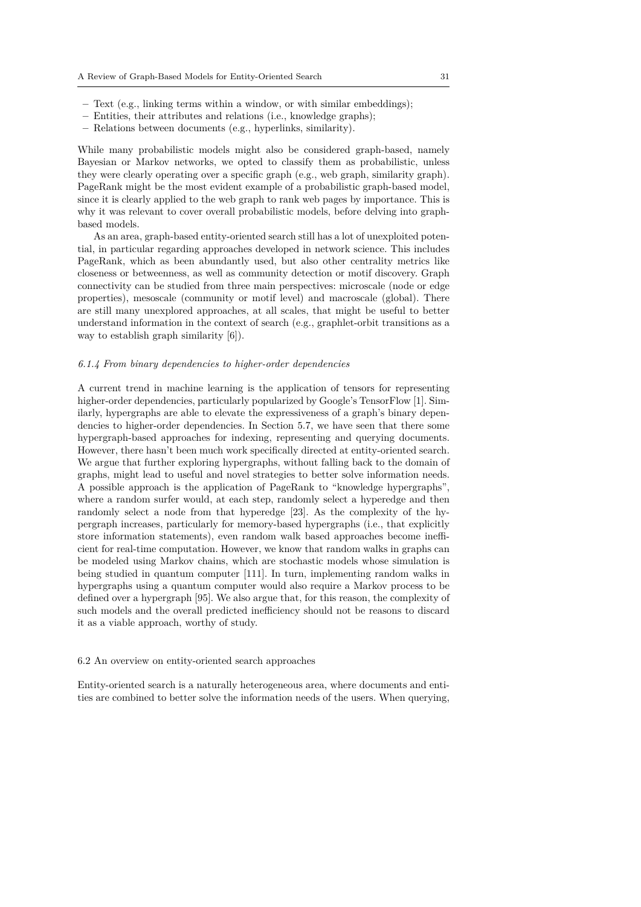- **–** Text (e.g., linking terms within a window, or with similar embeddings);
- **–** Entities, their attributes and relations (i.e., knowledge graphs);
- **–** Relations between documents (e.g., hyperlinks, similarity).

While many probabilistic models might also be considered graph-based, namely Bayesian or Markov networks, we opted to classify them as probabilistic, unless they were clearly operating over a specific graph (e.g., web graph, similarity graph). PageRank might be the most evident example of a probabilistic graph-based model, since it is clearly applied to the web graph to rank web pages by importance. This is why it was relevant to cover overall probabilistic models, before delving into graphbased models.

As an area, graph-based entity-oriented search still has a lot of unexploited potential, in particular regarding approaches developed in network science. This includes PageRank, which as been abundantly used, but also other centrality metrics like closeness or betweenness, as well as community detection or motif discovery. Graph connectivity can be studied from three main perspectives: microscale (node or edge properties), mesoscale (community or motif level) and macroscale (global). There are still many unexplored approaches, at all scales, that might be useful to better understand information in the context of search (e.g., graphlet-orbit transitions as a way to establish graph similarity [6]).

## *6.1.4 From binary dependencies to higher-order dependencies*

A current trend in machine lear[nin](#page-33-4)g is the application of tensors for representing higher-order dependencies, particularly popularized by Google's TensorFlow [1]. Similarly, hypergraphs are able to elevate the expressiveness of a graph's binary dependencies to higher-order dependencies. In Section 5.7, we have seen that there some hypergraph-based approaches for indexing, representing and querying documents. However, there hasn't been much work specifically directed at entity-oriented [s](#page-33-5)earch. We argue that further exploring hypergraphs, without falling back to the domain of graphs, might lead to useful and novel strategies [to](#page-24-0) better solve information needs. A possible approach is the application of PageRank to "knowledge hypergraphs", where a random surfer would, at each step, randomly select a hyperedge and then randomly select a node from that hyperedge [23]. As the complexity of the hypergraph increases, particularly for memory-based hypergraphs (i.e., that explicitly store information statements), even random walk based approaches become inefficient for real-time computation. However, we know that random walks in graphs can be modeled using Markov chains, which are sto[cha](#page-34-14)stic models whose simulation is being studied in quantum computer [111]. In turn, implementing random walks in hypergraphs using a quantum computer would also require a Markov process to be defined over a hypergraph [95]. We also argue that, for this reason, the complexity of such models and the overall predicted inefficiency should not be reasons to discard it as a viable approach, worthy of stu[dy.](#page-39-16)

#### 6.2 An overview on entity-[ori](#page-38-15)ented search approaches

Entity-oriented search is a naturally heterogeneous area, where documents and entities are combined to better solve the information needs of the users. When querying,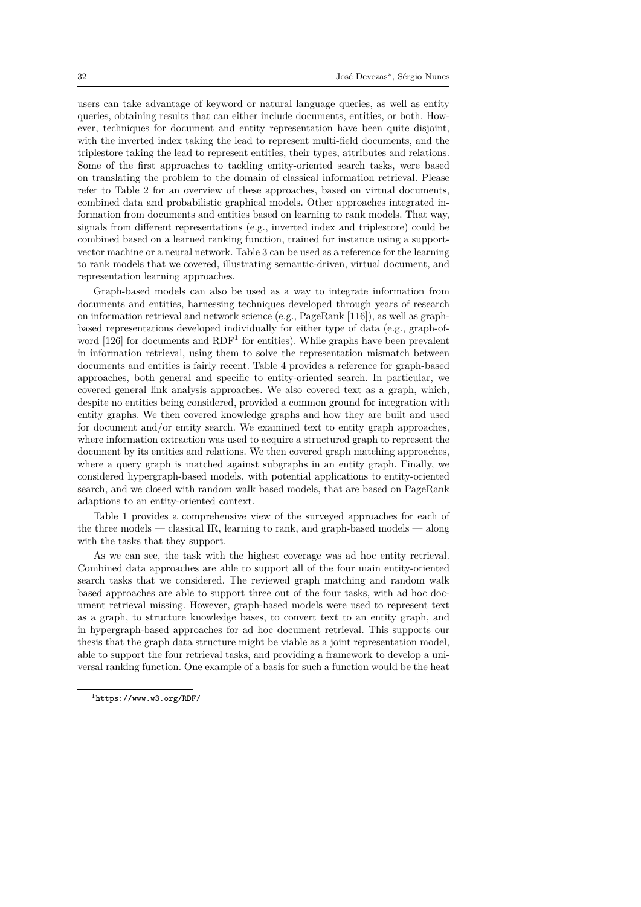users can take advantage of keyword or natural language queries, as well as entity queries, obtaining results that can either include documents, entities, or both. However, techniques for document and entity representation have been quite disjoint, with the inverted index taking the lead to represent multi-field documents, and the triplestore taking the lead to represent entities, their types, attributes and relations. Some of the first approaches to tackling entity-oriented search tasks, were based on translating the problem to the domain of classical information retrieval. Please refer to Table 2 for an overview of these approaches, based on virtual documents, combined data and probabilistic graphical models. Other approaches integrated information from documents and entities based on learning to rank models. That way, signals from different representations (e.g., inverted index and triplestore) could be combined base[d](#page-43-0) on a learned ranking function, trained for instance using a supportvector machine or a neural network. Table 3 can be used as a reference for the learning to rank models that we covered, illustrating semantic-driven, virtual document, and representation learning approaches.

Graph-based models can also be used as a way to integrate information from documents and entities, harnessing techn[iq](#page-44-0)ues developed through years of research on information retrieval and network science (e.g., PageRank [116]), as well as graphbased representations developed individually for either type of data (e.g., graph-ofword  $[126]$  for documents and  $RDF<sup>1</sup>$  for entities). While graphs have been prevalent in information retrieval, using them to solve the representation mismatch between documents and entities is fairly recent. Table 4 provides a ref[eren](#page-39-3)ce for graph-based approaches, both general and specific to entity-oriented search. In particular, we covere[d ge](#page-40-6)neral link analysis appr[oa](#page-31-0)ches. We also covered text as a graph, which, despite no entities being considered, provided a common ground for integration with entity graphs. We then covered knowledge gr[ap](#page-45-0)hs and how they are built and used for document and/or entity search. We examined text to entity graph approaches, where information extraction was used to acquire a structured graph to represent the document by its entities and relations. We then covered graph matching approaches, where a query graph is matched against subgraphs in an entity graph. Finally, we considered hypergraph-based models, with potential applications to entity-oriented search, and we closed with random walk based models, that are based on PageRank adaptions to an entity-oriented context.

Table 1 provides a comprehensive view of the surveyed approaches for each of the three models — classical IR, learning to rank, and graph-based models — along with the tasks that they support.

As we can see, the task with the highest coverage was ad hoc entity retrieval. Combined [d](#page-32-0)ata approaches are able to support all of the four main entity-oriented search tasks that we considered. The reviewed graph matching and random walk based approaches are able to support three out of the four tasks, with ad hoc document retrieval missing. However, graph-based models were used to represent text as a graph, to structure knowledge bases, to convert text to an entity graph, and in hypergraph-based approaches for ad hoc document retrieval. This supports our thesis that the graph data structure might be viable as a joint representation model, able to support the four retrieval tasks, and providing a framework to develop a universal ranking function. One example of a basis for such a function would be the heat

<span id="page-31-0"></span><sup>1</sup>https://www.w3.org/RDF/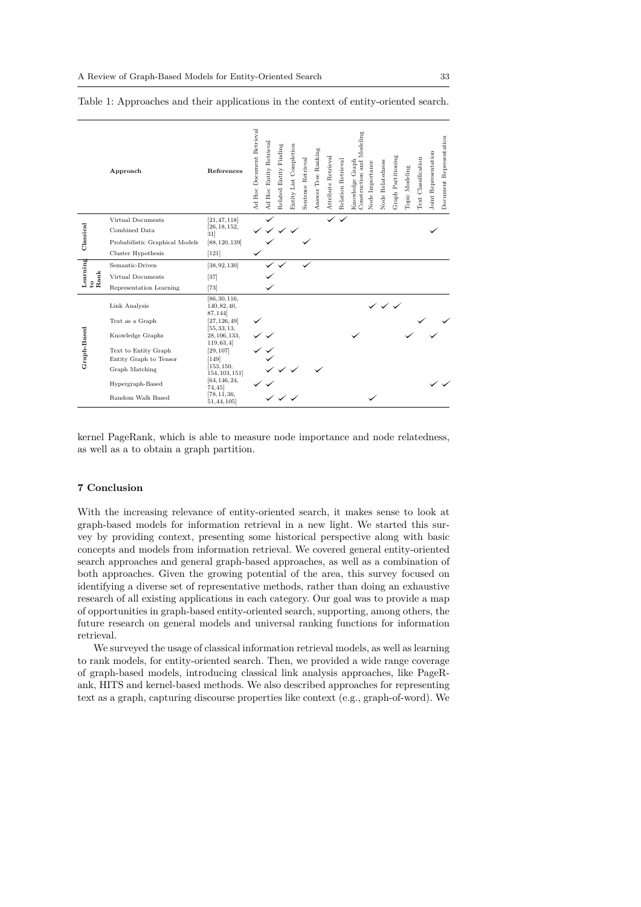<span id="page-32-0"></span>

|              | Approach                       | References                                  | Ad Hoc Document Retrieval | Retrieval<br>Ad Hoc Entity | Related Entity Finding    | Entity List Completion | Sentence Retrieval | Answer Tree Ranking | Attribute Retrieval | Relation Retrieval | Construction and Modeling<br>Knowledge Graph | Node Importance | Node Relatedness | Graph Partitioning | Topic Modeling | Text Classification | Joint Representation | Document Representation |
|--------------|--------------------------------|---------------------------------------------|---------------------------|----------------------------|---------------------------|------------------------|--------------------|---------------------|---------------------|--------------------|----------------------------------------------|-----------------|------------------|--------------------|----------------|---------------------|----------------------|-------------------------|
|              | Virtual Documents              | [21, 47, 118]                               |                           |                            |                           |                        |                    |                     |                     |                    |                                              |                 |                  |                    |                |                     |                      |                         |
| Classical    | Combined Data                  | [26, 18, 152,<br>31                         |                           |                            | $\checkmark$ $\checkmark$ |                        |                    |                     |                     |                    |                                              |                 |                  |                    |                |                     |                      |                         |
|              | Probabilistic Graphical Models | [88, 120, 139]                              |                           |                            |                           |                        |                    |                     |                     |                    |                                              |                 |                  |                    |                |                     |                      |                         |
|              | Cluster Hypothesis             | $[121]$                                     |                           |                            |                           |                        |                    |                     |                     |                    |                                              |                 |                  |                    |                |                     |                      |                         |
| Learning     | Semantic-Driven                | [38, 92, 130]                               |                           |                            |                           |                        |                    |                     |                     |                    |                                              |                 |                  |                    |                |                     |                      |                         |
| Rank         | Virtual Documents              | $[37]$                                      |                           |                            |                           |                        |                    |                     |                     |                    |                                              |                 |                  |                    |                |                     |                      |                         |
| $\mathbf{S}$ | Representation Learning        | $[73]$                                      |                           |                            |                           |                        |                    |                     |                     |                    |                                              |                 |                  |                    |                |                     |                      |                         |
|              | Link Analysis                  | [86, 30, 116,<br>140, 82, 40,<br>87,144     |                           |                            |                           |                        |                    |                     |                     |                    |                                              |                 | シンシ              |                    |                |                     |                      |                         |
|              | Text as a Graph                | [27, 126, 49]                               |                           |                            |                           |                        |                    |                     |                     |                    |                                              |                 |                  |                    |                |                     |                      |                         |
| Graph-Based  | Knowledge Graphs               | [55, 33, 13,<br>28, 106, 133,<br>119, 63, 4 |                           |                            |                           |                        |                    |                     |                     |                    |                                              |                 |                  |                    |                |                     |                      |                         |
|              | Text to Entity Graph           | [29, 107]                                   |                           |                            |                           |                        |                    |                     |                     |                    |                                              |                 |                  |                    |                |                     |                      |                         |
|              | Entity Graph to Tensor         | $[149]$                                     |                           |                            |                           |                        |                    |                     |                     |                    |                                              |                 |                  |                    |                |                     |                      |                         |
|              | Graph Matching                 | [153, 150,<br>154, 103, 151]                |                           |                            |                           |                        |                    |                     |                     |                    |                                              |                 |                  |                    |                |                     |                      |                         |
|              | Hypergraph-Based               | [64, 146, 24,<br>74,45                      |                           |                            |                           |                        |                    |                     |                     |                    |                                              |                 |                  |                    |                |                     |                      |                         |
|              | Random Walk Based              | [78, 11, 36,<br>51, 44, 105                 |                           |                            |                           |                        |                    |                     |                     |                    |                                              |                 |                  |                    |                |                     |                      |                         |

Table 1: Approaches and their applications in the context of entity-oriented search.

kernel PageRank, which is a[b](#page-37-15)[le](#page-37-11) [to](#page-41-8) [m](#page-34-13)easure node importance and node relatedness, as well as a to obtain a grap[h](#page-36-14) [p](#page-37-14)[a](#page-34-16)[r](#page-39-15)[ti](#page-35-11)tion.

## **7 Conclusion**

With the increasing relevance of entity-oriented search, it makes sense to look at graph-based models for information retrieval in a new light. We started this survey by providing context, presenting some historical perspective along with basic concepts and models from information retrieval. We covered general entity-oriented search approaches and general graph-based approaches, as well as a combination of both approaches. Given the growing potential of the area, this survey focused on identifying a diverse set of representative methods, rather than doing an exhaustive research of all existing applications in each category. Our goal was to provide a map of opportunities in graph-based entity-oriented search, supporting, among others, the future research on general models and universal ranking functions for information retrieval.

We surveyed the usage of classical information retrieval models, as well as learning to rank models, for entity-oriented search. Then, we provided a wide range coverage of graph-based models, introducing classical link analysis approaches, like PageRank, HITS and kernel-based methods. We also described approaches for representing text as a graph, capturing discourse properties like context (e.g., graph-of-word). We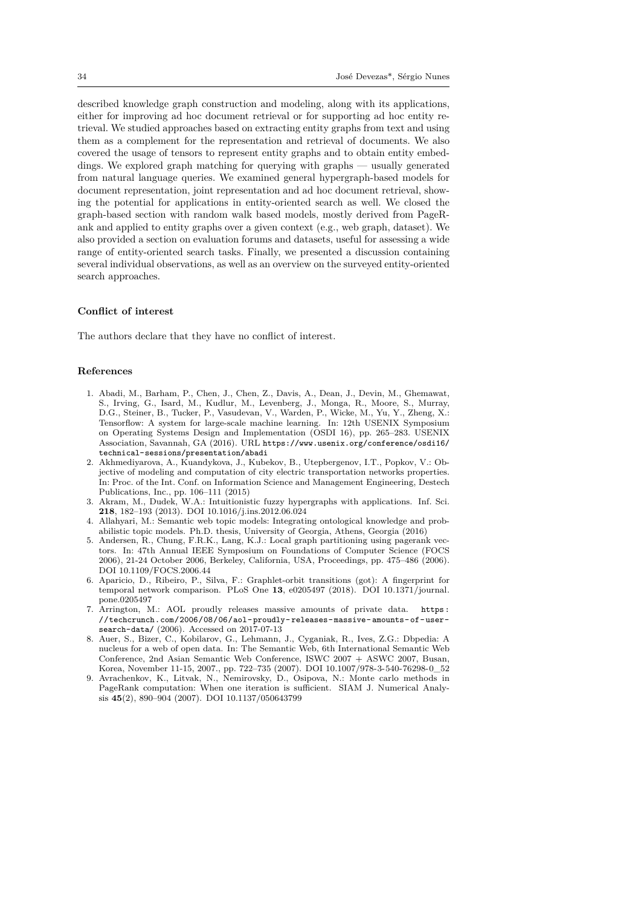described knowledge graph construction and modeling, along with its applications, either for improving ad hoc document retrieval or for supporting ad hoc entity retrieval. We studied approaches based on extracting entity graphs from text and using them as a complement for the representation and retrieval of documents. We also covered the usage of tensors to represent entity graphs and to obtain entity embeddings. We explored graph matching for querying with graphs — usually generated from natural language queries. We examined general hypergraph-based models for document representation, joint representation and ad hoc document retrieval, showing the potential for applications in entity-oriented search as well. We closed the graph-based section with random walk based models, mostly derived from PageRank and applied to entity graphs over a given context (e.g., web graph, dataset). We also provided a section on evaluation forums and datasets, useful for assessing a wide range of entity-oriented search tasks. Finally, we presented a discussion containing several individual observations, as well as an overview on the surveyed entity-oriented search approaches.

#### **Conflict of interest**

The authors declare that they have no conflict of interest.

#### **References**

- 1. Abadi, M., Barham, P., Chen, J., Chen, Z., Davis, A., Dean, J., Devin, M., Ghemawat, S., Irving, G., Isard, M., Kudlur, M., Levenberg, J., Monga, R., Moore, S., Murray, D.G., Steiner, B., Tucker, P., Vasudevan, V., Warden, P., Wicke, M., Yu, Y., Zheng, X.: Tensorflow: A system for large-scale machine learning. In: 12th USENIX Symposium on Operating Systems Design and Implementation (OSDI 16), pp. 265–283. USENIX Association, Savannah, GA (2016). URL https://www.usenix.org/conference/osdi16/ technical-sessions/presentation/abadi
- <span id="page-33-5"></span>2. Akhmediyarova, A., Kuandykova, J., Kubekov, B., Utepbergenov, I.T., Popkov, V.: Objective of modeling and computation of city electric transportation networks properties. In: Proc. of the Int. Conf. on Information Science and Management Engineering, Destech Publications, Inc., pp. 106–111 (2015)
- 3. [Akram, M., Dudek, W.A.: Intuitionistic fuzzy hypergraphs with applications. Inf. Sci.](https://www.usenix.org/conference/osdi16/technical-sessions/ presentation/abadi) **218**, 182–193 (2013). DOI 10.1016/j.ins.2012.06.024
- <span id="page-33-2"></span>4. Allahyari, M.: Semantic web topic models: Integrating ontological knowledge and probabilistic topic models. Ph.D. thesis, University of Georgia, Athens, Georgia (2016)
- <span id="page-33-7"></span>5. Andersen, R., Chung, F.R.K., Lang, K.J.: Local graph partitioning using pagerank vectors. In: 47th Annual IEEE Symposium on Foundations of Computer Science (FOCS 2006), 21-24 October 2006, Berkeley, California, USA, Proceedings, pp. 475–486 (2006). DOI 10.1109/FOCS.2006.44
- <span id="page-33-6"></span><span id="page-33-3"></span>6. Aparicio, D., Ribeiro, P., Silva, F.: Graphlet-orbit transitions (got): A fingerprint for temporal network comparison. PLoS One **13**, e0205497 (2018). DOI 10.1371/journal. pone.0205497
- 7. Arrington, M.: AOL proudly releases massive amounts of private data. https: //techcrunch.com/2006/08/06/aol-proudly-releases-massive-amounts-of-usersearch-data/ (2006). Accessed on 2017-07-13
- <span id="page-33-4"></span>8. Auer, S., Bizer, C., Kobilarov, G., Lehmann, J., Cyganiak, R., Ives, Z.G.: Dbpedia: A nucleus for a web of open data. In: The Semantic Web, 6th International Semantic Web Conference, 2nd Asian Semantic Web Conference, ISWC 2007 + ASWC 2007, [Busan,](https://techcrunch.com/2006/08/06/aol-proudly-releases-massive-amounts-of-user-search-data/) [Korea, November 11-15, 2007., pp. 722–735 \(2007\). DOI 10.1007/978-3-540-76298-0\\_52](https://techcrunch.com/2006/08/06/aol-proudly-releases-massive-amounts-of-user-search-data/)
- <span id="page-33-1"></span><span id="page-33-0"></span>9. [Avrachenkov,](https://techcrunch.com/2006/08/06/aol-proudly-releases-massive-amounts-of-user-search-data/) K., Litvak, N., Nemirovsky, D., Osipova, N.: Monte carlo methods in PageRank computation: When one iteration is sufficient. SIAM J. Numerical Analysis **45**(2), 890–904 (2007). DOI 10.1137/050643799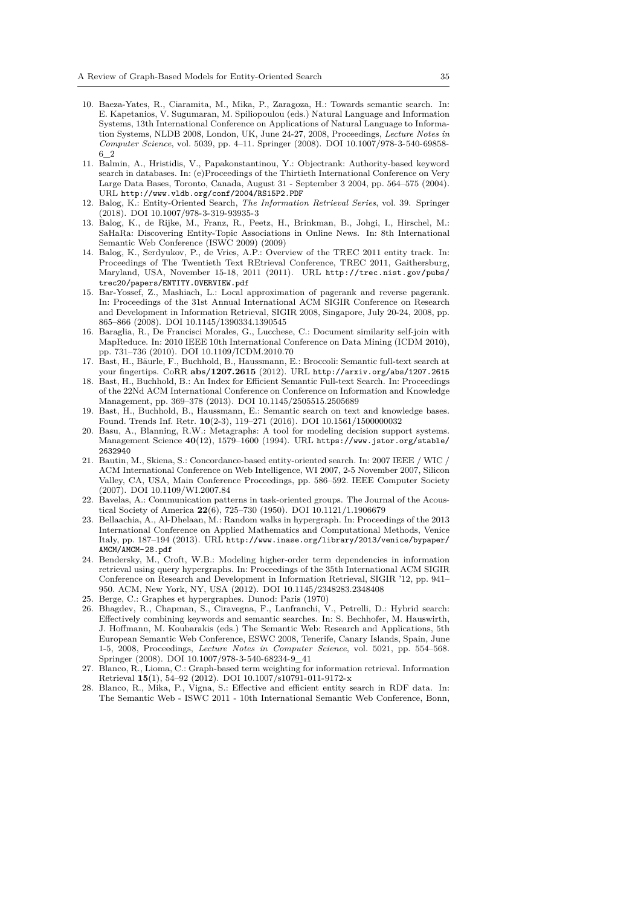- 10. Baeza-Yates, R., Ciaramita, M., Mika, P., Zaragoza, H.: Towards semantic search. In: E. Kapetanios, V. Sugumaran, M. Spiliopoulou (eds.) Natural Language and Information Systems, 13th International Conference on Applications of Natural Language to Information Systems, NLDB 2008, London, UK, June 24-27, 2008, Proceedings, *Lecture Notes in Computer Science*, vol. 5039, pp. 4–11. Springer (2008). DOI 10.1007/978-3-540-69858- 6\_2
- 11. Balmin, A., Hristidis, V., Papakonstantinou, Y.: Objectrank: Authority-based keyword search in databases. In: (e)Proceedings of the Thirtieth International Conference on Very Large Data Bases, Toronto, Canada, August 31 - September 3 2004, pp. 564–575 (2004). URL http://www.vldb.org/conf/2004/RS15P2.PDF
- 12. Balog, K.: Entity-Oriented Search, *The Information Retrieval Series*, vol. 39. Springer (2018). DOI 10.1007/978-3-319-93935-3
- <span id="page-34-16"></span>13. Balog, K., de Rijke, M., Franz, R., Peetz, H., Brinkman, B., Johgi, I., Hirschel, M.: SaHaRa: Discovering Entity-Topic Associations in Online News. In: 8th International Sema[ntic Web Conference \(ISWC 2009\) \(2009\)](http://www.vldb.org/conf/2004/RS15P2.PDF)
- <span id="page-34-1"></span>14. Balog, K., Serdyukov, P., de Vries, A.P.: Overview of the TREC 2011 entity track. In: Proceedings of The Twentieth Text REtrieval Conference, TREC 2011, Gaithersburg, Maryland, USA, November 15-18, 2011 (2011). URL http://trec.nist.gov/pubs/ trec20/papers/ENTITY.OVERVIEW.pdf
- <span id="page-34-17"></span><span id="page-34-6"></span>15. Bar-Yossef, Z., Mashiach, L.: Local approximation of pagerank and reverse pagerank. In: Proceedings of the 31st Annual International ACM SIGIR Conference on Research and Development in Information Retrieval, SIGIR 2008, Singapore, July 20-24, 2008, pp. 865–866 (2008). DOI 10.1145/1390334.1390545
- <span id="page-34-7"></span>16. [Baraglia, R., De Francisci Morales, G](http://trec.nist.gov/pubs/trec20/papers/ ENTITY.OVERVIEW.pdf)., Lucchese, C.: Do[cument similarity self-join with](http://trec.nist.gov/pubs/trec20/papers/ ENTITY.OVERVIEW.pdf) MapReduce. In: 2010 IEEE 10th International Conference on Data Mining (ICDM 2010), pp. 731–736 (2010). DOI 10.1109/ICDM.2010.70
- 17. Bast, H., Bäurle, F., Buchhold, B., Haussmann, E.: Broccoli: Semantic full-text search at your fingertips. CoRR **abs/1207.2615** (2012). URL http://arxiv.org/abs/1207.2615
- <span id="page-34-11"></span>18. Bast, H., Buchhold, B.: An Index for Efficient Semantic Full-text Search. In: Proceedings of the 22Nd ACM International Conference on Conference on Information and Knowledge Management, pp. 369–378 (2013). DOI 10.1145/2505515.2505689
- <span id="page-34-5"></span>19. Bast, H., Buchhold, B., Haussmann, E.: Semantic search on text and knowledge bases. Found. Trends Inf. Retr. **10**(2-3), 119–271 (2016). DOI 10.1561/1500000032
- <span id="page-34-4"></span>20. Basu, A., Blanning, R.W.: Metagraphs: A tool for [modeling decision support systems.](http://arxiv.org/abs/1207.2615) Management Science **40**(12), 1579–1600 (1994). URL https://www.jstor.org/stable/ 2632940
- <span id="page-34-2"></span>21. Bautin, M., Skiena, S.: Concordance-based entity-oriented search. In: 2007 IEEE / WIC / ACM International Conference on Web Intelligence, WI 2007, 2-5 November 2007, Silicon Valley, CA, USA, Main Conference Proceedings, pp. 586–592. IEEE Computer Society (2007). DOI 10.1109/WI.2007.84
- <span id="page-34-15"></span>22. [Bavelas,](https://www.jstor.org/stable/2632940) A.: Communication patterns in task-oriented [groups. The Journal of the Acous](https://www.jstor.org/stable/2632940)tical Society of America **22**(6), 725–730 (1950). DOI 10.1121/1.1906679
- <span id="page-34-0"></span>23. Bellaachia, A., Al-Dhelaan, M.: Random walks in hypergraph. In: Proceedings of the 2013 International Conference on Applied Mathematics and Computational Methods, Venice Italy, pp. 187–194 (2013). URL http://www.inase.org/library/2013/venice/bypaper/ AMCM/AMCM-28.pdf
- <span id="page-34-14"></span><span id="page-34-8"></span>24. Bendersky, M., Croft, W.B.: Modeling higher-order term dependencies in information retrieval using query hypergraphs. In: Proceedings of the 35th International ACM SIGIR Conference on Research and Development in Information Retrieval, SIGIR '12, pp. 941– 950. ACM, New York, NY, US[A \(2012\). DOI 10.1145/2348283.2348408](http://www.inase.org/library/2013/venice/bypaper/AMCM/AMCM- 28.pdf)
- 25. [Berge, C.: Graphes](http://www.inase.org/library/2013/venice/bypaper/AMCM/AMCM- 28.pdf) et hypergraphes. Dunod: Paris (1970)
- <span id="page-34-13"></span>26. Bhagdev, R., Chapman, S., Ciravegna, F., Lanfranchi, V., Petrelli, D.: Hybrid search: Effectively combining keywords and semantic searches. In: S. Bechhofer, M. Hauswirth, J. Hoffmann, M. Koubarakis (eds.) The Semantic Web: Research and Applications, 5th European Semantic Web Conference, ESWC 2008, Tenerife, Canary Islands, Spain, June 1-5, 2008, Proceedings, *Lecture Notes in Computer Science*, vol. 5021, pp. 554–568. Springer (2008). DOI 10.1007/978-3-540-68234-9\_41
- <span id="page-34-12"></span><span id="page-34-3"></span>27. Blanco, R., Lioma, C.: Graph-based term weighting for information retrieval. Information Retrieval **15**(1), 54–92 (2012). DOI 10.1007/s10791-011-9172-x
- <span id="page-34-10"></span><span id="page-34-9"></span>28. Blanco, R., Mika, P., Vigna, S.: Effective and efficient entity search in RDF data. In: The Semantic Web - ISWC 2011 - 10th International Semantic Web Conference, Bonn,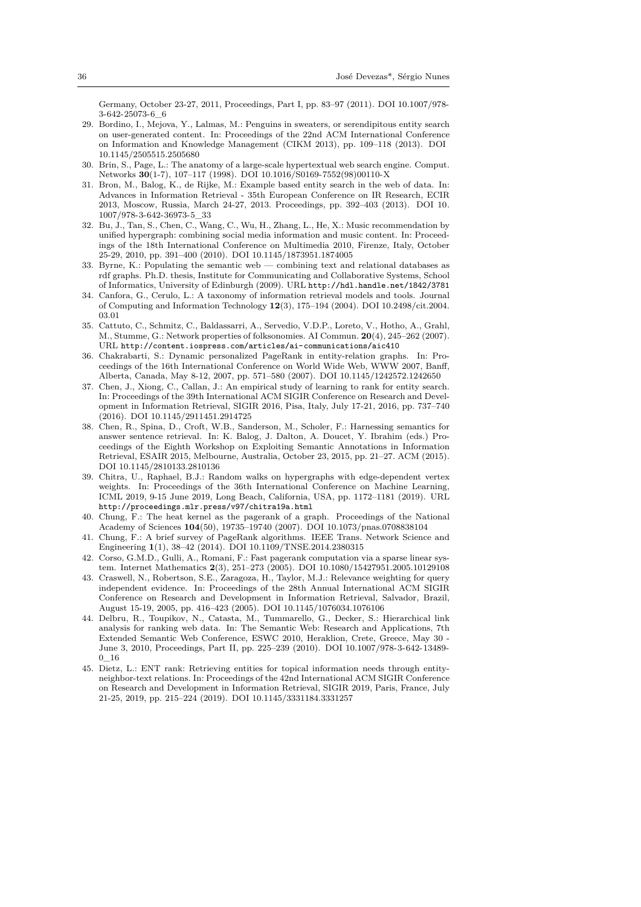Germany, October 23-27, 2011, Proceedings, Part I, pp. 83–97 (2011). DOI 10.1007/978- 3-642-25073-6\_6

- 29. Bordino, I., Mejova, Y., Lalmas, M.: Penguins in sweaters, or serendipitous entity search on user-generated content. In: Proceedings of the 22nd ACM International Conference on Information and Knowledge Management (CIKM 2013), pp. 109–118 (2013). DOI 10.1145/2505515.2505680
- 30. Brin, S., Page, L.: The anatomy of a large-scale hypertextual web search engine. Comput. Networks **30**(1-7), 107–117 (1998). DOI 10.1016/S0169-7552(98)00110-X
- <span id="page-35-7"></span>31. Bron, M., Balog, K., de Rijke, M.: Example based entity search in the web of data. In: Advances in Information Retrieval - 35th European Conference on IR Research, ECIR 2013, Moscow, Russia, March 24-27, 2013. Proceedings, pp. 392–403 (2013). DOI 10. 1007/978-3-642-36973-5\_33
- <span id="page-35-3"></span><span id="page-35-0"></span>32. Bu, J., Tan, S., Chen, C., Wang, C., Wu, H., Zhang, L., He, X.: Music recommendation by unified hypergraph: combining social media information and music content. In: Proceedings of the 18th International Conference on Multimedia 2010, Firenze, Italy, October 25-29, 2010, pp. 391–400 (2010). DOI 10.1145/1873951.1874005
- <span id="page-35-14"></span>33. Byrne, K.: Populating the semantic web — combining text and relational databases as rdf graphs. Ph.D. thesis, Institute for Communicating and Collaborative Systems, School of Informatics, University of Edinburgh (2009). URL http://hdl.handle.net/1842/3781
- 34. Canfora, G., Cerulo, L.: A taxonomy of information retrieval models and tools. Journal of Computing and Information Technology **12**(3), 175–194 (2004). DOI 10.2498/cit.2004. 03.01
- <span id="page-35-6"></span>35. Cattuto, C., Schmitz, C., Baldassarri, A., Servedio, V.D.P., Loreto, V., Hotho, A., Grahl, M., Stumme, G.: Network properties of folksonomies. AI Commun. **20**[\(4\), 245–262 \(2007\).](http://hdl.handle.net/1842/3781) URL http://content.iospress.com/articles/ai-communications/aic410
- 36. Chakrabarti, S.: Dynamic personalized PageRank in entity-relation graphs. In: Proceedings of the 16th International Conference on World Wide Web, WWW 2007, Banff, Alberta, Canada, May 8-12, 2007, pp. 571–580 (2007). DOI 10.1145/1242572.1242650
- <span id="page-35-13"></span>37. Chen, J., Xiong, C., Callan, J.: An empirical study of learning to rank for entity search. In: P[roceedings of the 39th International ACM SIGIR Conference on Researc](http://content.iospress.com/articles/ai-communications/ aic410)h and Development in Information Retrieval, SIGIR 2016, Pisa, Italy, July 17-21, 2016, pp. 737–740 (2016). DOI 10.1145/2911451.2914725
- <span id="page-35-11"></span><span id="page-35-2"></span>38. Chen, R., Spina, D., Croft, W.B., Sanderson, M., Scholer, F.: Harnessing semantics for answer sentence retrieval. In: K. Balog, J. Dalton, A. Doucet, Y. Ibrahim (eds.) Proceedings of the Eighth Workshop on Exploiting Semantic Annotations in Information Retrieval, ESAIR 2015, Melbourne, Australia, October 23, 2015, pp. 21–27. ACM (2015). DOI 10.1145/2810133.2810136
- <span id="page-35-1"></span>39. Chitra, U., Raphael, B.J.: Random walks on hypergraphs with edge-dependent vertex weights. In: Proceedings of the 36th International Conference on Machine Learning, ICML 2019, 9-15 June 2019, Long Beach, California, USA, pp. 1172–1181 (2019). URL http://proceedings.mlr.press/v97/chitra19a.html
- 40. Chung, F.: The heat kernel as the pagerank of a graph. Proceedings of the National Academy of Sciences **104**(50), 19735–19740 (2007). DOI 10.1073/pnas.0708838104
- 41. Chung, F.: A brief survey of PageRank algorithms. IEEE Trans. Network Science and Engineering **1**(1), 38–42 (2014). DOI 10.1109/TNSE.2014.2380315
- 42. [Corso, G.M.D., Gulli, A., Romani, F.: Fast pagerank co](http://proceedings.mlr.press/v97/chitra19a.html)mputation via a sparse linear system. Internet Mathematics **2**(3), 251–273 (2005). DOI 10.1080/15427951.2005.10129108
- <span id="page-35-10"></span><span id="page-35-8"></span>43. Craswell, N., Robertson, S.E., Zaragoza, H., Taylor, M.J.: Relevance weighting for query independent evidence. In: Proceedings of the 28th Annual International ACM SIGIR Conference on Research and Development in Information Retrieval, Salvador, Brazil, August 15-19, 2005, pp. 416–423 (2005). DOI 10.1145/1076034.1076106
- <span id="page-35-5"></span><span id="page-35-4"></span>44. Delbru, R., Toupikov, N., Catasta, M., Tummarello, G., Decker, S.: Hierarchical link analysis for ranking web data. In: The Semantic Web: Research and Applications, 7th Extended Semantic Web Conference, ESWC 2010, Heraklion, Crete, Greece, May 30 - June 3, 2010, Proceedings, Part II, pp. 225–239 (2010). DOI 10.1007/978-3-642-13489- 0\_16
- <span id="page-35-12"></span><span id="page-35-9"></span>45. Dietz, L.: ENT rank: Retrieving entities for topical information needs through entityneighbor-text relations. In: Proceedings of the 42nd International ACM SIGIR Conference on Research and Development in Information Retrieval, SIGIR 2019, Paris, France, July 21-25, 2019, pp. 215–224 (2019). DOI 10.1145/3331184.3331257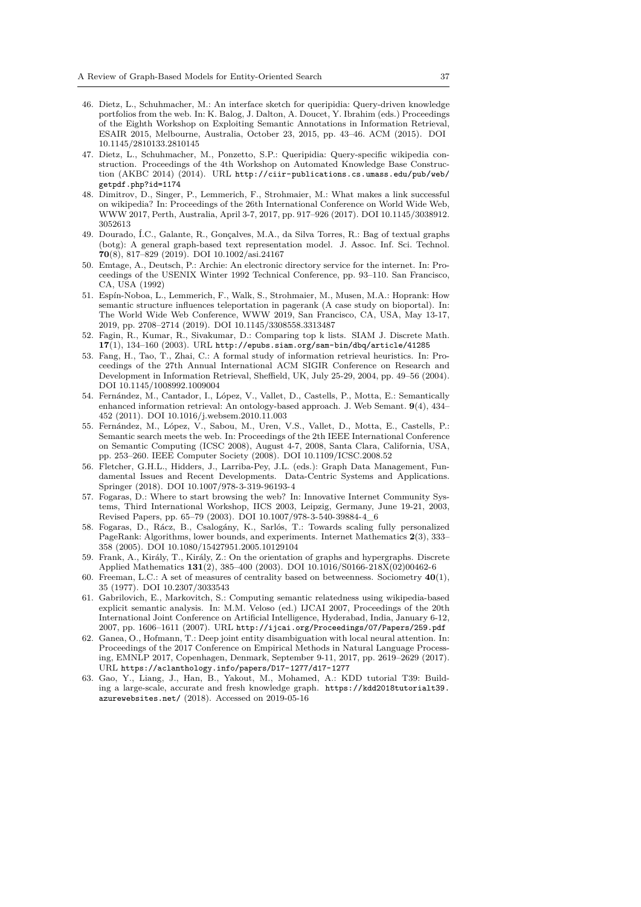- 46. Dietz, L., Schuhmacher, M.: An interface sketch for queripidia: Query-driven knowledge portfolios from the web. In: K. Balog, J. Dalton, A. Doucet, Y. Ibrahim (eds.) Proceedings of the Eighth Workshop on Exploiting Semantic Annotations in Information Retrieval, ESAIR 2015, Melbourne, Australia, October 23, 2015, pp. 43–46. ACM (2015). DOI 10.1145/2810133.2810145
- <span id="page-36-2"></span>47. Dietz, L., Schuhmacher, M., Ponzetto, S.P.: Queripidia: Query-specific wikipedia construction. Proceedings of the 4th Workshop on Automated Knowledge Base Construction (AKBC 2014) (2014). URL http://ciir-publications.cs.umass.edu/pub/web/ getpdf.php?id=1174
- <span id="page-36-3"></span>48. Dimitrov, D., Singer, P., Lemmerich, F., Strohmaier, M.: What makes a link successful on wikipedia? In: Proceedings of the 26th International Conference on World Wide Web, WWW 2017, Perth, Australia, April 3-7, 2017, pp. 917–926 (2017). DOI 10.1145/3038912. 3052613
- <span id="page-36-6"></span>49. [Dourado, Í.C., Galan](http://ciir-publications.cs.umass.edu/pub/web/getpdf.php? id=1174)te, R., Gonç[alves, M.A., da Silva Torres, R.: Bag of textual graphs](http://ciir-publications.cs.umass.edu/pub/web/getpdf.php? id=1174) (botg): A general graph-based text representation model. J. Assoc. Inf. Sci. Technol. **70**(8), 817–829 (2019). DOI 10.1002/asi.24167
- 50. Emtage, A., Deutsch, P.: Archie: An electronic directory service for the internet. In: Proceedings of the USENIX Winter 1992 Technical Conference, pp. 93–110. San Francisco, CA, USA (1992)
- <span id="page-36-10"></span>51. Espín-Noboa, L., Lemmerich, F., Walk, S., Strohmaier, M., Musen, M.A.: Hoprank: How semantic structure influences teleportation in pagerank (A case study on bioportal). In: The World Wide Web Conference, WWW 2019, San Francisco, CA, USA, May 13-17, 2019, pp. 2708–2714 (2019). DOI 10.1145/3308558.3313487
- <span id="page-36-0"></span>52. Fagin, R., Kumar, R., Sivakumar, D.: Comparing top k lists. SIAM J. Discrete Math. **17**(1), 134–160 (2003). URL http://epubs.siam.org/sam-bin/dbq/article/41285
- <span id="page-36-14"></span>53. Fang, H., Tao, T., Zhai, C.: A formal study of information retrieval heuristics. In: Proceedings of the 27th Annual International ACM SIGIR Conference on Research and Development in Information Retrieval, Sheffield, UK, July 25-29, 2004, pp. 49–56 (2004). DOI 10.1145/1008992.1009004
- <span id="page-36-9"></span><span id="page-36-1"></span>54. Fernández, M., Cantador, I., [López, V., Vallet, D., Castells, P., Motta, E.: Semanti](http://epubs.siam.org/sam-bin/dbq/article/41285)cally enhanced information retrieval: An ontology-based approach. J. Web Semant. **9**(4), 434– 452 (2011). DOI 10.1016/j.websem.2010.11.003
- 55. Fernández, M., López, V., Sabou, M., Uren, V.S., Vallet, D., Motta, E., Castells, P.: Semantic search meets the web. In: Proceedings of the 2th IEEE International Conference on Semantic Computing (ICSC 2008), August 4-7, 2008, Santa Clara, California, USA, pp. 253–260. IEEE Computer Society (2008). DOI 10.1109/ICSC.2008.52
- <span id="page-36-11"></span><span id="page-36-5"></span>56. Fletcher, G.H.L., Hidders, J., Larriba-Pey, J.L. (eds.): Graph Data Management, Fundamental Issues and Recent Developments. Data-Centric Systems and Applications. Springer (2018). DOI 10.1007/978-3-319-96193-4
- 57. Fogaras, D.: Where to start browsing the web? In: Innovative Internet Community Systems, Third International Workshop, IICS 2003, Leipzig, Germany, June 19-21, 2003, Revised Papers, pp. 65–79 (2003). DOI 10.1007/978-3-540-39884-4\_6
- <span id="page-36-12"></span>58. Fogaras, D., Rácz, B., Csalogány, K., Sarlós, T.: Towards scaling fully personalized PageRank: Algorithms, lower bounds, and experiments. Internet Mathematics **2**(3), 333– 358 (2005). DOI 10.1080/15427951.2005.10129104
- <span id="page-36-7"></span>59. Frank, A., Király, T., Király, Z.: On the orientation of graphs and hypergraphs. Discrete Applied Mathematics **131**(2), 385–400 (2003). DOI 10.1016/S0166-218X(02)00462-6
- 60. Freeman, L.C.: A set of measures of centrality based on betweenness. Sociometry **40**(1), 35 (1977). DOI 10.2307/3033543
- <span id="page-36-13"></span>61. Gabrilovich, E., Markovitch, S.: Computing semantic relatedness using wikipedia-based explicit semantic analysis. In: M.M. Veloso (ed.) IJCAI 2007, Proceedings of the 20th International Joint Conference on Artificial Intelligence, Hyderabad, India, January 6-12, 2007, pp. 1606–1611 (2007). URL http://ijcai.org/Proceedings/07/Papers/259.pdf
- <span id="page-36-8"></span><span id="page-36-4"></span>62. Ganea, O., Hofmann, T.: Deep joint entity disambiguation with local neural attention. In: Proceedings of the 2017 Conference on Empirical Methods in Natural Language Processing, EMNLP 2017, Copenhagen, Denmark, September 9-11, 2017, pp. 2619–2629 (2017). URL https://aclanthology.info/papers/D17-1277/d17-1277
- <span id="page-36-15"></span>63. Gao, Y., Liang, J., Han, B., Ya[kout, M., Mohamed, A.: KDD tutorial T39: Build](http://ijcai.org/Proceedings/07/Papers/259.pdf)ing a large-scale, accurate and fresh knowledge graph. https://kdd2018tutorialt39. azurewebsites.net/ (2018). Accessed on 2019-05-16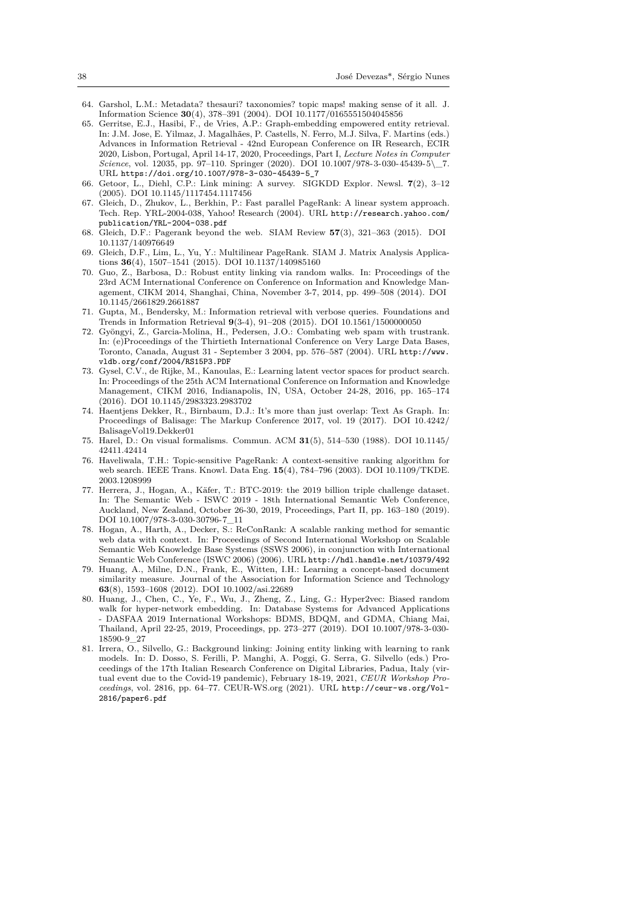- 64. Garshol, L.M.: Metadata? thesauri? taxonomies? topic maps! making sense of it all. J. Information Science **30**(4), 378–391 (2004). DOI 10.1177/0165551504045856
- 65. Gerritse, E.J., Hasibi, F., de Vries, A.P.: Graph-embedding empowered entity retrieval. In: J.M. Jose, E. Yilmaz, J. Magalhães, P. Castells, N. Ferro, M.J. Silva, F. Martins (eds.) Advances in Information Retrieval - 42nd European Conference on IR Research, ECIR 2020, Lisbon, Portugal, April 14-17, 2020, Proceedings, Part I, *Lecture Notes in Computer Science*, vol. 12035, pp. 97–110. Springer (2020). DOI 10.1007/978-3-030-45439-5\\_7. URL https://doi.org/10.1007/978-3-030-45439-5\_7
- <span id="page-37-11"></span><span id="page-37-8"></span>66. Getoor, L., Diehl, C.P.: Link mining: A survey. SIGKDD Explor. Newsl. **7**(2), 3–12 (2005). DOI 10.1145/1117454.1117456
- 67. Gleich, D., Zhukov, L., Berkhin, P.: Fast parallel PageRank: A linear system approach. Tech. Rep. YRL-2004-038, Yahoo! Research (2004). URL http://research.yahoo.com/ publication/YRL-2004-038.pdf
- <span id="page-37-2"></span>68. Gleic[h, D.F.: Pagerank beyond the web. SIAM Revie](https://doi.org/10.1007/978-3-030-45439-5_7)w **57**(3), 321–363 (2015). DOI 10.1137/140976649
- <span id="page-37-3"></span>69. Gleich, D.F., Lim, L., Yu, Y.: Multilinear PageRank. SIAM J. Matrix Analysis Applications **36**(4), 1507–1541 (2015). DOI 10.1137/140985160
- <span id="page-37-4"></span>70. [Guo, Z., Barbosa, D.: Robust en](http://research.yahoo.com/publication/YRL-2004-038.pdf)tity linking via random [walks. In: Proceedings of the](http://research.yahoo.com/publication/YRL-2004-038.pdf) 23rd ACM International Conference on Conference on Information and Knowledge Management, CIKM 2014, Shanghai, China, November 3-7, 2014, pp. 499–508 (2014). DOI 10.1145/2661829.2661887
- <span id="page-37-6"></span>71. Gupta, M., Bendersky, M.: Information retrieval with verbose queries. Foundations and Trends in Information Retrieval **9**(3-4), 91–208 (2015). DOI 10.1561/1500000050
- <span id="page-37-13"></span>72. Gyöngyi, Z., Garcia-Molina, H., Pedersen, J.O.: Combating web spam with trustrank. In: (e)Proceedings of the Thirtieth International Conference on Very Large Data Bases, Toronto, Canada, August 31 - September 3 2004, pp. 576–587 (2004). URL http://www. vldb.org/conf/2004/RS15P3.PDF
- <span id="page-37-7"></span><span id="page-37-0"></span>73. Gysel, C.V., de Rijke, M., Kanoulas, E.: Learning latent vector spaces for product search. In: Proceedings of the 25th ACM International Conference on Information and Knowledge Management, CIKM 2016, Indianapolis, IN, USA, October 24-28, 2016, pp. 165–174 (2016). DOI 10.1145/2983323.2983702
- <span id="page-37-1"></span>74. [Haentjens Dekker, R., Birnbaum,](http://www.vldb.org/conf/2004/RS15P3.PDF) D.J.: It's more than just overlap: Text [As Graph. In:](http://www.vldb.org/conf/2004/RS15P3.PDF) Proceedings of Balisage: The Markup Conference 2017, vol. 19 (2017). DOI 10.4242/ BalisageVol19.Dekker01
- 75. Harel, D.: On visual formalisms. Commun. ACM **31**(5), 514–530 (1988). DOI 10.1145/ 42411.42414
- <span id="page-37-15"></span>76. Haveliwala, T.H.: Topic-sensitive PageRank: A context-sensitive ranking algorithm for web search. IEEE Trans. Knowl. Data Eng. **15**(4), 784–796 (2003). DOI 10.1109/TKDE. 2003.1208999
- <span id="page-37-12"></span>77. Herrera, J., Hogan, A., Käfer, T.: BTC-2019: the 2019 billion triple challenge dataset. In: The Semantic Web - ISWC 2019 - 18th International Semantic Web Conference, Auckland, New Zealand, October 26-30, 2019, Proceedings, Part II, pp. 163–180 (2019). DOI 10.1007/978-3-030-30796-7\_11
- <span id="page-37-10"></span><span id="page-37-5"></span>78. Hogan, A., Harth, A., Decker, S.: ReConRank: A scalable ranking method for semantic web data with context. In: Proceedings of Second International Workshop on Scalable Semantic Web Knowledge Base Systems (SSWS 2006), in conjunction with International Semantic Web Conference (ISWC 2006) (2006). URL http://hdl.handle.net/10379/492
- <span id="page-37-14"></span>79. Huang, A., Milne, D.N., Frank, E., Witten, I.H.: Learning a concept-based document similarity measure. Journal of the Association for Information Science and Technology **63**(8), 1593–1608 (2012). DOI 10.1002/asi.22689
- 80. Huang, J., Chen, C., Ye, F., Wu, J., Zheng, Z., Ling, G.: Hyper2vec: Biased random walk for hyper-network embedding. In: Database [Systems for Advanced Applications](http://hdl.handle.net/10379/492) - DASFAA 2019 International Workshops: BDMS, BDQM, and GDMA, Chiang Mai, Thailand, April 22-25, 2019, Proceedings, pp. 273–277 (2019). DOI 10.1007/978-3-030- 18590-9\_27
- <span id="page-37-9"></span>81. Irrera, O., Silvello, G.: Background linking: Joining entity linking with learning to rank models. In: D. Dosso, S. Ferilli, P. Manghi, A. Poggi, G. Serra, G. Silvello (eds.) Proceedings of the 17th Italian Research Conference on Digital Libraries, Padua, Italy (virtual event due to the Covid-19 pandemic), February 18-19, 2021, *CEUR Workshop Proceedings*, vol. 2816, pp. 64–77. CEUR-WS.org (2021). URL http://ceur-ws.org/Vol-2816/paper6.pdf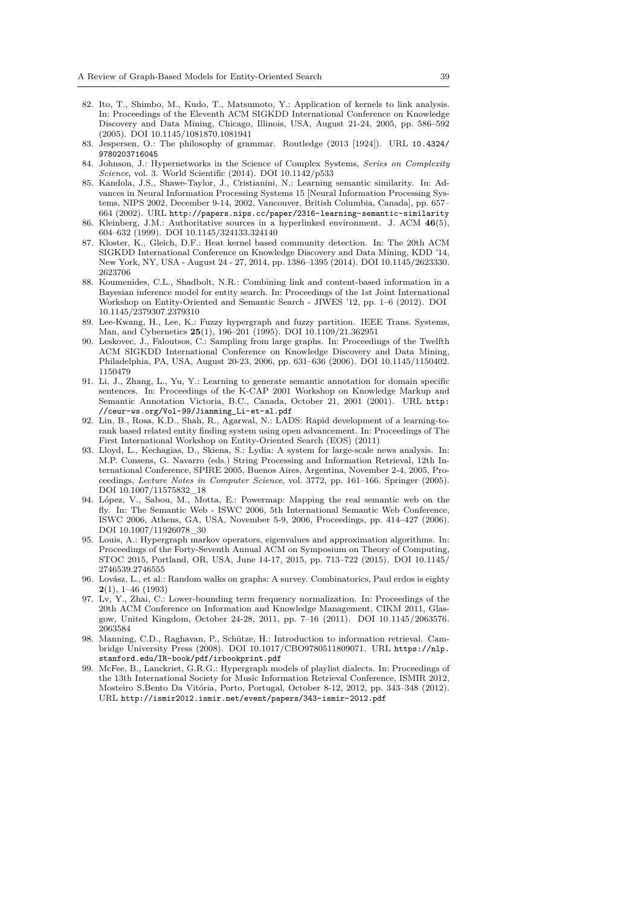- 82. Ito, T., Shimbo, M., Kudo, T., Matsumoto, Y.: Application of kernels to link analysis. In: Proceedings of the Eleventh ACM SIGKDD International Conference on Knowledge Discovery and Data Mining, Chicago, Illinois, USA, August 21-24, 2005, pp. 586–592 (2005). DOI 10.1145/1081870.1081941
- 83. Jespersen, O.: The philosophy of grammar. Routledge (2013 [1924]). URL 10.4324/ 9780203716045
- <span id="page-38-5"></span>84. Johnson, J.: Hypernetworks in the Science of Complex Systems, *Series on Complexity Science*, vol. 3. World Scientific (2014). DOI 10.1142/p533
- <span id="page-38-6"></span>85. Kandola, J.S., Shawe-Taylor, J., Cristianini, N.: Learning semantic similarity. In: Advances in Neural Information Processing Systems 15 [Neural Information Proce[ssing Sys](10.4324/9780203716045)[tems, NIPS 200](10.4324/9780203716045)2, December 9-14, 2002, Vancouver, British Columbia, Canada], pp. 657– 664 (2002). URL http://papers.nips.cc/paper/2316-learning-semantic-similarity
- <span id="page-38-12"></span>86. Kleinberg, J.M.: Authoritative sources in a hyperlinked environment. J. ACM **46**(5), 604–632 (1999). DOI 10.1145/324133.324140
- <span id="page-38-16"></span>87. Kloster, K., Gleich, D.F.: Heat kernel based community detection. In: The 20th ACM SIGKDD International Conference on Knowledge Discovery and Data Mining, KDD '14, New York, NY, U[SA - August 24 - 27, 2014, pp. 1386–1395 \(2014\). DOI 10.1145/2623330.](http://papers.nips.cc/paper/2316-learning-semantic- similarity) 2623706
- <span id="page-38-10"></span><span id="page-38-4"></span>88. Koumenides, C.L., Shadbolt, N.R.: Combining link and content-based information in a Bayesian inference model for entity search. In: Proceedings of the 1st Joint International Workshop on Entity-Oriented and Semantic Search - JIWES '12, pp. 1–6 (2012). DOI 10.1145/2379307.2379310
- 89. Lee-Kwang, H., Lee, K.: Fuzzy hypergraph and fuzzy partition. IEEE Trans. Systems, Man, and Cybernetics **25**(1), 196–201 (1995). DOI 10.1109/21.362951
- <span id="page-38-2"></span>90. Leskovec, J., Faloutsos, C.: Sampling from large graphs. In: Proceedings of the Twelfth ACM SIGKDD International Conference on Knowledge Discovery and Data Mining, Philadelphia, PA, USA, August 20-23, 2006, pp. 631–636 (2006). DOI 10.1145/1150402. 1150479
- <span id="page-38-14"></span><span id="page-38-11"></span>91. Li, J., Zhang, L., Yu, Y.: Learning to generate semantic annotation for domain specific sentences. In: Proceedings of the K-CAP 2001 Workshop on Knowledge Markup and Semantic Annotation Victoria, B.C., Canada, October 21, 2001 (2001). URL http: //ceur-ws.org/Vol-99/Jianming\_Li-et-al.pdf
- <span id="page-38-9"></span>92. Lin, B., Rosa, K.D., Shah, R., Agarwal, N.: LADS: Rapid development of a learning-torank based related entity finding system using open advancement. In: Proceedings of The First International Workshop on Entity-Oriented Search (EOS) (2011)
- <span id="page-38-3"></span>93. Lloyd, L., Kechagias, D., Skiena, S.: Lydia: A system for large-scale news analys[is. In:](http://ceur-ws.org/Vol-99/Jianming_Li-et-al.pdf) [M.P. Consens, G. Navarro \(eds.\) String Processi](http://ceur-ws.org/Vol-99/Jianming_Li-et-al.pdf)ng and Information Retrieval, 12th International Conference, SPIRE 2005, Buenos Aires, Argentina, November 2-4, 2005, Proceedings, *Lecture Notes in Computer Science*, vol. 3772, pp. 161–166. Springer (2005). DOI 10.1007/11575832\_18
- <span id="page-38-1"></span>94. López, V., Sabou, M., Motta, E.: Powermap: Mapping the real semantic web on the fly. In: The Semantic Web - ISWC 2006, 5th International Semantic Web Conference, ISWC 2006, Athens, GA, USA, November 5-9, 2006, Proceedings, pp. 414–427 (2006). DOI 10.1007/11926078 30
- <span id="page-38-8"></span>95. Louis, A.: Hypergraph markov operators, eigenvalues and approximation algorithms. In: Proceedings of the Forty-Seventh Annual ACM on Symposium on Theory of Computing, STOC 2015, Portland, OR, USA, June 14-17, 2015, pp. 713–722 (2015). DOI 10.1145/ 2746539.2746555
- 96. Lovász, L., et al.: Random walks on graphs: A survey. Combinatorics, Paul erdos is eighty **2**(1), 1–46 (1993)
- <span id="page-38-15"></span>97. Lv, Y., Zhai, C.: Lower-bounding term frequency normalization. In: Proceedings of the 20th ACM Conference on Information and Knowledge Management, CIKM 2011, Glasgow, United Kingdom, October 24-28, 2011, pp. 7–16 (2011). DOI 10.1145/2063576. 2063584
- <span id="page-38-13"></span><span id="page-38-7"></span>98. Manning, C.D., Raghavan, P., Schütze, H.: Introduction to information retrieval. Cambridge University Press (2008). DOI 10.1017/CBO9780511809071. URL https://nlp. stanford.edu/IR-book/pdf/irbookprint.pdf
- <span id="page-38-17"></span><span id="page-38-0"></span>99. McFee, B., Lanckriet, G.R.G.: Hypergraph models of playlist dialects. In: Proceedings of the 13th International Society for Music Information Retrieval Conference, ISMIR 2012, Mosteiro S.Bento Da Vitória, Porto, Portugal, October 8-12, 2012, pp. 343–348 (2012). URL http://ismir2012.ismir.net/event/papers/343-ismir-2012.pdf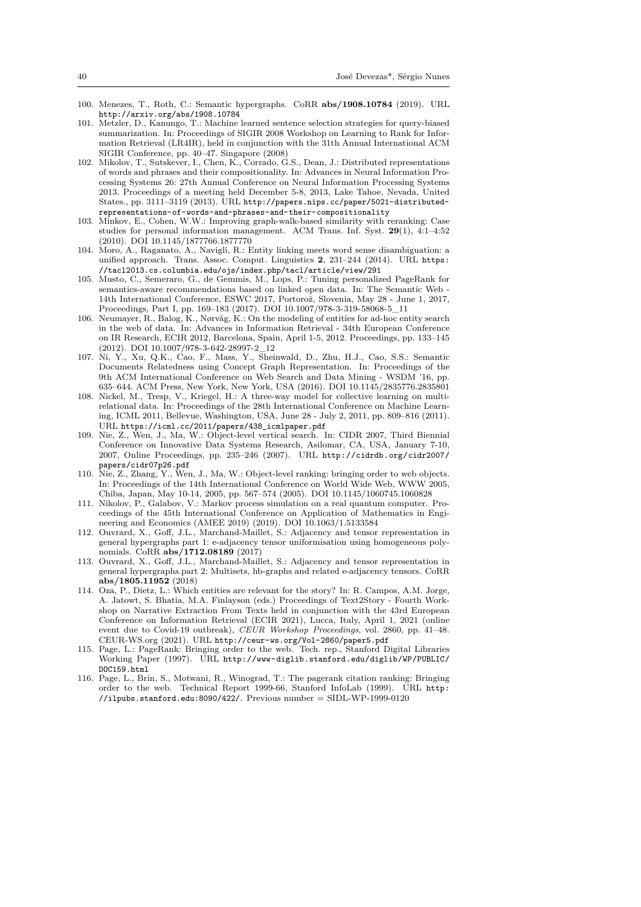- 100. Menezes, T., Roth, C.: Semantic hypergraphs. CoRR **abs/1908.10784** (2019). URL http://arxiv.org/abs/1908.10784
- 101. Metzler, D., Kanungo, T.: Machine learned sentence selection strategies for query-biased summarization. In: Proceedings of SIGIR 2008 Workshop on Learning to Rank for Information Retrieval (LR4IR), held in conjunction with the 31th Annual International ACM SIGIR Conference, pp. 40–47. Singapore (2008)
- <span id="page-39-11"></span><span id="page-39-1"></span>102. Mikolov, T., Sutskever, I., Chen, K., Corrado, G.S., Dean, J.: Distributed representations [of words and phrases and their comp](http://arxiv.org/abs/1908.10784)ositionality. In: Advances in Neural Information Processing Systems 26: 27th Annual Conference on Neural Information Processing Systems 2013. Proceedings of a meeting held December 5-8, 2013, Lake Tahoe, Nevada, United States., pp. 3111–3119 (2013). URL http://papers.nips.cc/paper/5021-distributedrepresentations-of-words-and-phrases-and-their-compositionality
- <span id="page-39-2"></span>103. Minkov, E., Cohen, W.W.: Improving graph-walk-based similarity with reranking: Case studies for personal information management. ACM Trans. Inf. Syst. **29**(1), 4:1–4:52 (2010). DOI 10.1145/1877766.1877770
- 104. Moro, A., Raganato, A., Navigli, R.[: Entity linking meets word sense disambiguation: a](http://papers.nips.cc/paper/5021-distributed- representations-of-words-and-phrases-and-their- compositionality) unified approach. Trans. Assoc. Comput. Linguistics **2**, 231–244 (2014). URL https: [//tacl2013.cs.columbia.edu/ojs/index.php/tacl/article/view/291](http://papers.nips.cc/paper/5021-distributed- representations-of-words-and-phrases-and-their- compositionality)
- <span id="page-39-8"></span>105. Musto, C., Semeraro, G., de Gemmis, M., Lops, P.: Tuning personalized PageRank for semantics-aware recommendations based on linked open data. In: The Semantic Web - 14th International Conference, ESWC 2017, Portorož, Slovenia, May 28 - June 1, 2017, Proceedings, Part I, pp. 169–183 (2017). DOI 10.1007/978-3-319-58068-5\_11
- <span id="page-39-15"></span><span id="page-39-0"></span>106. Neumayer, R., Balog, K., Nørvåg, K.: On the modeling of entities for ad-hoc entit[y search](https://tacl2013.cs.columbia.edu/ojs/index.php/tacl/article/ view/291) [in the web of data. In: Advances in Information Retrieval - 34th Euro](https://tacl2013.cs.columbia.edu/ojs/index.php/tacl/article/ view/291)pean Conference on IR Research, ECIR 2012, Barcelona, Spain, April 1-5, 2012. Proceedings, pp. 133–145 (2012). DOI 10.1007/978-3-642-28997-2\_12
- <span id="page-39-4"></span>107. Ni, Y., Xu, Q.K., Cao, F., Mass, Y., Sheinwald, D., Zhu, H.J., Cao, S.S.: Semantic Documents Relatedness using Concept Graph Representation. In: Proceedings of the 9th ACM International Conference on Web Search and Data Mining - WSDM '16, pp. 635–644. ACM Press, New York, New York, USA (2016). DOI 10.1145/2835776.2835801
- <span id="page-39-6"></span>108. Nickel, M., Tresp, V., Kriegel, H.: A three-way model for collective learning on multirelational data. In: Proceedings of the 28th International Conference on Machine Learning, ICML 2011, Bellevue, Washington, USA, June 28 - July 2, 2011, pp. 809–816 (2011). URL https://icml.cc/2011/papers/438\_icmlpaper.pdf
- <span id="page-39-7"></span>109. Nie, Z., Wen, J., Ma, W.: Object-level vertical search. In: CIDR 2007, Third Biennial Conference on Innovative Data Systems Research, Asilomar, CA, USA, January 7-10, 2007, Online Proceedings, pp. 235–246 (2007). URL http://cidrdb.org/cidr2007/ papers/cidr07p26.pdf
- <span id="page-39-14"></span>110. Nie, Z., Zhang, Y., Wen, J., Ma, W.: Object-level ranking: bringing order to web objects. In: P[roceedings of the 14th International Conference on W](https://icml.cc/2011/papers/438_icmlpaper.pdf)orld Wide Web, WWW 2005, Chiba, Japan, May 10-14, 2005, pp. 567–574 (2005). DOI 10.1145/1060745.1060828
- 111. Nikolov, P., Galabov, V.: Markov process simulation on a real quantum computer. Proceedings of the 45th International Conference on Appl[ication of Mathematics in Engi](http://cidrdb.org/cidr2007/papers/cidr07p26.pdf)[neering and Economics](http://cidrdb.org/cidr2007/papers/cidr07p26.pdf) (AMEE 2019) (2019). DOI 10.1063/1.5133584
- <span id="page-39-13"></span>112. Ouvrard, X., Goff, J.L., Marchand-Maillet, S.: Adjacency and tensor representation in general hypergraphs part 1: e-adjacency tensor uniformisation using homogeneous polynomials. CoRR **abs/1712.08189** (2017)
- <span id="page-39-16"></span>113. Ouvrard, X., Goff, J.L., Marchand-Maillet, S.: Adjacency and tensor representation in general hypergraphs.part 2: Multisets, hb-graphs and related e-adjacency tensors. CoRR **abs/1805.11952** (2018)
- <span id="page-39-10"></span><span id="page-39-9"></span>114. Oza, P., Dietz, L.: Which entities are relevant for the story? In: R. Campos, A.M. Jorge, A. Jatowt, S. Bhatia, M.A. Finlayson (eds.) Proceedings of Text2Story - Fourth Workshop on Narrative Extraction From Texts held in conjunction with the 43rd European Conference on Information Retrieval (ECIR 2021), Lucca, Italy, April 1, 2021 (online event due to Covid-19 outbreak), *CEUR Workshop Proceedings*, vol. 2860, pp. 41–48. CEUR-WS.org (2021). URL http://ceur-ws.org/Vol-2860/paper5.pdf
- <span id="page-39-5"></span>115. Page, L.: PageRank: Bringing order to the web. Tech. rep., Stanford Digital Libraries Working Paper (1997). URL http://www-diglib.stanford.edu/diglib/WP/PUBLIC/ DOC159.html
- <span id="page-39-12"></span><span id="page-39-3"></span>116. Page, L., Brin, S., Motwani, R., Winograd, T.: The pagerank citation ranking: Bringing order to the web. Technica[l Report 1999-66, Stanford InfoLab \(1999\)](http://ceur-ws.org/Vol-2860/paper5.pdf). URL http: //ilpubs.stanford.edu:8090/422/. Previous number = SIDL-WP-1999-0120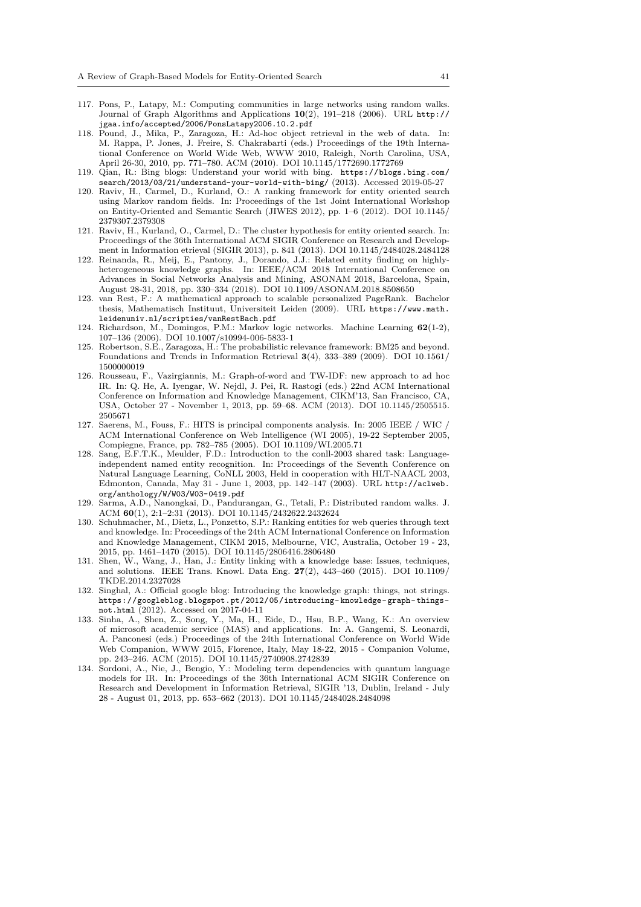- 117. Pons, P., Latapy, M.: Computing communities in large networks using random walks. Journal of Graph Algorithms and Applications **10**(2), 191–218 (2006). URL http:// jgaa.info/accepted/2006/PonsLatapy2006.10.2.pdf
- 118. Pound, J., Mika, P., Zaragoza, H.: Ad-hoc object retrieval in the web of data. In: M. Rappa, P. Jones, J. Freire, S. Chakrabarti (eds.) Proceedings of the 19th International Conference on World Wide Web, WWW 2010, Raleigh, North Carolina, USA, April 26-30, 2010, pp. 771–780. ACM (2010). DOI 10.1145/1772690.1772769
- <span id="page-40-9"></span>119. Qian, R.: Bing blogs: Understand your world with bing. https://blogs.bi[ng.com/](http://jgaa.info/accepted/2006/PonsLatapy2006.10.2.pdf) [search/2013/03/21/understand-your-world-with-bi](http://jgaa.info/accepted/2006/PonsLatapy2006.10.2.pdf)ng/ (2013). Accessed 2019-05-27
- <span id="page-40-1"></span>120. Raviv, H., Carmel, D., Kurland, O.: A ranking framework for entity oriented search using Markov random fields. In: Proceedings of the 1st Joint International Workshop on Entity-Oriented and Semantic Search (JIWES 2012), pp. 1–6 (2012). DOI 10.1145/ 2379307.2379308
- <span id="page-40-12"></span>121. Raviv, H., Kurland, O., Carmel, D.: The cluster hypothesis f[or entity oriented search. In:](https://blogs.bing.com/search/2013/03/21/understand-your-world-with-bing/) [Proceedings of the 36th International ACM SIGIR Confere](https://blogs.bing.com/search/2013/03/21/understand-your-world-with-bing/)nce on Research and Development in Information etrieval (SIGIR 2013), p. 841 (2013). DOI 10.1145/2484028.2484128
- <span id="page-40-2"></span>122. Reinanda, R., Meij, E., Pantony, J., Dorando, J.J.: Related entity finding on highlyheterogeneous knowledge graphs. In: IEEE/ACM 2018 International Conference on Advances in Social Networks Analysis and Mining, ASONAM 2018, Barcelona, Spain, August 28-31, 2018, pp. 330–334 (2018). DOI 10.1109/ASONAM.2018.8508650
- <span id="page-40-3"></span>123. van Rest, F.: A mathematical approach to scalable personalized PageRank. Bachelor thesis, Mathematisch Instituut, Universiteit Leiden (2009). URL https://www.math. leidenuniv.nl/scripties/vanRestBach.pdf
- 124. Richardson, M., Domingos, P.M.: Markov logic networks. Machine Learning **62**(1-2), 107–136 (2006). DOI 10.1007/s10994-006-5833-1
- <span id="page-40-13"></span>125. Robertson, S.E., Zaragoza, H.: The probabilistic relevance framework: BM25 and beyond. Foundations and Trends in Information Retrieval **3**(4), 333–389 (2[009\). DOI 10.1561/](https://www.math.leidenuniv.nl/scripties/vanRestBach.pdf) 1500000019
- <span id="page-40-7"></span>126. [Rousseau, F., Vazirgiannis, M.: Graph-of-wo](https://www.math.leidenuniv.nl/scripties/vanRestBach.pdf)rd and TW-IDF: new approach to ad hoc IR. In: Q. He, A. Iyengar, W. Nejdl, J. Pei, R. Rastogi (eds.) 22nd ACM International Conference on Information and Knowledge Management, CIKM'13, San Francisco, CA, USA, October 27 - November 1, 2013, pp. 59–68. ACM (2013). DOI 10.1145/2505515. 2505671
- <span id="page-40-6"></span>127. Saerens, M., Fouss, F.: HITS is principal components analysis. In: 2005 IEEE / WIC / ACM International Conference on Web Intelligence (WI 2005), 19-22 September 2005, Compiegne, France, pp. 782–785 (2005). DOI 10.1109/WI.2005.71
- <span id="page-40-5"></span>128. Sang, E.F.T.K., Meulder, F.D.: Introduction to the conll-2003 shared task: Languageindependent named entity recognition. In: Proceedings of the Seventh Conference on Natural Language Learning, CoNLL 2003, Held in cooperation with HLT-NAACL 2003, Edmonton, Canada, May 31 - June 1, 2003, pp. 142–147 (2003). URL http://aclweb. org/anthology/W/W03/W03-0419.pdf
- <span id="page-40-0"></span>129. Sarma, A.D., Nanongkai, D., Pandurangan, G., Tetali, P.: Distributed random walks. J. ACM **60**(1), 2:1–2:31 (2013). DOI 10.1145/2432622.2432624
- 130. Schuhmacher, M., Dietz, L., Ponzetto, S.P.: Ranking entities for web queries through text and knowledge. In: Proceedings of the 24th ACM International Conference on Information and Knowledge Management, CIKM 2015, Melbourne, VIC, Australia, [October 19 - 23,](http://aclweb.org/anthology/W/W03/W03-0419.pdf) [2015, pp. 1461–1470 \(2015\). DOI 10.](http://aclweb.org/anthology/W/W03/W03-0419.pdf)1145/2806416.2806480
- <span id="page-40-8"></span><span id="page-40-4"></span>131. Shen, W., Wang, J., Han, J.: Entity linking with a knowledge base: Issues, techniques, and solutions. IEEE Trans. Knowl. Data Eng. **27**(2), 443–460 (2015). DOI 10.1109/ TKDE.2014.2327028
- 132. Singhal, A.: Official google blog: Introducing the knowledge graph: things, not strings. https://googleblog.blogspot.pt/2012/05/introducing-knowledge-graph-thingsnot.html (2012). Accessed on 2017-04-11
- <span id="page-40-14"></span><span id="page-40-10"></span>133. Sinha, A., Shen, Z., Song, Y., Ma, H., Eide, D., Hsu, B.P., Wang, K.: An overview of microsoft academic service (MAS) and applications. In: A. Gangemi, S. Leonardi, A. Panconesi (eds.) Proceedings of the 24th International Conference on World Wide [Web Companion, WWW 2015, Florence, Italy, May 18-22, 2015 - Companion Volume,](https://googleblog.blogspot.pt/2012/05/introducing-knowledge-graph-things-not.html) pp. 243–246. ACM (2015). DOI 10.1145/2740908.2742839
- <span id="page-40-11"></span>134. [Sordoni, A](https://googleblog.blogspot.pt/2012/05/introducing-knowledge-graph-things-not.html)., Nie, J., Bengio, Y.: Modeling term dependencies with quantum language models for IR. In: Proceedings of the 36th International ACM SIGIR Conference on Research and Development in Information Retrieval, SIGIR '13, Dublin, Ireland - July 28 - August 01, 2013, pp. 653–662 (2013). DOI 10.1145/2484028.2484098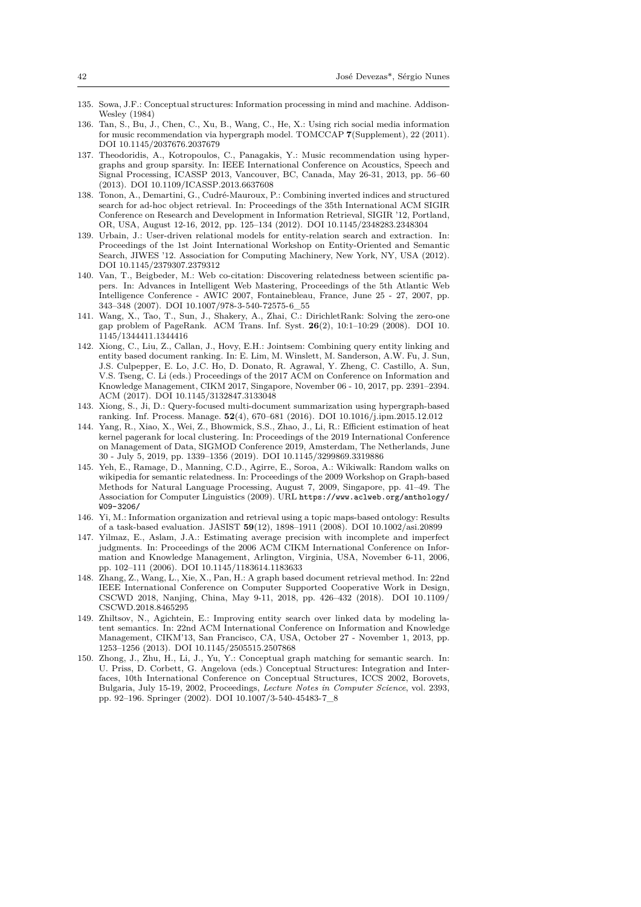- 135. Sowa, J.F.: Conceptual structures: Information processing in mind and machine. Addison-Wesley (1984)
- 136. Tan, S., Bu, J., Chen, C., Xu, B., Wang, C., He, X.: Using rich social media information for music recommendation via hypergraph model. TOMCCAP **7**(Supplement), 22 (2011). DOI 10.1145/2037676.2037679
- <span id="page-41-6"></span>137. Theodoridis, A., Kotropoulos, C., Panagakis, Y.: Music recommendation using hypergraphs and group sparsity. In: IEEE International Conference on Acoustics, Speech and Signal Processing, ICASSP 2013, Vancouver, BC, Canada, May 26-31, 2013, pp. 56–60 (2013). DOI 10.1109/ICASSP.2013.6637608
- <span id="page-41-14"></span><span id="page-41-13"></span>138. Tonon, A., Demartini, G., Cudré-Mauroux, P.: Combining inverted indices and structured search for ad-hoc object retrieval. In: Proceedings of the 35th International ACM SIGIR Conference on Research and Development in Information Retrieval, SIGIR '12, Portland, OR, USA, August 12-16, 2012, pp. 125–134 (2012). DOI 10.1145/2348283.2348304
- <span id="page-41-10"></span>139. Urbain, J.: User-driven relational models for entity-relation search and extraction. In: Proceedings of the 1st Joint International Workshop on Entity-Oriented and Semantic Search, JIWES '12. Association for Computing Machinery, New York, NY, USA (2012). DOI 10.1145/2379307.2379312
- <span id="page-41-0"></span>140. Van, T., Beigbeder, M.: Web co-citation: Discovering relatedness between scientific papers. In: Advances in Intelligent Web Mastering, Proceedings of the 5th Atlantic Web Intelligence Conference - AWIC 2007, Fontainebleau, France, June 25 - 27, 2007, pp. 343–348 (2007). DOI 10.1007/978-3-540-72575-6\_55
- <span id="page-41-3"></span>141. Wang, X., Tao, T., Sun, J., Shakery, A., Zhai, C.: DirichletRank: Solving the zero-one gap problem of PageRank. ACM Trans. Inf. Syst. **26**(2), 10:1–10:29 (2008). DOI 10. 1145/1344411.1344416
- <span id="page-41-2"></span>142. Xiong, C., Liu, Z., Callan, J., Hovy, E.H.: Jointsem: Combining query entity linking and entity based document ranking. In: E. Lim, M. Winslett, M. Sanderson, A.W. Fu, J. Sun, J.S. Culpepper, E. Lo, J.C. Ho, D. Donato, R. Agrawal, Y. Zheng, C. Castillo, A. Sun, V.S. Tseng, C. Li (eds.) Proceedings of the 2017 ACM on Conference on Information and Knowledge Management, CIKM 2017, Singapore, November 06 - 10, 2017, pp. 2391–2394. ACM (2017). DOI 10.1145/3132847.3133048
- <span id="page-41-11"></span>143. Xiong, S., Ji, D.: Query-focused multi-document summarization using hypergraph-based ranking. Inf. Process. Manage. **52**(4), 670–681 (2016). DOI 10.1016/j.ipm.2015.12.012
- 144. Yang, R., Xiao, X., Wei, Z., Bhowmick, S.S., Zhao, J., Li, R.: Efficient estimation of heat kernel pagerank for local clustering. In: Proceedings of the 2019 International Conference on Management of Data, SIGMOD Conference 2019, Amsterdam, The Netherlands, June 30 - July 5, 2019, pp. 1339–1356 (2019). DOI 10.1145/3299869.3319886
- <span id="page-41-12"></span><span id="page-41-9"></span>145. Yeh, E., Ramage, D., Manning, C.D., Agirre, E., Soroa, A.: Wikiwalk: Random walks on wikipedia for semantic relatedness. In: Proceedings of the 2009 Workshop on Graph-based Methods for Natural Language Processing, August 7, 2009, Singapore, pp. 41–49. The Association for Computer Linguistics (2009). URL https://www.aclweb.org/anthology/ W09-3206/
- 146. Yi, M.: Information organization and retrieval using a topic maps-based ontology: Results of a task-based evaluation. JASIST **59**(12), 1898–1911 (2008). DOI 10.1002/asi.20899
- 147. Yilmaz, E., Aslam, J.A.: Estimating average precision with incomplete and imperfect judgments. In: Proceedings of the 2006 ACM CI[KM International Conference on Infor](https://www.aclweb.org/anthology/W09-3206/)[mation an](https://www.aclweb.org/anthology/W09-3206/)d Knowledge Management, Arlington, Virginia, USA, November 6-11, 2006, pp. 102–111 (2006). DOI 10.1145/1183614.1183633
- <span id="page-41-8"></span><span id="page-41-1"></span>148. Zhang, Z., Wang, L., Xie, X., Pan, H.: A graph based document retrieval method. In: 22nd IEEE International Conference on Computer Supported Cooperative Work in Design, CSCWD 2018, Nanjing, China, May 9-11, 2018, pp. 426–432 (2018). DOI 10.1109/ CSCWD.2018.8465295
- <span id="page-41-7"></span>149. Zhiltsov, N., Agichtein, E.: Improving entity search over linked data by modeling latent semantics. In: 22nd ACM International Conference on Information and Knowledge Management, CIKM'13, San Francisco, CA, USA, October 27 - November 1, 2013, pp. 1253–1256 (2013). DOI 10.1145/2505515.2507868
- <span id="page-41-5"></span><span id="page-41-4"></span>150. Zhong, J., Zhu, H., Li, J., Yu, Y.: Conceptual graph matching for semantic search. In: U. Priss, D. Corbett, G. Angelova (eds.) Conceptual Structures: Integration and Interfaces, 10th International Conference on Conceptual Structures, ICCS 2002, Borovets, Bulgaria, July 15-19, 2002, Proceedings, *Lecture Notes in Computer Science*, vol. 2393, pp. 92–196. Springer (2002). DOI 10.1007/3-540-45483-7\_8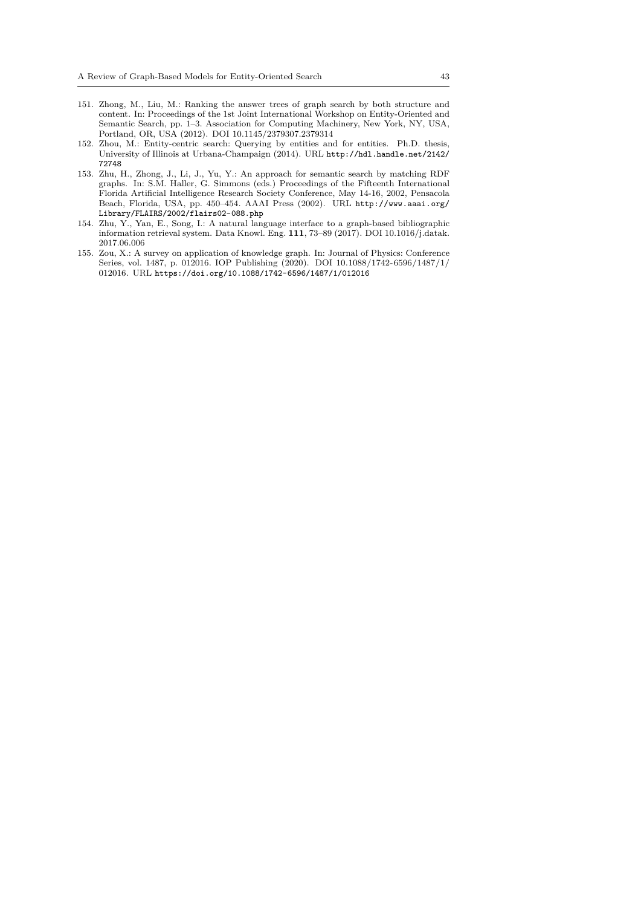- 151. Zhong, M., Liu, M.: Ranking the answer trees of graph search by both structure and content. In: Proceedings of the 1st Joint International Workshop on Entity-Oriented and Semantic Search, pp. 1–3. Association for Computing Machinery, New York, NY, USA, Portland, OR, USA (2012). DOI 10.1145/2379307.2379314
- <span id="page-42-2"></span>152. Zhou, M.: Entity-centric search: Querying by entities and for entities. Ph.D. thesis, University of Illinois at Urbana-Champaign (2014). URL http://hdl.handle.net/2142/ 72748
- <span id="page-42-0"></span>153. Zhu, H., Zhong, J., Li, J., Yu, Y.: An approach for semantic search by matching RDF graphs. In: S.M. Haller, G. Simmons (eds.) Proceedings of the Fifteenth International Florida Artificial Intelligence Research Society Conference, May 14-16, 2002, Pensacola Beach, Florida, USA, pp. 450–454. AAAI Press (2002). URL [http://www.aaai.org/](http://hdl.handle.net/2142/72748) [Librar](http://hdl.handle.net/2142/72748)y/FLAIRS/2002/flairs02-088.php
- <span id="page-42-1"></span>154. Zhu, Y., Yan, E., Song, I.: A natural language interface to a graph-based bibliographic information retrieval system. Data Knowl. Eng. **111**, 73–89 (2017). DOI 10.1016/j.datak. 2017.06.006
- <span id="page-42-3"></span>155. Zou, X.: A survey on application of knowledge graph. In: Journ[al of Physics: Conference](http://www.aaai.org/Library/FLAIRS/2002/flairs02-088.php) [Series, vol. 1487, p. 012016. IOP Publish](http://www.aaai.org/Library/FLAIRS/2002/flairs02-088.php)ing (2020). DOI 10.1088/1742-6596/1487/1/ 012016. URL https://doi.org/10.1088/1742-6596/1487/1/012016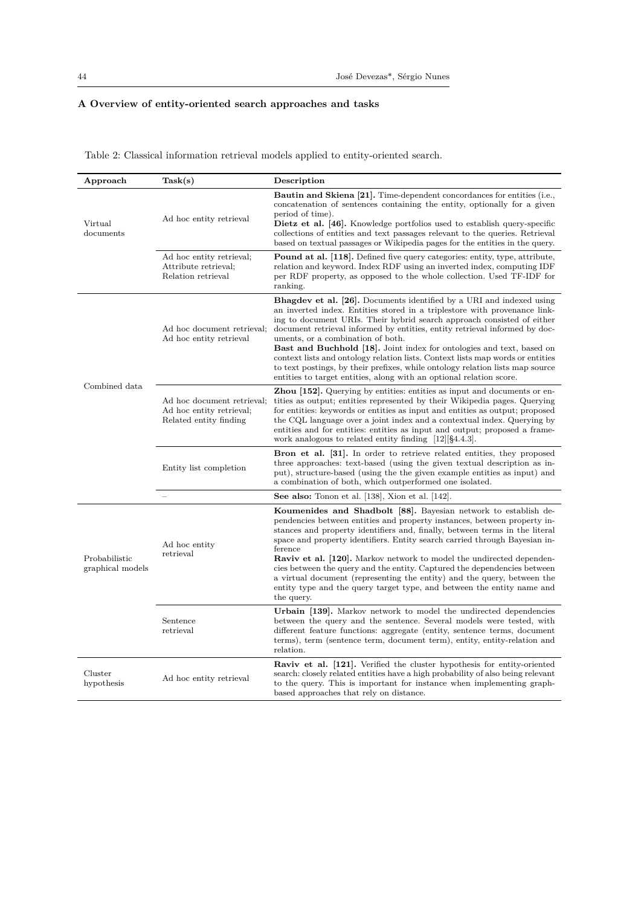## **A Overview of entity-oriented search approaches and tasks**

<span id="page-43-0"></span>

| Approach                          | Task(s)                                                                          | Description                                                                                                                                                                                                                                                                                                                                                                                                                                                                                                                                                                                                                                                                     |
|-----------------------------------|----------------------------------------------------------------------------------|---------------------------------------------------------------------------------------------------------------------------------------------------------------------------------------------------------------------------------------------------------------------------------------------------------------------------------------------------------------------------------------------------------------------------------------------------------------------------------------------------------------------------------------------------------------------------------------------------------------------------------------------------------------------------------|
| Virtual<br>documents              | Ad hoc entity retrieval                                                          | <b>Bautin and Skiena [21].</b> Time-dependent concordances for entities (i.e.,<br>concatenation of sentences containing the entity, optionally for a given<br>period of time).<br><b>Dietz et al.</b> [46]. Knowledge portfolios used to establish query-specific<br>collections of entities and text passages relevant to the queries. Retrieval<br>based on textual passages or Wikipedia pages for the entities in the query.                                                                                                                                                                                                                                                |
|                                   | Ad hoc entity retrieval;<br>Attribute retrieval;<br>Relation retrieval           | <b>Pound at al. 118.</b> Defined five query categories: entity, type, attribute,<br>relation and keyword. Index RDF using an inverted index, computing IDF<br>per RDF property, as opposed to the whole collection. Used TF-IDF for<br>ranking.                                                                                                                                                                                                                                                                                                                                                                                                                                 |
|                                   | Ad hoc document retrieval;<br>Ad hoc entity retrieval                            | <b>Bhagdev et al. [26].</b> Documents identified by a URI and indexed using<br>an inverted index. Entities stored in a triplestore with provenance link-<br>ing to document URIs. Their hybrid search approach consisted of either<br>document retrieval informed by entities, entity retrieval informed by doc-<br>uments, or a combination of both.<br><b>Bast and Buchhold [18].</b> Joint index for ontologies and text, based on<br>context lists and ontology relation lists. Context lists map words or entities<br>to text postings, by their prefixes, while ontology relation lists map source<br>entities to target entities, along with an optional relation score. |
| Combined data                     | Ad hoc document retrieval;<br>Ad hoc entity retrieval:<br>Related entity finding | <b>Zhou</b> [152]. Querying by entities: entities as input and documents or en-<br>tities as output; entities represented by their Wikipedia pages. Querying<br>for entities: keywords or entities as input and entities as output; proposed<br>the CQL language over a joint index and a contextual index. Querying by<br>entities and for entities: entities as input and output; proposed a frame-<br>work analogous to related entity finding $[12][\$4.4.3]$ .                                                                                                                                                                                                             |
|                                   | Entity list completion                                                           | <b>Bron et al.</b> [31]. In order to retrieve related entities, they proposed<br>three approaches: text-based (using the given textual description as in-<br>put), structure-based (using the the given example entities as input) and<br>a combination of both, which outperformed one isolated.                                                                                                                                                                                                                                                                                                                                                                               |
|                                   |                                                                                  | See also: Tonon et al. [138], Xion et al. [142].                                                                                                                                                                                                                                                                                                                                                                                                                                                                                                                                                                                                                                |
| Probabilistic<br>graphical models | Ad hoc entity<br>retrieval                                                       | Koumenides and Shadbolt [88]. Bayesian network to establish de-<br>pendencies between entities and property instances, between property in-<br>stances and property identifiers and, finally, between terms in the literal<br>space and property identifiers. Entity search carried through Bayesian in-<br>ference<br><b>Raviv et al.</b> [120]. Markov network to model the undirected dependen-<br>cies between the query and the entity. Captured the dependencies between<br>a virtual document (representing the entity) and the query, between the<br>entity type and the query target type, and between the entity name and<br>the query.                               |
|                                   | Sentence<br>retrieval                                                            | Urbain [139]. Markov network to model the undirected dependencies<br>between the query and the sentence. Several models were tested, with<br>different feature functions: aggregate (entity, sentence terms, document<br>terms), term (sentence term, document term), entity, entity-relation and<br>relation.                                                                                                                                                                                                                                                                                                                                                                  |
| Cluster<br>hypothesis             | Ad hoc entity retrieval                                                          | <b>Raviv et al. [121].</b> Verified the cluster hypothesis for entity-oriented<br>search: closely related entities have a high probability of also being relevant<br>to the query. This is important for instance when implementing graph-<br>based approaches that rely on distance.                                                                                                                                                                                                                                                                                                                                                                                           |

Table 2: Classical information retrieval models applied to entity-oriented search.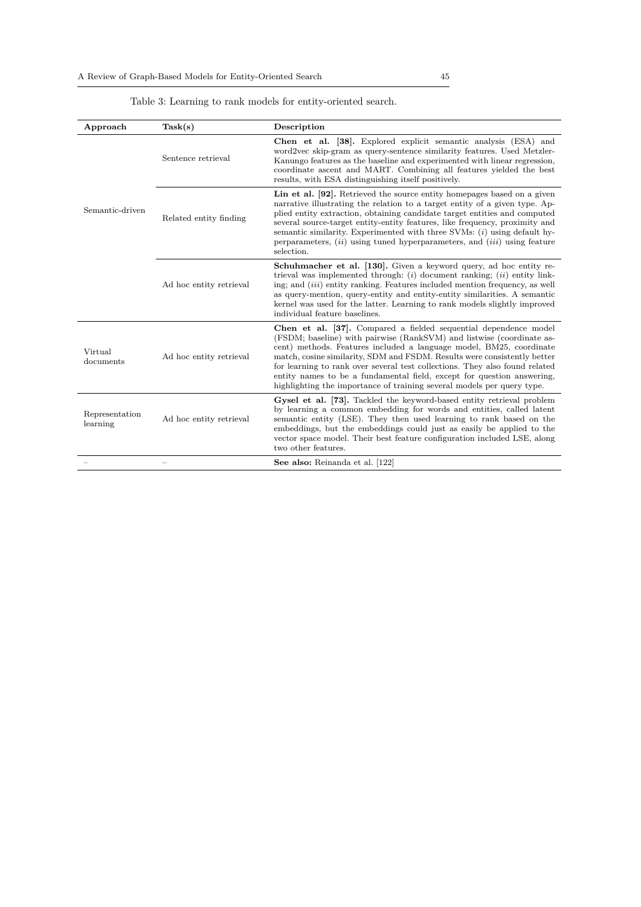Table 3: Learning to rank models for entity-oriented search.

<span id="page-44-0"></span>

| Approach                   | Task(s)                  | Description                                                                                                                                                                                                                                                                                                                                                                                                                                                                                                                     |
|----------------------------|--------------------------|---------------------------------------------------------------------------------------------------------------------------------------------------------------------------------------------------------------------------------------------------------------------------------------------------------------------------------------------------------------------------------------------------------------------------------------------------------------------------------------------------------------------------------|
|                            | Sentence retrieval       | Chen et al. [38]. Explored explicit semantic analysis (ESA) and<br>word2vec skip-gram as query-sentence similarity features. Used Metzler-<br>Kanungo features as the baseline and experimented with linear regression,<br>coordinate ascent and MART. Combining all features yielded the best<br>results, with ESA distinguishing itself positively.                                                                                                                                                                           |
| Semantic-driven            | Related entity finding   | Lin et al. [92]. Retrieved the source entity homepages based on a given<br>narrative illustrating the relation to a target entity of a given type. Ap-<br>plied entity extraction, obtaining candidate target entities and computed<br>several source-target entity-entity features, like frequency, proximity and<br>semantic similarity. Experimented with three SVMs: $(i)$ using default hy-<br>perparameters, $(ii)$ using tuned hyperparameters, and $(iii)$ using feature<br>selection.                                  |
|                            | Ad hoc entity retrieval  | Schuhmacher et al. [130]. Given a keyword query, ad hoc entity re-<br>trieval was implemented through: $(i)$ document ranking; $(ii)$ entity link-<br>ing; and <i>(iii)</i> entity ranking. Features included mention frequency, as well<br>as query-mention, query-entity and entity-entity similarities. A semantic<br>kernel was used for the latter. Learning to rank models slightly improved<br>individual feature baselines.                                                                                             |
| Virtual<br>documents       | Ad hoc entity retrieval  | Chen et al. [37]. Compared a fielded sequential dependence model<br>(FSDM; baseline) with pairwise (RankSVM) and listwise (coordinate as-<br>cent) methods. Features included a language model, BM25, coordinate<br>match, cosine similarity, SDM and FSDM. Results were consistently better<br>for learning to rank over several test collections. They also found related<br>entity names to be a fundamental field, except for question answering,<br>highlighting the importance of training several models per query type. |
| Representation<br>learning | Ad hoc entity retrieval  | Gysel et al. [73]. Tackled the keyword-based entity retrieval problem<br>by learning a common embedding for words and entities, called latent<br>semantic entity (LSE). They then used learning to rank based on the<br>embeddings, but the embeddings could just as easily be applied to the<br>vector space model. Their best feature configuration included LSE, along<br>two other features.                                                                                                                                |
|                            | $\overline{\phantom{0}}$ | See also: Reinanda et al. [122]                                                                                                                                                                                                                                                                                                                                                                                                                                                                                                 |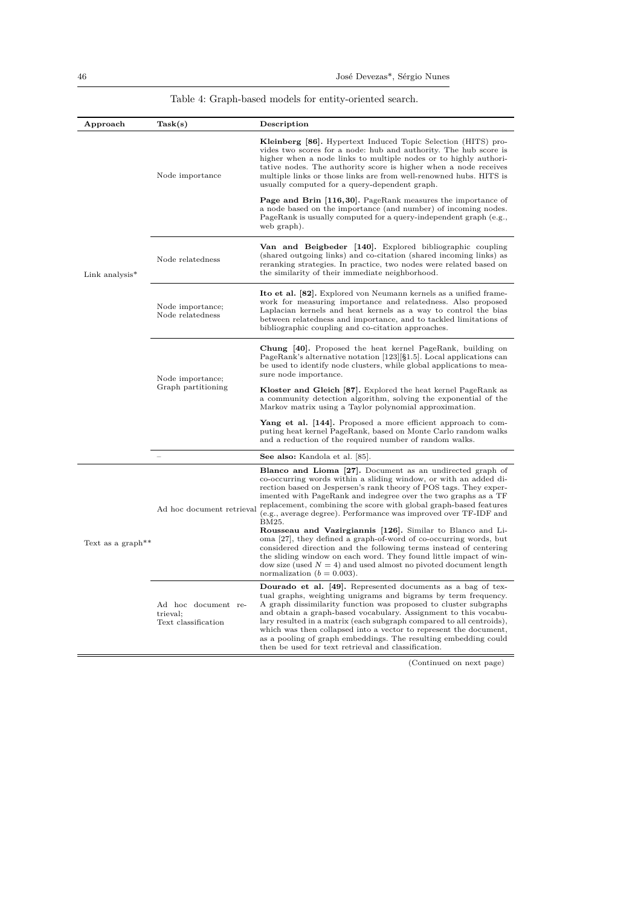## Table 4: Graph-based models for entity-oriented search.

<span id="page-45-0"></span>

| Approach                      | Task(s)                                                | Description                                                                                                                                                                                                                                                                                                                                                                                                                                                                                                                                 |
|-------------------------------|--------------------------------------------------------|---------------------------------------------------------------------------------------------------------------------------------------------------------------------------------------------------------------------------------------------------------------------------------------------------------------------------------------------------------------------------------------------------------------------------------------------------------------------------------------------------------------------------------------------|
|                               | Node importance                                        | <b>Kleinberg [86].</b> Hypertext Induced Topic Selection (HITS) pro-<br>vides two scores for a node: hub and authority. The hub score is<br>higher when a node links to multiple nodes or to highly authori-<br>tative nodes. The authority score is higher when a node receives<br>multiple links or those links are from well-renowned hubs. HITS is<br>usually computed for a query-dependent graph.                                                                                                                                     |
|                               |                                                        | <b>Page and Brin [116,30].</b> PageRank measures the importance of<br>a node based on the importance (and number) of incoming nodes.<br>PageRank is usually computed for a query-independent graph (e.g.,<br>web graph).                                                                                                                                                                                                                                                                                                                    |
| Link analysis*                | Node relatedness                                       | Van and Beigbeder [140]. Explored bibliographic coupling<br>(shared outgoing links) and co-citation (shared incoming links) as<br>reranking strategies. In practice, two nodes were related based on<br>the similarity of their immediate neighborhood.                                                                                                                                                                                                                                                                                     |
|                               | Node importance;<br>Node relatedness                   | <b>Ito et al.</b> [82]. Explored von Neumann kernels as a unified frame-<br>work for measuring importance and relatedness. Also proposed<br>Laplacian kernels and heat kernels as a way to control the bias<br>between relatedness and importance, and to tackled limitations of<br>bibliographic coupling and co-citation approaches.                                                                                                                                                                                                      |
|                               | Node importance;<br>Graph partitioning                 | Chung [40]. Proposed the heat kernel PageRank, building on<br>PageRank's alternative notation [123][§1.5]. Local applications can<br>be used to identify node clusters, while global applications to mea-<br>sure node importance.                                                                                                                                                                                                                                                                                                          |
|                               |                                                        | Kloster and Gleich [87]. Explored the heat kernel PageRank as<br>a community detection algorithm, solving the exponential of the<br>Markov matrix using a Taylor polynomial approximation.                                                                                                                                                                                                                                                                                                                                                  |
|                               |                                                        | Yang et al. $[144]$ . Proposed a more efficient approach to com-<br>puting heat kernel PageRank, based on Monte Carlo random walks<br>and a reduction of the required number of random walks.                                                                                                                                                                                                                                                                                                                                               |
|                               |                                                        | See also: Kandola et al. [85].                                                                                                                                                                                                                                                                                                                                                                                                                                                                                                              |
|                               | Ad hoc document retrieval                              | Blanco and Lioma [27]. Document as an undirected graph of<br>co-occurring words within a sliding window, or with an added di-<br>rection based on Jespersen's rank theory of POS tags. They exper-<br>imented with PageRank and indegree over the two graphs as a TF<br>replacement, combining the score with global graph-based features<br>(e.g., average degree). Performance was improved over TF-IDF and<br>BM25.                                                                                                                      |
| Text as a graph <sup>**</sup> |                                                        | Rousseau and Vazirgiannis [126]. Similar to Blanco and Li-<br>oma [27], they defined a graph-of-word of co-occurring words, but<br>considered direction and the following terms instead of centering<br>the sliding window on each word. They found little impact of win-<br>dow size (used $N = 4$ ) and used almost no pivoted document length<br>normalization ( $b = 0.003$ ).                                                                                                                                                          |
|                               | Ad hoc document re-<br>trieval:<br>Text classification | Dourado et al. [49]. Represented documents as a bag of tex-<br>tual graphs, weighting unigrams and bigrams by term frequency.<br>A graph dissimilarity function was proposed to cluster subgraphs<br>and obtain a graph-based vocabulary. Assignment to this vocabu-<br>lary resulted in a matrix (each subgraph compared to all centroids),<br>which was then collapsed into a vector to represent the document,<br>as a pooling of graph embeddings. The resulting embedding could<br>then be used for text retrieval and classification. |

(Continued on next page)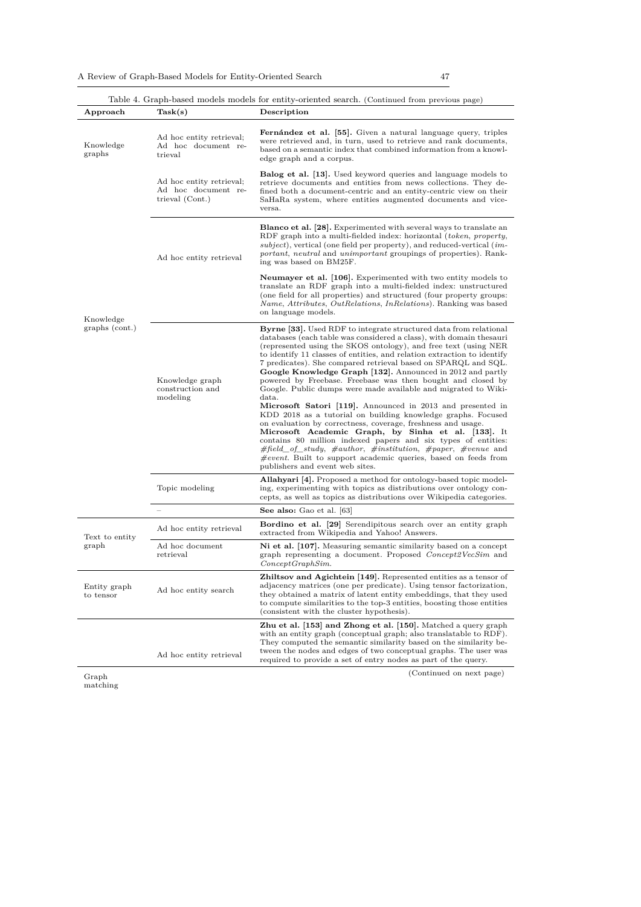|                           |                                                                    | Table 4. Graph-based models models for entity-oriented search. (Continued from previous page)                                                                                                                                                                                                                                                                                                                                                                                                                                                                                                                                                                                                                                                                                                                                                                                                                                                                                                                                                                                   |
|---------------------------|--------------------------------------------------------------------|---------------------------------------------------------------------------------------------------------------------------------------------------------------------------------------------------------------------------------------------------------------------------------------------------------------------------------------------------------------------------------------------------------------------------------------------------------------------------------------------------------------------------------------------------------------------------------------------------------------------------------------------------------------------------------------------------------------------------------------------------------------------------------------------------------------------------------------------------------------------------------------------------------------------------------------------------------------------------------------------------------------------------------------------------------------------------------|
| Approach                  | Task(s)                                                            | Description                                                                                                                                                                                                                                                                                                                                                                                                                                                                                                                                                                                                                                                                                                                                                                                                                                                                                                                                                                                                                                                                     |
| Knowledge<br>graphs       | Ad hoc entity retrieval;<br>Ad hoc document re-<br>trieval         | Fernández et al. [55]. Given a natural language query, triples<br>were retrieved and, in turn, used to retrieve and rank documents,<br>based on a semantic index that combined information from a knowl-<br>edge graph and a corpus.                                                                                                                                                                                                                                                                                                                                                                                                                                                                                                                                                                                                                                                                                                                                                                                                                                            |
|                           | Ad hoc entity retrieval;<br>Ad hoc document re-<br>trieval (Cont.) | <b>Balog et al.</b> [13]. Used keyword queries and language models to<br>retrieve documents and entities from news collections. They de-<br>fined both a document-centric and an entity-centric view on their<br>SaHaRa system, where entities augmented documents and vice-<br>versa.                                                                                                                                                                                                                                                                                                                                                                                                                                                                                                                                                                                                                                                                                                                                                                                          |
|                           | Ad hoc entity retrieval                                            | <b>Blanco et al. [28].</b> Experimented with several ways to translate an<br>RDF graph into a multi-fielded index: horizontal (token, property,<br>$subject$ , vertical (one field per property), and reduced-vertical ( <i>im</i> -<br>portant, neutral and unimportant groupings of properties). Rank-<br>ing was based on BM25F.                                                                                                                                                                                                                                                                                                                                                                                                                                                                                                                                                                                                                                                                                                                                             |
| Knowledge                 |                                                                    | <b>Neumayer et al. [106].</b> Experimented with two entity models to<br>translate an RDF graph into a multi-fielded index: unstructured<br>(one field for all properties) and structured (four property groups:<br><i>Name, Attributes, OutRelations, InRelations</i> ). Ranking was based<br>on language models.                                                                                                                                                                                                                                                                                                                                                                                                                                                                                                                                                                                                                                                                                                                                                               |
| graphs (cont.)            | Knowledge graph<br>construction and<br>modeling                    | <b>Byrne</b> [33]. Used RDF to integrate structured data from relational<br>databases (each table was considered a class), with domain thesauri<br>(represented using the SKOS ontology), and free text (using NER)<br>to identify 11 classes of entities, and relation extraction to identify<br>7 predicates). She compared retrieval based on SPARQL and SQL.<br>Google Knowledge Graph [132]. Announced in 2012 and partly<br>powered by Freebase. Freebase was then bought and closed by<br>Google. Public dumps were made available and migrated to Wiki-<br>data.<br>Microsoft Satori [119]. Announced in 2013 and presented in<br>KDD 2018 as a tutorial on building knowledge graphs. Focused<br>on evaluation by correctness, coverage, freshness and usage.<br>Microsoft Academic Graph, by Sinha et al. [133]. It<br>contains 80 million indexed papers and six types of entities:<br>$\#field\_of\_study, \#author, \# institution, \#paper, \#venue and$<br>$\# event.$ Built to support academic queries, based on feeds from<br>publishers and event web sites. |
|                           | Topic modeling                                                     | <b>Allahyari</b> [4]. Proposed a method for ontology-based topic model-<br>ing, experimenting with topics as distributions over ontology con-<br>cepts, as well as topics as distributions over Wikipedia categories.                                                                                                                                                                                                                                                                                                                                                                                                                                                                                                                                                                                                                                                                                                                                                                                                                                                           |
|                           |                                                                    | See also: Gao et al. [63]                                                                                                                                                                                                                                                                                                                                                                                                                                                                                                                                                                                                                                                                                                                                                                                                                                                                                                                                                                                                                                                       |
| Text to entity            | Ad hoc entity retrieval                                            | <b>Bordino et al.</b> [29] Serendipitous search over an entity graph<br>extracted from Wikipedia and Yahoo! Answers.                                                                                                                                                                                                                                                                                                                                                                                                                                                                                                                                                                                                                                                                                                                                                                                                                                                                                                                                                            |
| graph                     | Ad hoc document<br>retrieval                                       | Ni et al. [107]. Measuring semantic similarity based on a concept<br>graph representing a document. Proposed Concept2VecSim and<br>ConceptGraphSim.                                                                                                                                                                                                                                                                                                                                                                                                                                                                                                                                                                                                                                                                                                                                                                                                                                                                                                                             |
| Entity graph<br>to tensor | Ad hoc entity search                                               | Zhiltsov and Agichtein [149]. Represented entities as a tensor of<br>adjacency matrices (one per predicate). Using tensor factorization,<br>they obtained a matrix of latent entity embeddings, that they used<br>to compute similarities to the top-3 entities, boosting those entities<br>(consistent with the cluster hypothesis).                                                                                                                                                                                                                                                                                                                                                                                                                                                                                                                                                                                                                                                                                                                                           |
|                           | Ad hoc entity retrieval                                            | Zhu et al. [153] and Zhong et al. [150]. Matched a query graph<br>with an entity graph (conceptual graph; also translatable to RDF).<br>They computed the semantic similarity based on the similarity be-<br>tween the nodes and edges of two conceptual graphs. The user was                                                                                                                                                                                                                                                                                                                                                                                                                                                                                                                                                                                                                                                                                                                                                                                                   |
|                           |                                                                    | required to provide a set of entry nodes as part of the query.                                                                                                                                                                                                                                                                                                                                                                                                                                                                                                                                                                                                                                                                                                                                                                                                                                                                                                                                                                                                                  |

Graph matching

[\(C](#page-41-5)ontinued on next page)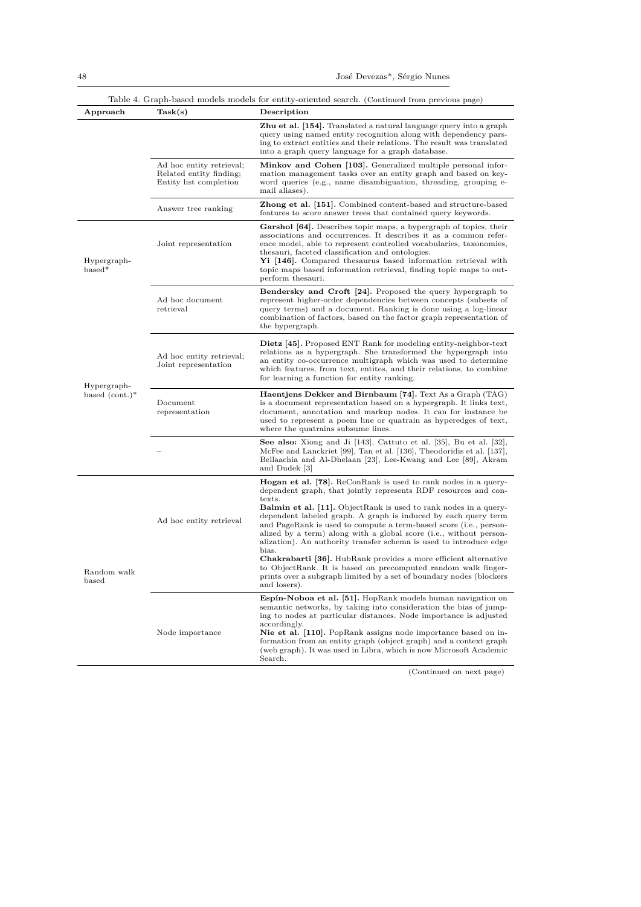| Approach                | Task(s)                                                                       | Description                                                                                                                                                                                                                                                                                                                                                                                                                                                                                                                                                                                                                                                                                                                                                 |
|-------------------------|-------------------------------------------------------------------------------|-------------------------------------------------------------------------------------------------------------------------------------------------------------------------------------------------------------------------------------------------------------------------------------------------------------------------------------------------------------------------------------------------------------------------------------------------------------------------------------------------------------------------------------------------------------------------------------------------------------------------------------------------------------------------------------------------------------------------------------------------------------|
|                         |                                                                               | <b>Zhu et al.</b> [154]. Translated a natural language query into a graph<br>query using named entity recognition along with dependency pars-<br>ing to extract entities and their relations. The result was translated<br>into a graph query language for a graph database.                                                                                                                                                                                                                                                                                                                                                                                                                                                                                |
|                         | Ad hoc entity retrieval;<br>Related entity finding;<br>Entity list completion | Minkov and Cohen [103]. Generalized multiple personal infor-<br>mation management tasks over an entity graph and based on key-<br>word queries (e.g., name disambiguation, threading, grouping e-<br>mail aliases).                                                                                                                                                                                                                                                                                                                                                                                                                                                                                                                                         |
|                         | Answer tree ranking                                                           | <b>Zhong et al.</b> [151]. Combined content-based and structure-based<br>features to score answer trees that contained query keywords.                                                                                                                                                                                                                                                                                                                                                                                                                                                                                                                                                                                                                      |
| Hypergraph-<br>$based*$ | Joint representation                                                          | <b>Garshol</b> [64]. Describes topic maps, a hypergraph of topics, their<br>associations and occurrences. It describes it as a common refer-<br>ence model, able to represent controlled vocabularies, taxonomies,<br>thesauri, faceted classification and ontologies.<br><b>Yi</b> $[146]$ . Compared thesaurus based information retrieval with<br>topic maps based information retrieval, finding topic maps to out-<br>perform thesauri.                                                                                                                                                                                                                                                                                                                |
|                         | Ad hoc document<br>retrieval                                                  | <b>Bendersky and Croft [24].</b> Proposed the query hypergraph to<br>represent higher-order dependencies between concepts (subsets of<br>query terms) and a document. Ranking is done using a log-linear<br>combination of factors, based on the factor graph representation of<br>the hypergraph.                                                                                                                                                                                                                                                                                                                                                                                                                                                          |
| Hypergraph-             | Ad hoc entity retrieval;<br>Joint representation                              | <b>Dietz</b> [45]. Proposed ENT Rank for modeling entity-neighbor-text<br>relations as a hypergraph. She transformed the hypergraph into<br>an entity co-occurrence multigraph which was used to determine<br>which features, from text, entites, and their relations, to combine<br>for learning a function for entity ranking.                                                                                                                                                                                                                                                                                                                                                                                                                            |
| based $(cont.)^*$       | Document<br>representation                                                    | Haentjens Dekker and Birnbaum [74]. Text As a Graph (TAG)<br>is a document representation based on a hypergraph. It links text,<br>document, annotation and markup nodes. It can for instance be<br>used to represent a poem line or quatrain as hyperedges of text,<br>where the quatrains subsume lines.                                                                                                                                                                                                                                                                                                                                                                                                                                                  |
|                         |                                                                               | See also: Xiong and Ji $[143]$ , Cattuto et al. $[35]$ , Bu et al. $[32]$ ,<br>McFee and Lanckriet [99], Tan et al. [136], Theodoridis et al. [137],<br>Bellaachia and Al-Dhelaan [23], Lee-Kwang and Lee [89], Akram<br>and Dudek [3]                                                                                                                                                                                                                                                                                                                                                                                                                                                                                                                      |
| Random walk<br>based    | Ad hoc entity retrieval                                                       | <b>Hogan et al.</b> [78]. ReConRank is used to rank nodes in a query-<br>dependent graph, that jointly represents RDF resources and con-<br>texts.<br><b>Balmin et al.</b> [11]. ObjectRank is used to rank nodes in a query-<br>dependent labeled graph. A graph is induced by each query term<br>and PageRank is used to compute a term-based score (i.e., person-<br>alized by a term) along with a global score (i.e., without person-<br>alization). An authority transfer schema is used to introduce edge<br>bias.<br><b>Chakrabarti</b> [36]. HubRank provides a more efficient alternative<br>to ObjectRank. It is based on precomputed random walk finger-<br>prints over a subgraph limited by a set of boundary nodes (blockers<br>and losers). |
|                         | Node importance                                                               | Espín-Noboa et al. [51]. HopRank models human navigation on<br>semantic networks, by taking into consideration the bias of jump-<br>ing to nodes at particular distances. Node importance is adjusted<br>accordingly.<br>Nie et al. [110]. PopRank assigns node importance based on in-<br>formation from an entity graph (object graph) and a context graph<br>(web graph). It was used in Libra, which is now Microsoft Academic<br>Search.                                                                                                                                                                                                                                                                                                               |